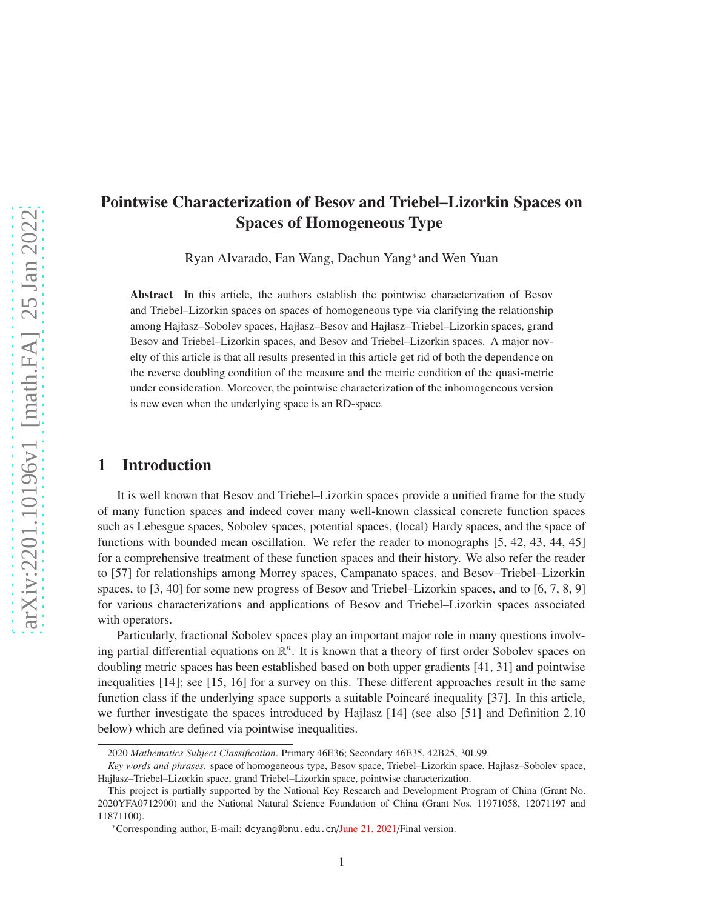# Pointwise Characterization of Besov and Triebel–Lizorkin Spaces on Spaces of Homogeneous Type

Ryan Alvarado, Fan Wang, Dachun Yang\* and Wen Yuan

Abstract In this article, the authors establish the pointwise characterization of Besov and Triebel–Lizorkin spaces on spaces of homogeneous type via clarifying the relationship among Hajłasz–Sobolev spaces, Hajłasz–Besov and Hajłasz–Triebel–Lizorkin spaces, grand Besov and Triebel–Lizorkin spaces, and Besov and Triebel–Lizorkin spaces. A major novelty of this article is that all results presented in this article get rid of both the dependence on the reverse doubling condition of the measure and the metric condition of the quasi-metric under consideration. Moreover, the pointwise characterization of the inhomogeneous version is new even when the underlying space is an RD-space.

### 1 Introduction

It is well known that Besov and Triebel–Lizorkin spaces provide a unified frame for the study of many function spaces and indeed cover many well-known classical concrete function spaces such as Lebesgue spaces, Sobolev spaces, potential spaces, (local) Hardy spaces, and the space of functions with bounded mean oscillation. We refer the reader to monographs [5, 42, 43, 44, 45] for a comprehensive treatment of these function spaces and their history. We also refer the reader to [57] for relationships among Morrey spaces, Campanato spaces, and Besov–Triebel–Lizorkin spaces, to [3, 40] for some new progress of Besov and Triebel–Lizorkin spaces, and to [6, 7, 8, 9] for various characterizations and applications of Besov and Triebel–Lizorkin spaces associated with operators.

Particularly, fractional Sobolev spaces play an important major role in many questions involving partial differential equations on  $\mathbb{R}^n$ . It is known that a theory of first order Sobolev spaces on doubling metric spaces has been established based on both upper gradients [41, 31] and pointwise inequalities [14]; see [15, 16] for a survey on this. These different approaches result in the same function class if the underlying space supports a suitable Poincaré inequality [37]. In this article, we further investigate the spaces introduced by Hajłasz [14] (see also [51] and Definition 2.10 below) which are defined via pointwise inequalities.

<sup>2020</sup> *Mathematics Subject Classification*. Primary 46E36; Secondary 46E35, 42B25, 30L99.

*Key words and phrases.* space of homogeneous type, Besov space, Triebel–Lizorkin space, Hajłasz–Sobolev space, Hajłasz–Triebel–Lizorkin space, grand Triebel–Lizorkin space, pointwise characterization.

This project is partially supported by the National Key Research and Development Program of China (Grant No. 2020YFA0712900) and the National Natural Science Foundation of China (Grant Nos. 11971058, 12071197 and 11871100).

<sup>\*</sup>Corresponding author, E-mail: dcyang@bnu.edu.cn/June 21, 2021/Final version.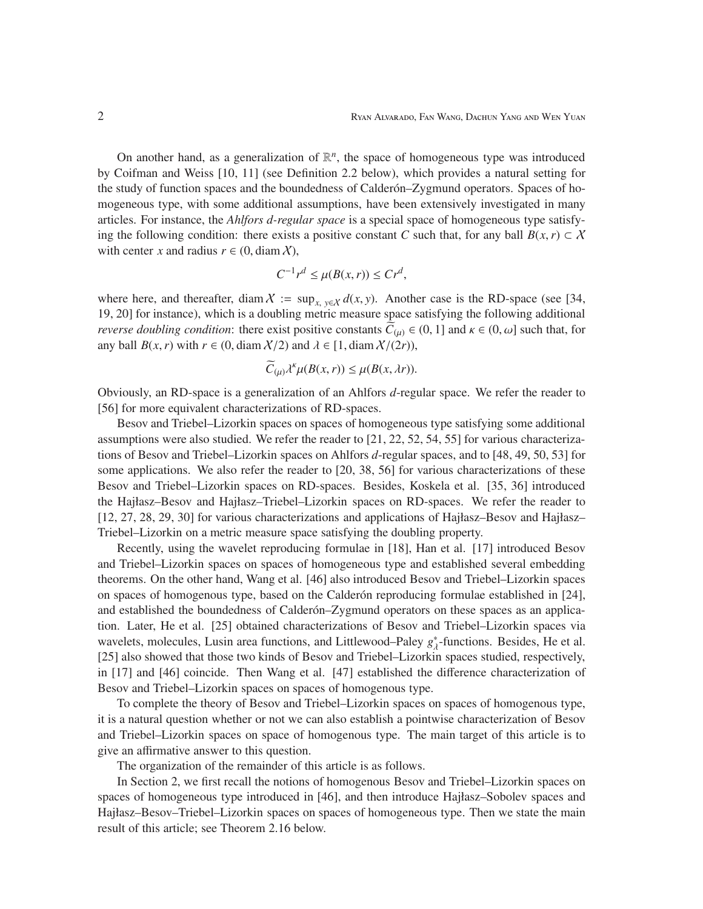On another hand, as a generalization of  $\mathbb{R}^n$ , the space of homogeneous type was introduced by Coifman and Weiss [10, 11] (see Definition 2.2 below), which provides a natural setting for the study of function spaces and the boundedness of Calderón-Zygmund operators. Spaces of homogeneous type, with some additional assumptions, have been extensively investigated in many articles. For instance, the *Ahlfors d-regular space* is a special space of homogeneous type satisfying the following condition: there exists a positive constant *C* such that, for any ball  $B(x, r) \subset X$ with center *x* and radius  $r \in (0, \text{diam } X)$ ,

$$
C^{-1}r^d \le \mu(B(x,r)) \le Cr^d,
$$

where here, and thereafter, diam  $X := \sup_{x,y \in X} d(x,y)$ . Another case is the RD-space (see [34, 19, 20] for instance), which is a doubling metric measure space satisfying the following additional *reverse doubling condition*: there exist positive constants  $C_{(\mu)} \in (0, 1]$  and  $\kappa \in (0, \omega]$  such that, for any ball  $B(x, r)$  with  $r \in (0, \text{diam } \mathcal{X}/2)$  and  $\lambda \in [1, \text{diam } \mathcal{X}/(2r)),$ 

$$
\widetilde{C}_{(\mu)}\lambda^{\kappa}\mu(B(x,r)) \leq \mu(B(x,\lambda r)).
$$

Obviously, an RD-space is a generalization of an Ahlfors *d*-regular space. We refer the reader to [56] for more equivalent characterizations of RD-spaces.

Besov and Triebel–Lizorkin spaces on spaces of homogeneous type satisfying some additional assumptions were also studied. We refer the reader to [21, 22, 52, 54, 55] for various characterizations of Besov and Triebel–Lizorkin spaces on Ahlfors *d*-regular spaces, and to [48, 49, 50, 53] for some applications. We also refer the reader to [20, 38, 56] for various characterizations of these Besov and Triebel–Lizorkin spaces on RD-spaces. Besides, Koskela et al. [35, 36] introduced the Hajłasz–Besov and Hajłasz–Triebel–Lizorkin spaces on RD-spaces. We refer the reader to [12, 27, 28, 29, 30] for various characterizations and applications of Hajłasz–Besov and Hajłasz– Triebel–Lizorkin on a metric measure space satisfying the doubling property.

Recently, using the wavelet reproducing formulae in [18], Han et al. [17] introduced Besov and Triebel–Lizorkin spaces on spaces of homogeneous type and established several embedding theorems. On the other hand, Wang et al. [46] also introduced Besov and Triebel–Lizorkin spaces on spaces of homogenous type, based on the Calder on reproducing formulae established in [24], and established the boundedness of Calder on–Zygmund operators on these spaces as an application. Later, He et al. [25] obtained characterizations of Besov and Triebel–Lizorkin spaces via wavelets, molecules, Lusin area functions, and Littlewood–Paley *g* ∗  $^*_{\lambda}$ -functions. Besides, He et al. [25] also showed that those two kinds of Besov and Triebel–Lizorkin spaces studied, respectively, in [17] and [46] coincide. Then Wang et al. [47] established the difference characterization of Besov and Triebel–Lizorkin spaces on spaces of homogenous type.

To complete the theory of Besov and Triebel–Lizorkin spaces on spaces of homogenous type, it is a natural question whether or not we can also establish a pointwise characterization of Besov and Triebel–Lizorkin spaces on space of homogenous type. The main target of this article is to give an affirmative answer to this question.

The organization of the remainder of this article is as follows.

In Section 2, we first recall the notions of homogenous Besov and Triebel–Lizorkin spaces on spaces of homogeneous type introduced in [46], and then introduce Hajłasz–Sobolev spaces and Hajłasz–Besov–Triebel–Lizorkin spaces on spaces of homogeneous type. Then we state the main result of this article; see Theorem 2.16 below.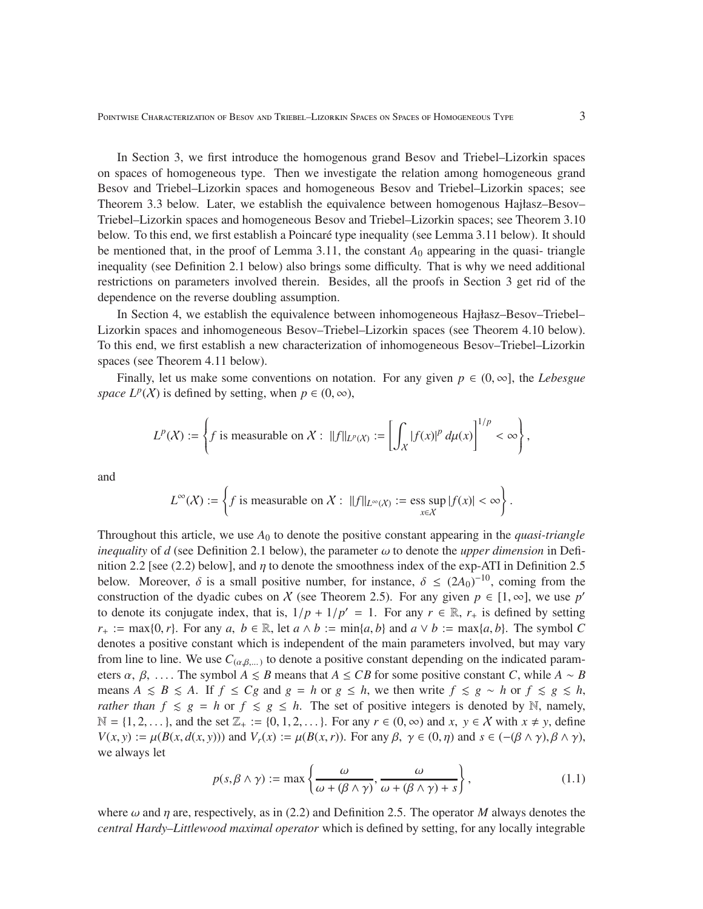Pointwise Characterization of Besov and Triebel–Lizorkin Spaces on Spaces of Homogeneous Type 3

In Section 3, we first introduce the homogenous grand Besov and Triebel–Lizorkin spaces on spaces of homogeneous type. Then we investigate the relation among homogeneous grand Besov and Triebel–Lizorkin spaces and homogeneous Besov and Triebel–Lizorkin spaces; see Theorem 3.3 below. Later, we establish the equivalence between homogenous Hajłasz–Besov– Triebel–Lizorkin spaces and homogeneous Besov and Triebel–Lizorkin spaces; see Theorem 3.10 below. To this end, we first establish a Poincaré type inequality (see Lemma 3.11 below). It should be mentioned that, in the proof of Lemma 3.11, the constant  $A_0$  appearing in the quasi- triangle inequality (see Definition 2.1 below) also brings some difficulty. That is why we need additional restrictions on parameters involved therein. Besides, all the proofs in Section 3 get rid of the dependence on the reverse doubling assumption.

In Section 4, we establish the equivalence between inhomogeneous Hajłasz–Besov–Triebel– Lizorkin spaces and inhomogeneous Besov–Triebel–Lizorkin spaces (see Theorem 4.10 below). To this end, we first establish a new characterization of inhomogeneous Besov–Triebel–Lizorkin spaces (see Theorem 4.11 below).

Finally, let us make some conventions on notation. For any given  $p \in (0, \infty]$ , the *Lebesgue space L<sup>p</sup>*(*X*) is defined by setting, when  $p \in (0, \infty)$ ,

$$
L^p(X) := \left\{ f \text{ is measurable on } X: ||f||_{L^p(X)} := \left[ \int_X |f(x)|^p \, d\mu(x) \right]^{1/p} < \infty \right\},
$$

and

$$
L^{\infty}(\mathcal{X}) := \left\{ f \text{ is measurable on } \mathcal{X} : ||f||_{L^{\infty}(\mathcal{X})} := \operatorname*{ess\;sup}_{x \in \mathcal{X}} |f(x)| < \infty \right\}.
$$

Throughout this article, we use *A*<sup>0</sup> to denote the positive constant appearing in the *quasi-triangle inequality* of *d* (see Definition 2.1 below), the parameter  $\omega$  to denote the *upper dimension* in Definition 2.2 [see (2.2) below], and  $\eta$  to denote the smoothness index of the exp-ATI in Definition 2.5 below. Moreover,  $\delta$  is a small positive number, for instance,  $\delta \leq (2A_0)^{-10}$ , coming from the construction of the dyadic cubes on X (see Theorem 2.5). For any given  $p \in [1, \infty]$ , we use  $p'$ to denote its conjugate index, that is,  $1/p + 1/p' = 1$ . For any  $r \in \mathbb{R}$ ,  $r_+$  is defined by setting  $r_+ := \max\{0, r\}$ . For any  $a, b \in \mathbb{R}$ , let  $a \wedge b := \min\{a, b\}$  and  $a \vee b := \max\{a, b\}$ . The symbol *C* denotes a positive constant which is independent of the main parameters involved, but may vary from line to line. We use  $C_{(\alpha,\beta,...)}$  to denote a positive constant depending on the indicated parameters  $\alpha$ ,  $\beta$ , .... The symbol  $A \leq B$  means that  $A \leq CB$  for some positive constant *C*, while  $A \sim B$ means  $A \leq B \leq A$ . If  $f \leq Cg$  and  $g = h$  or  $g \leq h$ , we then write  $f \leq g \sim h$  or  $f \leq g \leq h$ , *rather than*  $f \le g = h$  or  $f \le g \le h$ . The set of positive integers is denoted by N, namely,  $\mathbb{N} = \{1, 2, \ldots\}$ , and the set  $\mathbb{Z}_+ := \{0, 1, 2, \ldots\}$ . For any  $r \in (0, \infty)$  and  $x, y \in \mathcal{X}$  with  $x \neq y$ , define  $V(x, y) := \mu(B(x, d(x, y)))$  and  $V_r(x) := \mu(B(x, r))$ . For any  $\beta$ ,  $\gamma \in (0, \eta)$  and  $s \in (-(\beta \wedge \gamma), \beta \wedge \gamma)$ , we always let

$$
p(s, \beta \wedge \gamma) := \max \left\{ \frac{\omega}{\omega + (\beta \wedge \gamma)}, \frac{\omega}{\omega + (\beta \wedge \gamma) + s} \right\},\tag{1.1}
$$

where  $\omega$  and  $\eta$  are, respectively, as in (2.2) and Definition 2.5. The operator *M* always denotes the *central Hardy–Littlewood maximal operator* which is defined by setting, for any locally integrable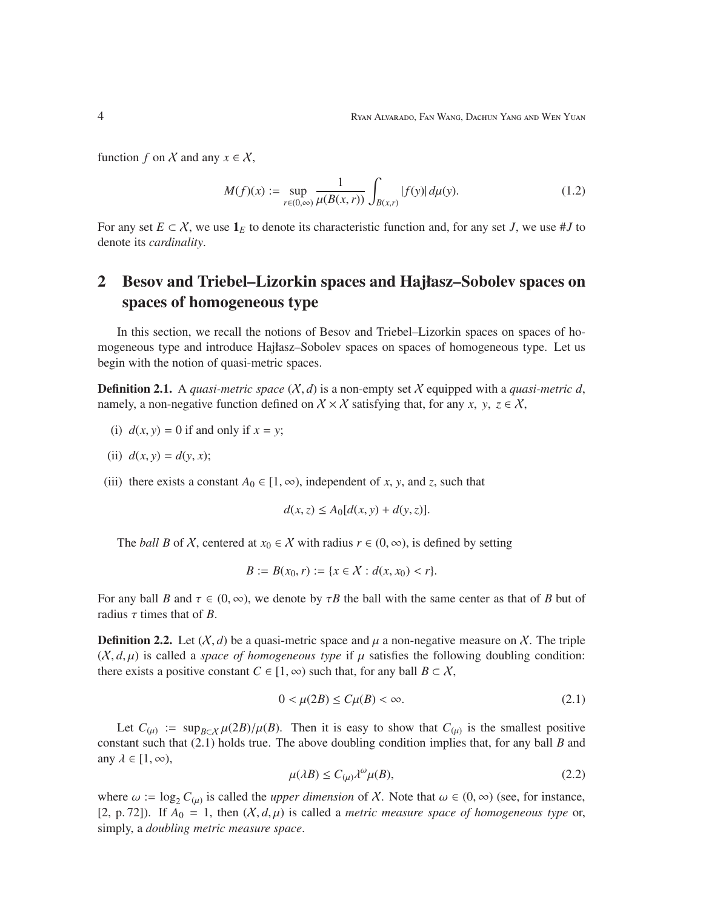function *f* on *X* and any  $x \in X$ ,

$$
M(f)(x) := \sup_{r \in (0,\infty)} \frac{1}{\mu(B(x,r))} \int_{B(x,r)} |f(y)| d\mu(y). \tag{1.2}
$$

For any set  $E \subset X$ , we use  $\mathbf{1}_E$  to denote its characteristic function and, for any set *J*, we use #*J* to denote its *cardinality*.

## 2 Besov and Triebel–Lizorkin spaces and Hajłasz–Sobolev spaces on spaces of homogeneous type

In this section, we recall the notions of Besov and Triebel–Lizorkin spaces on spaces of homogeneous type and introduce Hajłasz–Sobolev spaces on spaces of homogeneous type. Let us begin with the notion of quasi-metric spaces.

**Definition 2.1.** A *quasi-metric space*  $(X,d)$  is a non-empty set X equipped with a *quasi-metric d*, namely, a non-negative function defined on  $X \times X$  satisfying that, for any *x*, *y*,  $z \in X$ ,

(i) 
$$
d(x, y) = 0
$$
 if and only if  $x = y$ ;

(ii) 
$$
d(x, y) = d(y, x);
$$

(iii) there exists a constant  $A_0 \in [1, \infty)$ , independent of *x*, *y*, and *z*, such that

$$
d(x, z) \le A_0[d(x, y) + d(y, z)].
$$

The *ball B* of X, centered at  $x_0 \in X$  with radius  $r \in (0, \infty)$ , is defined by setting

$$
B := B(x_0, r) := \{x \in \mathcal{X} : d(x, x_0) < r\}.
$$

For any ball *B* and  $\tau \in (0, \infty)$ , we denote by  $\tau B$  the ball with the same center as that of *B* but of radius  $\tau$  times that of *B*.

**Definition 2.2.** Let  $(X, d)$  be a quasi-metric space and  $\mu$  a non-negative measure on X. The triple  $(X, d, \mu)$  is called a *space of homogeneous type* if  $\mu$  satisfies the following doubling condition: there exists a positive constant  $C \in [1, \infty)$  such that, for any ball  $B \subset \mathcal{X}$ ,

$$
0 < \mu(2B) \le C\mu(B) < \infty. \tag{2.1}
$$

Let  $C_{(\mu)} := \sup_{B \subset X} \mu(2B)/\mu(B)$ . Then it is easy to show that  $C_{(\mu)}$  is the smallest positive constant such that (2.1) holds true. The above doubling condition implies that, for any ball *B* and any  $\lambda \in [1, \infty)$ ,

$$
\mu(\lambda B) \le C_{(\mu)} \lambda^{\omega} \mu(B), \tag{2.2}
$$

where  $\omega := \log_2 C_{(\mu)}$  is called the *upper dimension* of X. Note that  $\omega \in (0, \infty)$  (see, for instance, [2, p. 72]). If  $A_0 = 1$ , then  $(X, d, \mu)$  is called a *metric measure space of homogeneous type* or, simply, a *doubling metric measure space*.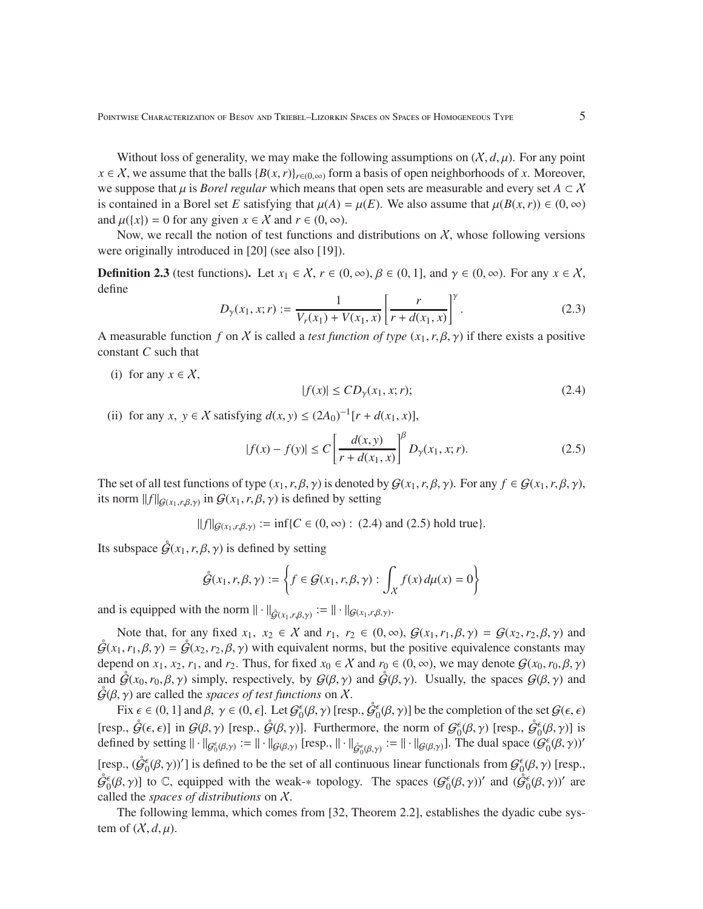Without loss of generality, we may make the following assumptions on  $(X, d, \mu)$ . For any point *x* ∈ *X*, we assume that the balls  ${B(x, r)}_{r∈(0, ∞)}$  form a basis of open neighborhoods of *x*. Moreover, we suppose that  $\mu$  is *Borel regular* which means that open sets are measurable and every set  $A \subset X$ is contained in a Borel set *E* satisfying that  $\mu(A) = \mu(E)$ . We also assume that  $\mu(B(x, r)) \in (0, \infty)$ and  $\mu({x}) = 0$  for any given  $x \in X$  and  $r \in (0, \infty)$ .

Now, we recall the notion of test functions and distributions on  $\chi$ , whose following versions were originally introduced in [20] (see also [19]).

**Definition 2.3** (test functions). Let  $x_1 \in \mathcal{X}$ ,  $r \in (0, \infty)$ ,  $\beta \in (0, 1]$ , and  $\gamma \in (0, \infty)$ . For any  $x \in \mathcal{X}$ , define

$$
D_{\gamma}(x_1, x; r) := \frac{1}{V_r(x_1) + V(x_1, x)} \left[ \frac{r}{r + d(x_1, x)} \right]^{\gamma}.
$$
 (2.3)

A measurable function *f* on X is called a *test function of type*  $(x_1, r, \beta, \gamma)$  if there exists a positive constant *C* such that

(i) for any  $x \in \mathcal{X}$ ,

$$
|f(x)| \le CD_{\gamma}(x_1, x; r); \tag{2.4}
$$

(ii) for any *x*,  $y \in X$  satisfying  $d(x, y) \le (2A_0)^{-1}[r + d(x_1, x)],$ 

$$
|f(x) - f(y)| \le C \left[ \frac{d(x, y)}{r + d(x_1, x)} \right]^{\beta} D_{\gamma}(x_1, x; r).
$$
 (2.5)

The set of all test functions of type  $(x_1, r, \beta, \gamma)$  is denoted by  $\mathcal{G}(x_1, r, \beta, \gamma)$ . For any  $f \in \mathcal{G}(x_1, r, \beta, \gamma)$ , its norm  $||f||_{\mathcal{G}(x_1,r,\beta,\gamma)}$  in  $\mathcal{G}(x_1,r,\beta,\gamma)$  is defined by setting

 $||f||_{\mathcal{G}(x_1, r, \beta, \gamma)} := \inf \{ C \in (0, \infty) : (2.4) \text{ and } (2.5) \text{ hold true} \}.$ 

Its subspace  $\ddot{\mathcal{G}}(x_1, r, \beta, \gamma)$  is defined by setting

$$
\mathring{\mathcal{G}}(x_1, r, \beta, \gamma) := \left\{ f \in \mathcal{G}(x_1, r, \beta, \gamma) : \int_X f(x) \, d\mu(x) = 0 \right\}
$$

and is equipped with the norm  $\|\cdot\|_{\mathring{G}(x_1,r,\beta,\gamma)} := \|\cdot\|_{\mathscr{G}(x_1,r,\beta,\gamma)}$ .

Note that, for any fixed  $x_1, x_2 \in \mathcal{X}$  and  $r_1, r_2 \in (0, \infty), \mathcal{G}(x_1, r_1, \beta, \gamma) = \mathcal{G}(x_2, r_2, \beta, \gamma)$  and  $\tilde{\mathcal{G}}(x_1,r_1,\beta,\gamma) = \tilde{\mathcal{G}}(x_2,r_2,\beta,\gamma)$  with equivalent norms, but the positive equivalence constants may depend on  $x_1, x_2, r_1$ , and  $r_2$ . Thus, for fixed  $x_0 \in \mathcal{X}$  and  $r_0 \in (0, \infty)$ , we may denote  $\mathcal{G}(x_0, r_0, \beta, \gamma)$ and  $\tilde{G}(x_0, r_0, \beta, \gamma)$  simply, respectively, by  $G(\beta, \gamma)$  and  $\tilde{G}(\beta, \gamma)$ . Usually, the spaces  $G(\beta, \gamma)$  and  $\tilde{G}(\beta, \gamma)$  are called the *spaces of test functions* on X.

Fix  $\epsilon \in (0, 1]$  and  $\beta, \gamma \in (0, \epsilon]$ . Let  $\mathcal{G}_0^{\epsilon}(\beta, \gamma)$  [resp.,  $\overset{\circ}{\mathcal{G}}_0^{\epsilon}(\beta, \gamma)$ ] be the completion of the set  $\mathcal{G}(\epsilon, \epsilon)$ [resp.,  $\hat{\mathcal{G}}(\epsilon, \epsilon)$ ] in  $\mathcal{G}(\beta, \gamma)$  [resp.,  $\hat{\mathcal{G}}(\beta, \gamma)$ ]. Furthermore, the norm of  $\mathcal{G}_0^{\epsilon}(\beta, \gamma)$  [resp.,  $\hat{\mathcal{G}}_0^{\epsilon}(\beta, \gamma)$ ] is defined by setting  $\|\cdot\|_{\mathcal{G}_{0}^{\epsilon}(\beta,\gamma)} := \|\cdot\|_{\mathcal{G}(\beta,\gamma)}$  [resp.,  $\|\cdot\|_{\mathcal{G}_{0}^{\epsilon}(\beta,\gamma)} := \|\cdot\|_{\mathcal{G}(\beta,\gamma)}$ ]. The dual space  $(\mathcal{G}_{0}^{\epsilon}(\beta,\gamma))'$ [resp.,  $(\hat{\mathcal{G}}_0^{\epsilon}(\beta, \gamma))'$ ] is defined to be the set of all continuous linear functionals from  $\mathcal{G}_0^{\epsilon}(\beta, \gamma)$  [resp.,  $\hat{\mathcal{G}}_0^{\epsilon}(\beta, \gamma)$  to C, equipped with the weak-\* topology. The spaces  $(\mathcal{G}_0^{\epsilon}(\beta, \gamma))'$  and  $(\hat{\mathcal{G}}_0^{\epsilon}(\beta, \gamma))'$  are called the *spaces of distributions* on X.

The following lemma, which comes from [32, Theorem 2.2], establishes the dyadic cube system of  $(X, d, \mu)$ .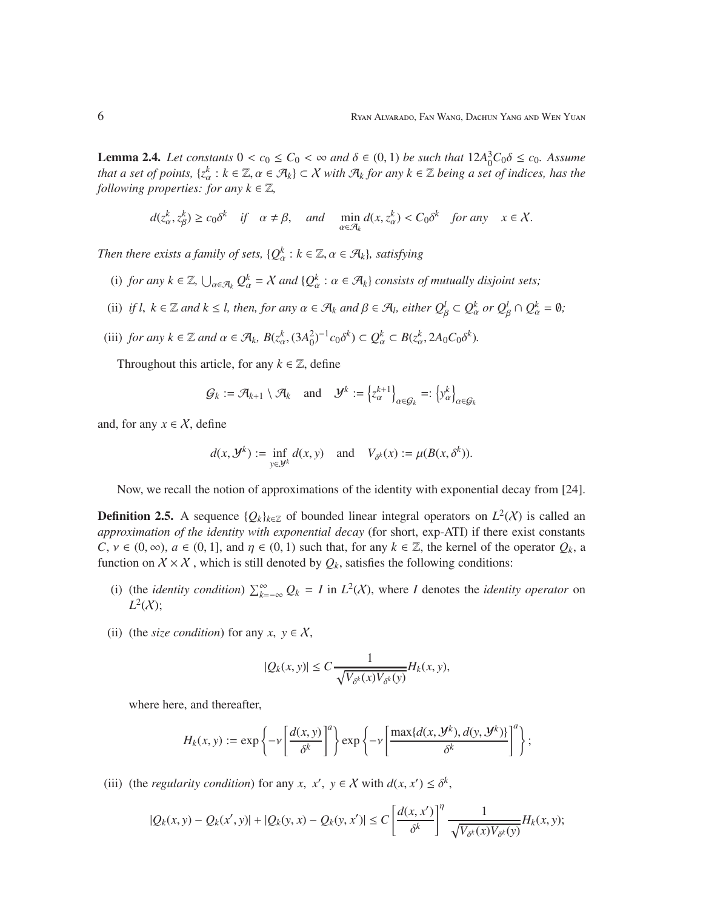**Lemma 2.4.** *Let constants*  $0 < c_0 \le C_0 < \infty$  *and*  $\delta \in (0, 1)$  *be such that*  $12A_0^3C_0\delta \le c_0$ *. Assume that a set of points,* { $z_\alpha^k : k \in \mathbb{Z}, \alpha \in \mathcal{A}_k$ }  $\subset X$  *with*  $\mathcal{A}_k$  *for any*  $k \in \mathbb{Z}$  *being a set of indices, has the following properties: for any*  $k \in \mathbb{Z}$ *,* 

$$
d(z_{\alpha}^k, z_{\beta}^k) \ge c_0 \delta^k
$$
 if  $\alpha \ne \beta$ , and  $\min_{\alpha \in \mathcal{A}_k} d(x, z_{\alpha}^k) < C_0 \delta^k$  for any  $x \in \mathcal{X}$ .

*Then there exists a family of sets,*  $\{Q_{\alpha}^k : k \in \mathbb{Z}, \alpha \in \mathcal{A}_k\}$ *, satisfying* 

- (i) *for any*  $k \in \mathbb{Z}$ ,  $\bigcup_{\alpha \in \mathcal{A}_k} Q_{\alpha}^k = X$  *and*  $\{Q_{\alpha}^k : \alpha \in \mathcal{A}_k\}$  *consists of mutually disjoint sets;*
- (ii) *if l,*  $k \in \mathbb{Z}$  *and*  $k \leq l$ *, then, for any*  $\alpha \in \mathcal{A}_k$  *and*  $\beta \in \mathcal{A}_l$ *, either*  $Q_\beta^l \subset Q_\alpha^k$  *or*  $Q_\beta^l \cap Q_\alpha^k = \emptyset$ *;*
- (iii) *for any*  $k \in \mathbb{Z}$  *and*  $\alpha \in \mathcal{A}_k$ *,*  $B(z_\alpha^k, (3A_0^2)^{-1}c_0\delta^k) \subset Q_\alpha^k \subset B(z_\alpha^k, 2A_0C_0\delta^k)$ *.*

Throughout this article, for any  $k \in \mathbb{Z}$ , define

$$
\mathcal{G}_k := \mathcal{A}_{k+1} \setminus \mathcal{A}_k \quad \text{and} \quad \mathcal{Y}^k := \left\{ z_\alpha^{k+1} \right\}_{\alpha \in \mathcal{G}_k} =: \left\{ y_\alpha^k \right\}_{\alpha \in \mathcal{G}_k}
$$

and, for any  $x \in \mathcal{X}$ , define

$$
d(x, \mathcal{Y}^k) := \inf_{y \in \mathcal{Y}^k} d(x, y) \quad \text{and} \quad V_{\delta^k}(x) := \mu(B(x, \delta^k)).
$$

Now, we recall the notion of approximations of the identity with exponential decay from [24].

**Definition 2.5.** A sequence  $\{Q_k\}_{k\in\mathbb{Z}}$  of bounded linear integral operators on  $L^2(X)$  is called an *approximation of the identity with exponential decay* (for short, exp-ATI) if there exist constants  $C, v \in (0, \infty), a \in (0, 1],$  and  $\eta \in (0, 1)$  such that, for any  $k \in \mathbb{Z}$ , the kernel of the operator  $Q_k$ , a function on  $X \times X$ , which is still denoted by  $Q_k$ , satisfies the following conditions:

- (i) (the *identity condition*)  $\sum_{k=-\infty}^{\infty} Q_k = I$  in  $L^2(X)$ , where *I* denotes the *identity operator* on  $L^2(X);$
- (ii) (the *size condition*) for any  $x, y \in X$ ,

$$
|Q_k(x, y)| \le C \frac{1}{\sqrt{V_{\delta^k}(x)V_{\delta^k}(y)}} H_k(x, y),
$$

where here, and thereafter,

$$
H_k(x, y) := \exp\left\{-\nu \left[\frac{d(x, y)}{\delta^k}\right]^{a}\right\} \exp\left\{-\nu \left[\frac{\max\{d(x, \mathcal{Y}^k), d(y, \mathcal{Y}^k)\}}{\delta^k}\right]^{a}\right\};
$$

(iii) (the *regularity condition*) for any *x*, *x'*, *y*  $\in X$  with  $d(x, x') \leq \delta^k$ ,

$$
|Q_k(x,y)-Q_k(x',y)|+|Q_k(y,x)-Q_k(y,x')|\leq C\left[\frac{d(x,x')}{\delta^k}\right]^\eta\frac{1}{\sqrt{V_{\delta^k}(x)V_{\delta^k}(y)}}H_k(x,y);
$$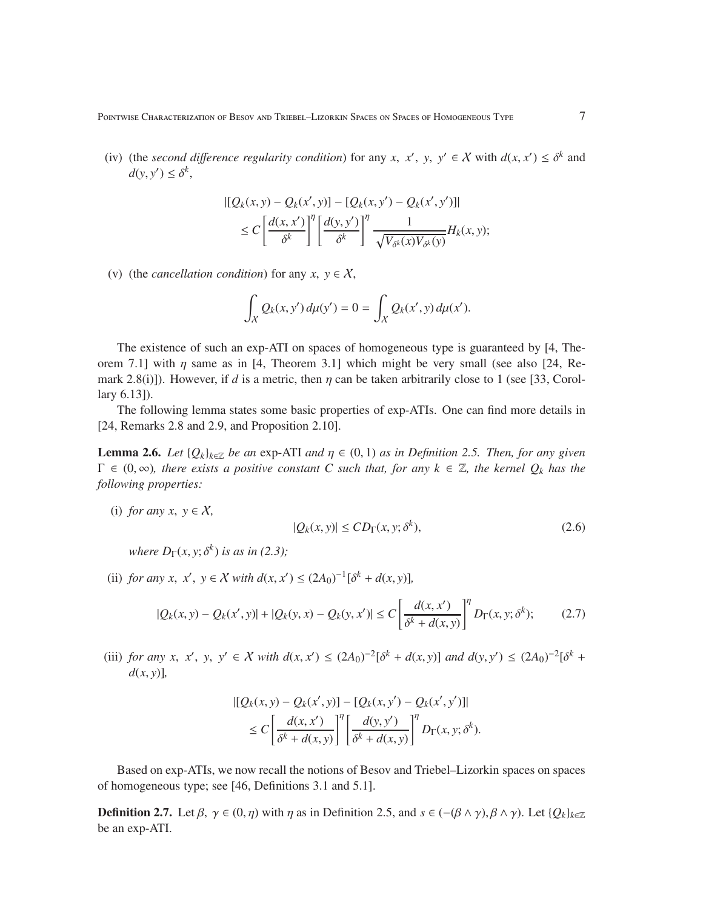Pointwise Characterization of Besov and Triebel–Lizorkin Spaces on Spaces of Homogeneous Type 7

(iv) (the *second difference regularity condition*) for any *x*, *x'*, *y*, *y'*  $\in X$  with  $d(x, x') \leq \delta^k$  and  $d(y, y') \leq \delta^k$ ,

$$
\begin{aligned} \left\| \left[ Q_k(x, y) - Q_k(x', y) \right] - \left[ Q_k(x, y') - Q_k(x', y') \right] \right\| \\ &\leq C \left[ \frac{d(x, x')}{\delta^k} \right]^{\eta} \left[ \frac{d(y, y')}{\delta^k} \right]^{\eta} \frac{1}{\sqrt{V_{\delta^k}(x) V_{\delta^k}(y)}} H_k(x, y); \end{aligned}
$$

(v) (the *cancellation condition*) for any  $x, y \in X$ ,

$$
\int_X Q_k(x, y') d\mu(y') = 0 = \int_X Q_k(x', y) d\mu(x').
$$

The existence of such an exp-ATI on spaces of homogeneous type is guaranteed by [4, Theorem 7.1] with  $\eta$  same as in [4, Theorem 3.1] which might be very small (see also [24, Remark 2.8(i)]). However, if *d* is a metric, then  $\eta$  can be taken arbitrarily close to 1 (see [33, Corollary 6.13]).

The following lemma states some basic properties of exp-ATIs. One can find more details in [24, Remarks 2.8 and 2.9, and Proposition 2.10].

**Lemma 2.6.** *Let*  $\{Q_k\}_{k\in\mathbb{Z}}$  *be an* exp-ATI *and*  $\eta \in (0,1)$  *as in Definition 2.5. Then, for any given*  $\Gamma \in (0,\infty)$ *, there exists a positive constant C such that, for any*  $k \in \mathbb{Z}$ *, the kernel*  $Q_k$  *has the following properties:*

(i) *for any x*,  $y \in X$ ,

$$
|Q_k(x, y)| \le CD_\Gamma(x, y; \delta^k),\tag{2.6}
$$

*where*  $D_{\Gamma}(x, y; \delta^k)$  *is as in (2.3)*;

(ii) *for any x, x', y*  $\in X$  *with d*(*x, x'*)  $\leq (2A_0)^{-1}[\delta^k + d(x, y)]$ ,

$$
|Q_k(x, y) - Q_k(x', y)| + |Q_k(y, x) - Q_k(y, x')| \le C \left[ \frac{d(x, x')}{\delta^k + d(x, y)} \right]^{\eta} D_{\Gamma}(x, y; \delta^k); \tag{2.7}
$$

(iii) for any x, x', y, y'  $\in X$  with  $d(x, x') \le (2A_0)^{-2} [\delta^k + d(x, y)]$  and  $d(y, y') \le (2A_0)^{-2} [\delta^k + d(x, y)]$  $d(x, y)$ ],

$$
\begin{aligned} \left\| \left[ Q_k(x, y) - Q_k(x', y) \right] - \left[ Q_k(x, y') - Q_k(x', y') \right] \right\| \\ &\leq C \left[ \frac{d(x, x')}{\delta^k + d(x, y)} \right]^{\eta} \left[ \frac{d(y, y')}{\delta^k + d(x, y)} \right]^{\eta} D_{\Gamma}(x, y; \delta^k). \end{aligned}
$$

Based on exp-ATIs, we now recall the notions of Besov and Triebel–Lizorkin spaces on spaces of homogeneous type; see [46, Definitions 3.1 and 5.1].

**Definition 2.7.** Let  $\beta$ ,  $\gamma \in (0, \eta)$  with  $\eta$  as in Definition 2.5, and  $s \in (-(\beta \land \gamma), \beta \land \gamma)$ . Let  $\{Q_k\}_{k \in \mathbb{Z}}$ be an exp-ATI.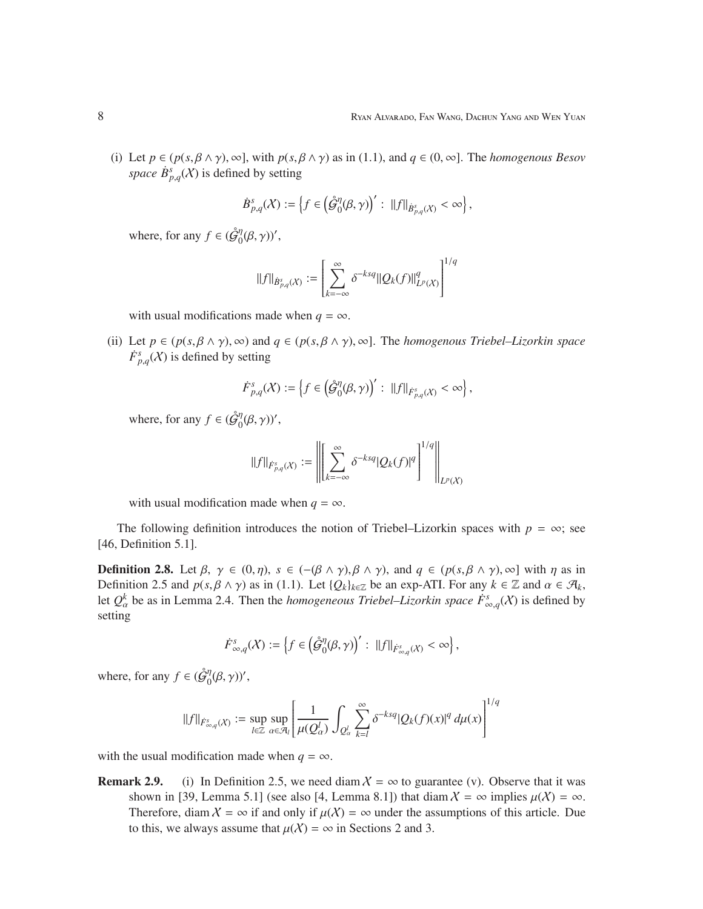(i) Let  $p \in (p(s, \beta \land \gamma), \infty]$ , with  $p(s, \beta \land \gamma)$  as in (1.1), and  $q \in (0, \infty]$ . The *homogenous Besov space*  $\dot{B}^s_{p,q}(X)$  is defined by setting

$$
\dot{B}_{p,q}^{s}(\mathcal{X}) := \left\{ f \in \left( \mathcal{\hat{G}}_{0}^{\eta}(\beta, \gamma) \right)' : \ \|f\|_{\dot{B}_{p,q}^{s}(\mathcal{X})} < \infty \right\},
$$

where, for any  $f \in (\hat{\mathcal{G}}_0^{\eta})$  $_{0}^{\eta}(\beta,\gamma)$ ',

$$
||f||_{\dot{B}^{s}_{p,q}(X)} := \left[ \sum_{k=-\infty}^{\infty} \delta^{-ksq} ||Q_k(f)||^q_{L^p(X)} \right]^{1/q}
$$

with usual modifications made when  $q = \infty$ .

(ii) Let  $p \in (p(s, \beta \wedge \gamma), \infty)$  and  $q \in (p(s, \beta \wedge \gamma), \infty]$ . The *homogenous Triebel–Lizorkin space*  $\dot{F}^s_{p,q}(X)$  is defined by setting

$$
\dot{F}^{s}_{p,q}( \mathcal{X}):=\left\{f\in \left(\mathring{\mathcal{G}}^{ \eta}_0( \beta,\gamma)\right)':~\|f\|_{\dot{F}^{s}_{p,q}( \mathcal{X})}<\infty\right\},
$$

where, for any  $f \in (\hat{\mathcal{G}}_0^{\eta})$  $_{0}^{\eta}(\beta,\gamma)$ ',

$$
||f||_{\dot{F}^{s}_{p,q}(\chi)} := \left\| \left[ \sum_{k=-\infty}^{\infty} \delta^{-ksq} |Q_k(f)|^q \right]^{1/q} \right\|_{L^p(\chi)}
$$

with usual modification made when  $q = \infty$ .

The following definition introduces the notion of Triebel–Lizorkin spaces with  $p = \infty$ ; see [46, Definition 5.1].

**Definition 2.8.** Let  $\beta$ ,  $\gamma \in (0, \eta)$ ,  $s \in (-(\beta \wedge \gamma), \beta \wedge \gamma)$ , and  $q \in (p(s, \beta \wedge \gamma), \infty]$  with  $\eta$  as in Definition 2.5 and  $p(s, \beta \wedge \gamma)$  as in (1.1). Let  $\{Q_k\}_{k \in \mathbb{Z}}$  be an exp-ATI. For any  $k \in \mathbb{Z}$  and  $\alpha \in \mathcal{A}_k$ , let  $Q^k_\alpha$  be as in Lemma 2.4. Then the *homogeneous Triebel–Lizorkin space*  $\dot{F}^s_{\infty,q}(X)$  is defined by setting

$$
F_{\infty,q}^s(X) := \left\{ f \in \left( \mathring{\mathcal{G}}_0^{\eta}(\beta, \gamma) \right)' : ||f||_{\dot{F}_{\infty,q}^s(X)} < \infty \right\},\
$$

where, for any  $f \in (\hat{\mathcal{G}}_0^{\eta})$  $\int_0^{\eta}(\beta,\gamma)$ ',

$$
||f||_{\dot{F}^s_{\infty,q}(X)} := \sup_{l \in \mathbb{Z}} \sup_{\alpha \in \mathcal{A}_l} \left[ \frac{1}{\mu(Q_{\alpha}^l)} \int_{Q_{\alpha}^l} \sum_{k=l}^{\infty} \delta^{-ksq} |Q_k(f)(x)|^q d\mu(x) \right]^{1/q}
$$

with the usual modification made when  $q = \infty$ .

**Remark 2.9.** (i) In Definition 2.5, we need diam  $X = \infty$  to guarantee (v). Observe that it was shown in [39, Lemma 5.1] (see also [4, Lemma 8.1]) that diam  $X = \infty$  implies  $\mu(X) = \infty$ . Therefore, diam  $X = \infty$  if and only if  $\mu(X) = \infty$  under the assumptions of this article. Due to this, we always assume that  $\mu(\mathcal{X}) = \infty$  in Sections 2 and 3.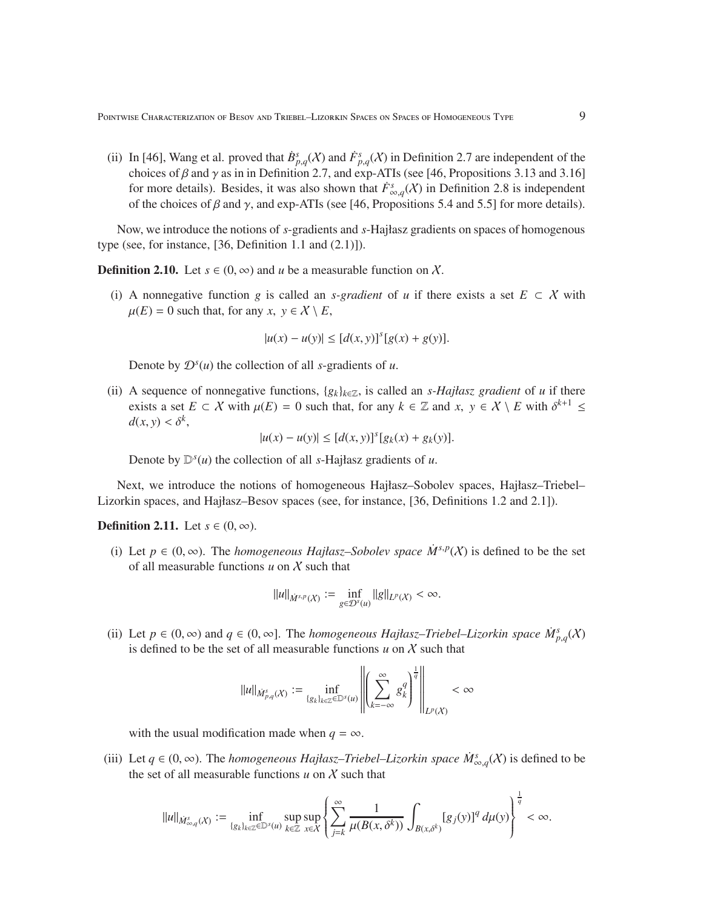(ii) In [46], Wang et al. proved that  $\dot{B}_{p,q}^s(X)$  and  $\dot{F}_{p,q}^s(X)$  in Definition 2.7 are independent of the choices of  $\beta$  and  $\gamma$  as in in Definition 2.7, and exp-ATIs (see [46, Propositions 3.13 and 3.16] for more details). Besides, it was also shown that  $\dot{F}^s_{\infty,q}(X)$  in Definition 2.8 is independent of the choices of  $\beta$  and  $\gamma$ , and exp-ATIs (see [46, Propositions 5.4 and 5.5] for more details).

Now, we introduce the notions of *s*-gradients and *s*-Hajłasz gradients on spaces of homogenous type (see, for instance,  $[36,$  Definition 1.1 and  $(2.1)]$ ).

**Definition 2.10.** Let  $s \in (0, \infty)$  and *u* be a measurable function on X.

(i) A nonnegative function *g* is called an *s-gradient* of *u* if there exists a set  $E \subset X$  with  $\mu(E) = 0$  such that, for any *x*,  $y \in \mathcal{X} \setminus E$ ,

$$
|u(x) - u(y)| \le [d(x, y)]^{s} [g(x) + g(y)].
$$

Denote by  $\mathcal{D}^s(u)$  the collection of all *s*-gradients of *u*.

(ii) A sequence of nonnegative functions,  $\{g_k\}_{k\in\mathbb{Z}}$ , is called an *s-Hajłasz gradient* of *u* if there exists a set  $E \subset \mathcal{X}$  with  $\mu(E) = 0$  such that, for any  $k \in \mathbb{Z}$  and  $x, y \in \mathcal{X} \setminus E$  with  $\delta^{k+1} \leq$  $d(x, y) < \delta^k$ ,

$$
|u(x) - u(y)| \le [d(x, y)]^{s} [g_{k}(x) + g_{k}(y)].
$$

Denote by  $\mathbb{D}^s(u)$  the collection of all *s*-Hajłasz gradients of *u*.

Next, we introduce the notions of homogeneous Hajłasz–Sobolev spaces, Hajłasz–Triebel– Lizorkin spaces, and Hajłasz–Besov spaces (see, for instance, [36, Definitions 1.2 and 2.1]).

**Definition 2.11.** Let  $s \in (0, \infty)$ .

(i) Let  $p \in (0, \infty)$ . The *homogeneous Hajłasz–Sobolev space*  $\dot{M}^{s,p}(X)$  is defined to be the set of all measurable functions  $u$  on  $X$  such that

$$
||u||_{\dot{M}^{s,p}(X)} := \inf_{g \in \mathcal{D}^s(u)} ||g||_{L^p(X)} < \infty.
$$

(ii) Let  $p \in (0, \infty)$  and  $q \in (0, \infty]$ . The *homogeneous Hajłasz–Triebel–Lizorkin space*  $\dot{M}_{p,q}^s(X)$ is defined to be the set of all measurable functions  $u$  on  $\chi$  such that

$$
||u||_{\dot{M}^s_{p,q}(X)}:=\inf_{\{g_k\}_{k\in\mathbb{Z}}\in\mathbb{D}^s(u)}\left|\left|\left(\sum_{k=-\infty}^{\infty}g_t^q\right)^{\frac{1}{q}}\right|\right|_{L^p(X)}<\infty
$$

with the usual modification made when  $q = \infty$ .

(iii) Let  $q \in (0, \infty)$ . The *homogeneous Hajłasz–Triebel–Lizorkin space*  $\dot{M}^s_{\infty,q}(X)$  is defined to be the set of all measurable functions  $u$  on  $\chi$  such that

$$
||u||_{\dot{M}_{\infty,q}^s(X)}:=\inf_{\{g_k\}_{k\in\mathbb{Z}}\in\mathbb{D}^s(u)}\sup_{k\in\mathbb{Z}}\sum_{x\in\mathcal{X}}\left(\sum_{j=k}^\infty\frac{1}{\mu(B(x,\delta^k))}\int_{B(x,\delta^k)}[g_j(y)]^q\,d\mu(y)\right)^{\frac{1}{q}}<\infty.
$$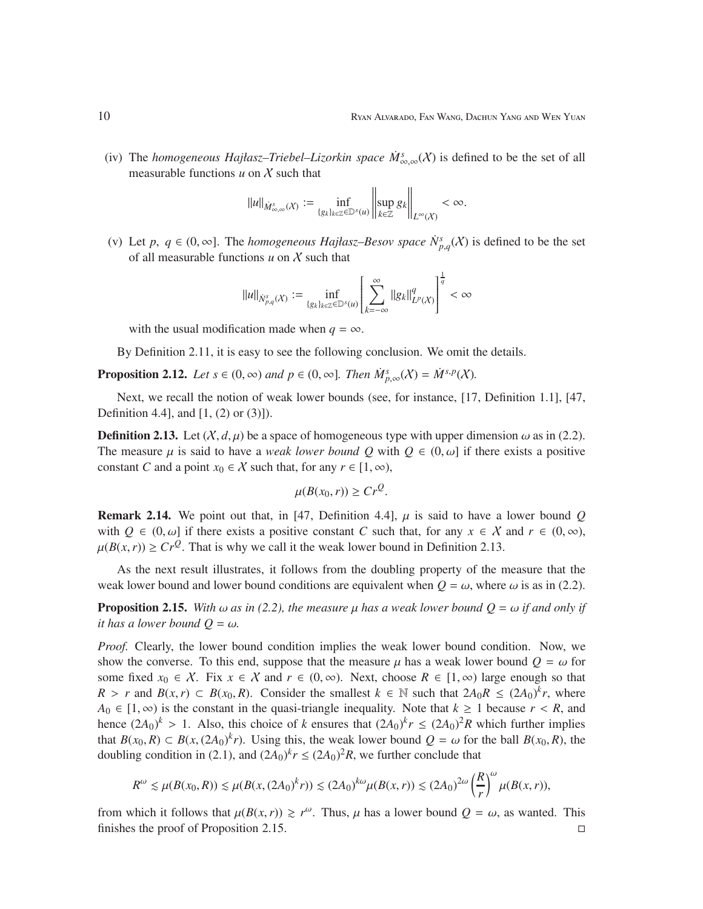(iv) The *homogeneous Hajłasz–Triebel–Lizorkin space*  $\dot{M}^s_{\infty,\infty}(X)$  is defined to be the set of all measurable functions  $u$  on  $X$  such that

$$
\|u\|_{\dot{M}^s_{\infty,\infty}(\mathcal X)}:=\inf_{\{g_k\}_{k\in\mathbb Z}\in\mathbb D^s(u)}\left\|\sup_{k\in\mathbb Z}g_k\right\|_{L^\infty(\mathcal X)}<\infty.
$$

(v) Let *p*,  $q \in (0, \infty]$ . The *homogeneous Hajłasz–Besov space*  $\dot{N}_{p,q}^s(X)$  is defined to be the set of all measurable functions  $u$  on  $X$  such that

$$
\|u\|_{\dot{N}^s_{p,q}(\mathcal X)}:=\inf_{\{g_k\}_{k\in\mathbb Z}\in\mathbb D^s(u)}\left[\sum_{k=-\infty}^\infty\|g_k\|_{L^p(\mathcal X)}^q\right]^{\frac{1}{q}}<\infty
$$

with the usual modification made when  $q = \infty$ .

By Definition 2.11, it is easy to see the following conclusion. We omit the details.

**Proposition 2.12.** *Let*  $s \in (0, \infty)$  *and*  $p \in (0, \infty]$ *. Then*  $\dot{M}_{p,\infty}^s(X) = \dot{M}^{s,p}(X)$ *.* 

Next, we recall the notion of weak lower bounds (see, for instance, [17, Definition 1.1], [47, Definition 4.4], and [1, (2) or (3)]).

**Definition 2.13.** Let  $(X, d, \mu)$  be a space of homogeneous type with upper dimension  $\omega$  as in (2.2). The measure  $\mu$  is said to have a *weak lower bound Q* with  $Q \in (0, \omega]$  if there exists a positive constant *C* and a point  $x_0 \in \mathcal{X}$  such that, for any  $r \in [1, \infty)$ ,

$$
\mu(B(x_0,r)) \ge Cr^Q.
$$

**Remark 2.14.** We point out that, in [47, Definition 4.4],  $\mu$  is said to have a lower bound Q with  $Q \in (0, \omega]$  if there exists a positive constant *C* such that, for any  $x \in \mathcal{X}$  and  $r \in (0, \infty)$ ,  $\mu(B(x, r)) \geq Cr^Q$ . That is why we call it the weak lower bound in Definition 2.13.

As the next result illustrates, it follows from the doubling property of the measure that the weak lower bound and lower bound conditions are equivalent when  $Q = \omega$ , where  $\omega$  is as in (2.2).

**Proposition 2.15.** *With*  $\omega$  *as in* (2.2), the measure  $\mu$  has a weak lower bound  $Q = \omega$  *if and only if it has a lower bound*  $Q = \omega$ *.* 

*Proof.* Clearly, the lower bound condition implies the weak lower bound condition. Now, we show the converse. To this end, suppose that the measure  $\mu$  has a weak lower bound  $Q = \omega$  for some fixed  $x_0 \in X$ . Fix  $x \in X$  and  $r \in (0, \infty)$ . Next, choose  $R \in [1, \infty)$  large enough so that *R* > *r* and *B*(*x*,*r*) ⊂ *B*(*x*<sub>0</sub>,*R*). Consider the smallest *k* ∈ N such that  $2A_0R ≤ (2A_0)<sup>k</sup>r$ , where *A*<sup>0</sup> ∈ [1, ∞) is the constant in the quasi-triangle inequality. Note that  $k \ge 1$  because  $r < R$ , and hence  $(2A_0)^k > 1$ . Also, this choice of *k* ensures that  $(2A_0)^k r \le (2A_0)^2 R$  which further implies that  $B(x_0, R) \subset B(x, (2A_0)^k r)$ . Using this, the weak lower bound  $Q = \omega$  for the ball  $B(x_0, R)$ , the doubling condition in (2.1), and  $(2A_0)^k r \le (2A_0)^2 R$ , we further conclude that

$$
R^{\omega} \lesssim \mu(B(x_0, R)) \lesssim \mu(B(x, (2A_0)^{k}r)) \lesssim (2A_0)^{k\omega} \mu(B(x, r)) \lesssim (2A_0)^{2\omega} \left(\frac{R}{r}\right)^{\omega} \mu(B(x, r)),
$$

from which it follows that  $\mu(B(x, r)) \ge r^{\omega}$ . Thus,  $\mu$  has a lower bound  $Q = \omega$ , as wanted. This finishes the proof of Proposition 2.15.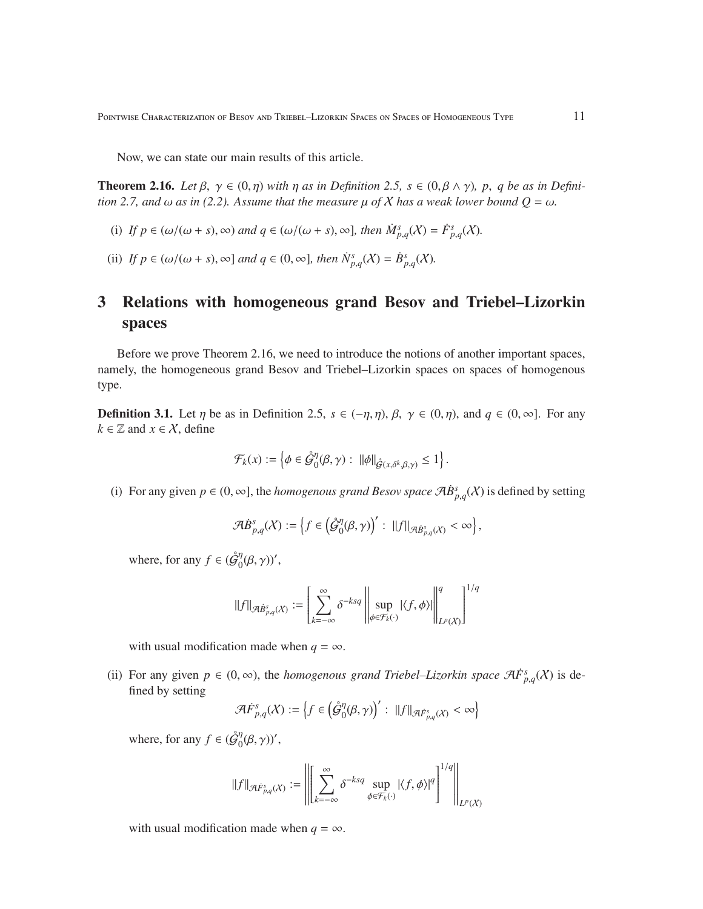POINTWISE CHARACTERIZATION OF BESOV AND TRIEBEL–LIZORKIN SPACES ON SPACES OF HOMOGENEOUS TYPE  $11$ 

Now, we can state our main results of this article.

**Theorem 2.16.** *Let*  $\beta$ ,  $\gamma \in (0, \eta)$  *with*  $\eta$  *as in Definition 2.5,*  $s \in (0, \beta \land \gamma)$ ,  $p$ ,  $q$  *be as in Definition 2.7, and*  $\omega$  *as in (2.2). Assume that the measure*  $\mu$  *of X has a weak lower bound*  $Q = \omega$ *.* 

- (i) If  $p \in (\omega/(\omega + s), \infty)$  and  $q \in (\omega/(\omega + s), \infty)$ , then  $\dot{M}_{p,q}^s(\chi) = \dot{F}_{p,q}^s(\chi)$ .
- (ii) *If*  $p \in (\omega/(\omega + s), \infty]$  *and*  $q \in (0, \infty]$ *, then*  $\dot{N}^s_{p,q}(X) = \dot{B}^s_{p,q}(X)$ *.*

# 3 Relations with homogeneous grand Besov and Triebel–Lizorkin spaces

Before we prove Theorem 2.16, we need to introduce the notions of another important spaces, namely, the homogeneous grand Besov and Triebel–Lizorkin spaces on spaces of homogenous type.

**Definition 3.1.** Let  $\eta$  be as in Definition 2.5,  $s \in (-\eta, \eta)$ ,  $\beta$ ,  $\gamma \in (0, \eta)$ , and  $q \in (0, \infty]$ . For any  $k \in \mathbb{Z}$  and  $x \in \mathcal{X}$ , define

$$
\mathcal{F}_k(x) := \left\{ \phi \in \mathring{\mathcal{G}}_0^{\eta}(\beta, \gamma) : ||\phi||_{\mathring{\mathcal{G}}(x, \delta^k, \beta, \gamma)} \leq 1 \right\}.
$$

(i) For any given  $p \in (0, \infty]$ , the *homogenous grand Besov space*  $\mathcal{A} \dot{B}^s_{p,q}(X)$  is defined by setting

$$
\mathcal{A}\dot{B}^s_{p,q}(X):=\left\{f\in\left(\mathring{\mathcal{G}}^{\eta}_0(\beta,\gamma)\right)':\;\;||f||_{\mathcal{A}\dot{B}^s_{p,q}(X)}<\infty\right\},
$$

where, for any  $f \in (\hat{\mathcal{G}}_0^{\eta})$  $_{0}^{\eta}(\beta,\gamma)$ ',

$$
\|f\|_{\mathcal{A}B^{s}_{p,q}(X)} := \left[\sum_{k=-\infty}^{\infty} \delta^{-ksq} \left\| \sup_{\phi \in \mathcal{F}_k(\cdot)} |\langle f, \phi \rangle| \right\|_{L^p(X)}^q \right]^{1/q}
$$

with usual modification made when  $q = \infty$ .

(ii) For any given  $p \in (0, \infty)$ , the *homogenous grand Triebel–Lizorkin space*  $\mathcal{A}F_{p,q}^{s}(\mathcal{X})$  is defined by setting

$$
\mathcal{A}\dot{F}^s_{p,q}(X):=\left\{f\in \left(\mathring{\mathcal{G}}^{\eta}_0(\beta,\gamma)\right)':\; \|f\|_{\mathcal{A}\dot{F}^s_{p,q}(X)}<\infty\right\}
$$

where, for any  $f \in (\hat{\mathcal{G}}_0^{\eta})$  $_{0}^{\eta}(\beta,\gamma)$ ',

$$
\|f\|_{\mathcal{A}\dot{F}^{s}_{p,q}(X)}:=\left\|\left[\sum_{k=-\infty}^{\infty}\delta^{-ksq}\sup_{\phi\in\mathcal{F}_{k}(\cdot)}|\langle f,\phi\rangle|^{q}\right]^{1/q}\right\|_{L^{p}(X)}
$$

with usual modification made when  $q = \infty$ .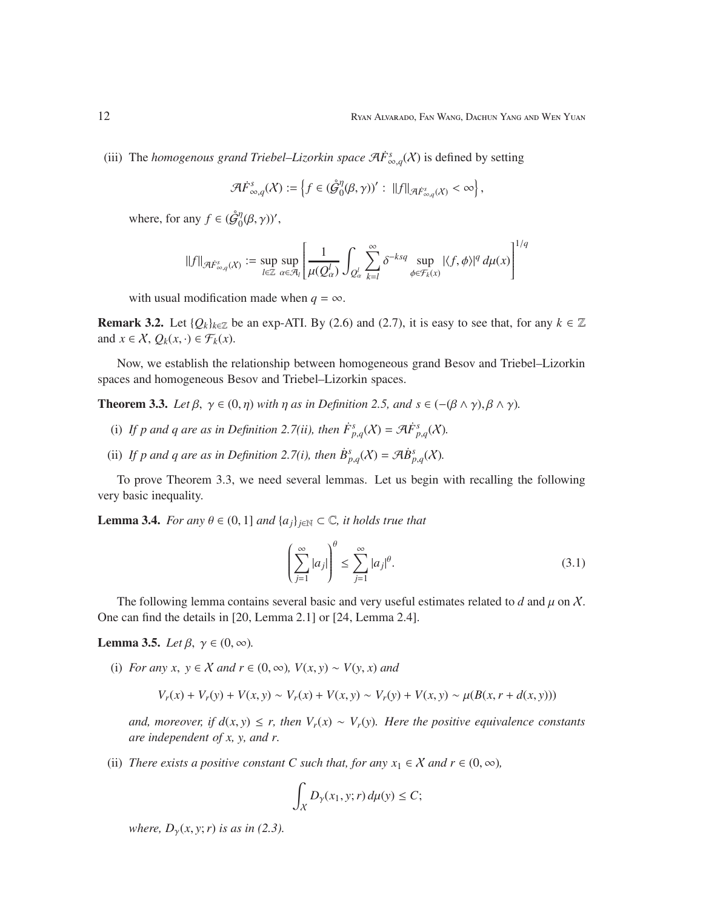(iii) The *homogenous grand Triebel–Lizorkin space*  $\mathcal{A}\dot{F}^s_{\infty,q}(X)$  is defined by setting

$$
\mathcal{A}\dot{F}_{\infty,q}^s(X):=\left\{f\in(\mathring{\mathcal{G}}_0^{\eta}(\beta,\gamma))':\;||f||_{\mathcal{A}\dot{F}_{\infty,q}^s(X)}<\infty\right\},\;
$$

where, for any  $f \in (\hat{\mathcal{G}}_0^{\eta})$  $_{0}^{\eta}(\beta,\gamma)$ ',

$$
||f||_{\mathcal{A}\dot{F}_{\infty,q}^s(X)} := \sup_{l \in \mathbb{Z}} \sup_{\alpha \in \mathcal{A}_l} \left[ \frac{1}{\mu(Q_{\alpha}^l)} \int_{Q_{\alpha}^l} \sum_{k=l}^{\infty} \delta^{-ksq} \sup_{\phi \in \mathcal{F}_k(x)} |\langle f, \phi \rangle|^q d\mu(x) \right]^{1/q}
$$

with usual modification made when  $q = \infty$ .

**Remark 3.2.** Let  $\{Q_k\}_{k\in\mathbb{Z}}$  be an exp-ATI. By (2.6) and (2.7), it is easy to see that, for any  $k \in \mathbb{Z}$ and  $x \in \mathcal{X}$ ,  $Q_k(x, \cdot) \in \mathcal{F}_k(x)$ .

Now, we establish the relationship between homogeneous grand Besov and Triebel–Lizorkin spaces and homogeneous Besov and Triebel–Lizorkin spaces.

**Theorem 3.3.** *Let*  $\beta$ ,  $\gamma \in (0, \eta)$  *with*  $\eta$  *as in Definition 2.5, and*  $s \in (-(\beta \land \gamma), \beta \land \gamma)$ *.* 

- (i) If p and q are as in Definition 2.7(ii), then  $\dot{F}^s_{p,q}(X) = \mathcal{A}\dot{F}^s_{p,q}(X)$ .
- (ii) If p and q are as in Definition 2.7(i), then  $\dot{B}_{p,q}^s(X) = \mathcal{A}\dot{B}_{p,q}^s(X)$ .

To prove Theorem 3.3, we need several lemmas. Let us begin with recalling the following very basic inequality.

**Lemma 3.4.** *For any*  $\theta \in (0, 1]$  *and*  $\{a_j\}_{j \in \mathbb{N}} \subset \mathbb{C}$ *, it holds true that* 

$$
\left(\sum_{j=1}^{\infty} |a_j|\right)^{\theta} \le \sum_{j=1}^{\infty} |a_j|^{\theta}.
$$
\n(3.1)

The following lemma contains several basic and very useful estimates related to  $d$  and  $\mu$  on  $\chi$ . One can find the details in [20, Lemma 2.1] or [24, Lemma 2.4].

**Lemma 3.5.** *Let*  $\beta$ ,  $\gamma \in (0, \infty)$ *.* 

(i) *For any x*,  $y \in X$  *and*  $r \in (0, \infty)$ *,*  $V(x, y) \sim V(y, x)$  *and* 

$$
V_r(x) + V_r(y) + V(x, y) \sim V_r(x) + V(x, y) \sim V_r(y) + V(x, y) \sim \mu(B(x, r + d(x, y)))
$$

*and, moreover, if d*(*x*, *y*) ≤ *r, then*  $V_r(x) \sim V_r(y)$ *. Here the positive equivalence constants are independent of x, y, and r.*

(ii) *There exists a positive constant C such that, for any*  $x_1 \in X$  *and*  $r \in (0, \infty)$ *,* 

$$
\int_X D_\gamma(x_1, y; r) d\mu(y) \le C;
$$

*where,*  $D_{\gamma}(x, y; r)$  *is as in (2.3).*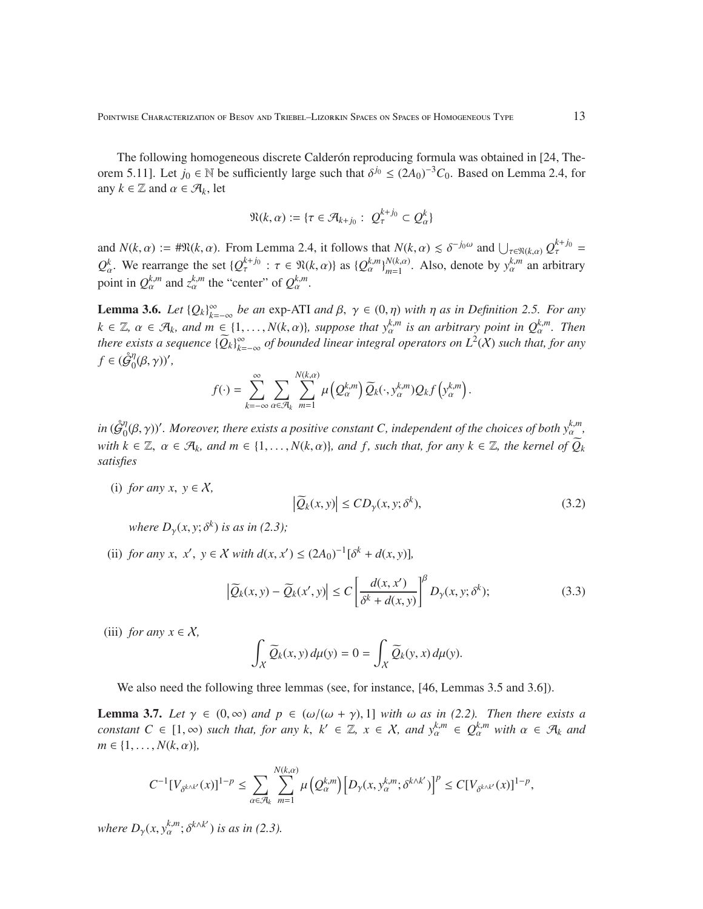The following homogeneous discrete Calderón reproducing formula was obtained in [24, Theorem 5.11]. Let  $j_0 \in \mathbb{N}$  be sufficiently large such that  $\delta^{j_0} \leq (2A_0)^{-3}C_0$ . Based on Lemma 2.4, for any  $k \in \mathbb{Z}$  and  $\alpha \in \mathcal{A}_k$ , let

$$
\mathfrak{N}(k,\alpha):=\{\tau\in\mathcal{A}_{k+j_0}:\ Q^{k+j_0}_\tau\subset Q^k_\alpha\}
$$

and  $N(k, \alpha) := # \Re(k, \alpha)$ . From Lemma 2.4, it follows that  $N(k, \alpha) \leq \delta^{-j_0 \omega}$  and  $\bigcup_{\tau \in \Re(k, \alpha)} Q_{\tau}^{k+j_0} =$  $Q_{\alpha}^{k}$ . We rearrange the set  $\{Q_{\tau}^{k+j_0} : \tau \in \mathfrak{N}(k, \alpha)\}\$  as  $\{Q_{\alpha}^{k,m}\}_{m=1}^{N(k, \alpha)}$  $\sum_{m=1}^{N(k,\alpha)}$ . Also, denote by  $y_{\alpha}^{k,m}$  an arbitrary point in  $Q_{\alpha}^{k,m}$  and  $z_{\alpha}^{k,m}$  the "center" of  $Q_{\alpha}^{k,m}$ .

**Lemma 3.6.** *Let*  ${Q_k}_{k=-\infty}^{\infty}$  *be an* exp-ATI *and*  $\beta$ ,  $\gamma \in (0, \eta)$  *with*  $\eta$  *as in Definition 2.5. For any*  $k \in \mathbb{Z}, \ \alpha \in \mathcal{A}_k$ , and  $m \in \{1, \ldots, N(k, \alpha)\}$ , suppose that  $y_\alpha^{k,m}$  is an arbitrary point in  $Q_\alpha^{k,m}$ . Then *there exists a sequence*  ${\{\widetilde{Q}_k\}}_{k=-\infty}^{\infty}$  *of bounded linear integral operators on*  $L^2(X)$  *such that, for any*  $f \in (\mathring{\mathcal{G}}_0^\eta)$  $\int_0^{\eta}(\beta,\gamma)$ ',

$$
f(\cdot) = \sum_{k=-\infty}^{\infty} \sum_{\alpha \in \mathcal{A}_k} \sum_{m=1}^{N(k,\alpha)} \mu\left(Q_{\alpha}^{k,m}\right) \widetilde{Q}_k(\cdot,y_{\alpha}^{k,m}) Q_k f\left(y_{\alpha}^{k,m}\right).
$$

 $in \, ( \mathring{\mathcal{G}}^\eta_0$  $\int_0^{\eta}(\beta,\gamma)$ '. Moreover, there exists a positive constant C, independent of the choices of both  $y_{\alpha}^{k,m}$ , *with*  $k \in \mathbb{Z}$ ,  $\alpha \in \mathcal{A}_k$ , and  $m \in \{1, ..., N(k, \alpha)\}$ , and f, such that, for any  $k \in \mathbb{Z}$ , the kernel of  $\widetilde{Q}_k$ *satisfies*

(i) *for any x*,  $y \in X$ ,

$$
\left|\widetilde{Q}_k(x,y)\right| \le CD_\gamma(x,y;\delta^k),\tag{3.2}
$$

*where*  $D_{\gamma}(x, y; \delta^{k})$  *is as in* (2.3);

(ii) *for any x, x', y*  $\in$  *X with d*(*x, x'*)  $\leq$   $(2A_0)^{-1}[\delta^k + d(x, y)]$ ,

$$
\left|\widetilde{Q}_k(x,y) - \widetilde{Q}_k(x',y)\right| \le C \left[\frac{d(x,x')}{\delta^k + d(x,y)}\right]^\beta D_\gamma(x,y;\delta^k); \tag{3.3}
$$

(iii) *for any*  $x \in \mathcal{X}$ ,

$$
\int_X \widetilde{Q}_k(x, y) d\mu(y) = 0 = \int_X \widetilde{Q}_k(y, x) d\mu(y).
$$

We also need the following three lemmas (see, for instance, [46, Lemmas 3.5 and 3.6]).

**Lemma 3.7.** *Let*  $\gamma \in (0, \infty)$  *and*  $p \in (\omega/(\omega + \gamma), 1]$  *with*  $\omega$  *as in* (2.2). Then there exists a *constant*  $C \in [1, \infty)$  *such that, for any*  $k, k' \in \mathbb{Z}, x \in \mathcal{X}$ *, and*  $y_\alpha^{k,m} \in Q_\alpha^{k,m}$  *with*  $\alpha \in \mathcal{A}_k$  *and*  $m \in \{1, \ldots, N(k, \alpha)\},\$ 

$$
C^{-1}[V_{\delta^{k\wedge k'}}(x)]^{1-p} \leq \sum_{\alpha\in\mathcal{A}_k}\sum_{m=1}^{N(k,\alpha)}\mu\big(Q_\alpha^{k,m}\big)\big[D_\gamma(x,y_\alpha^{k,m};\delta^{k\wedge k'})\big]^p \leq C[V_{\delta^{k\wedge k'}}(x)]^{1-p},
$$

*where*  $D_{\gamma}(x, y_{\alpha}^{k,m}; \delta^{k \wedge k'})$  *is as in (2.3).*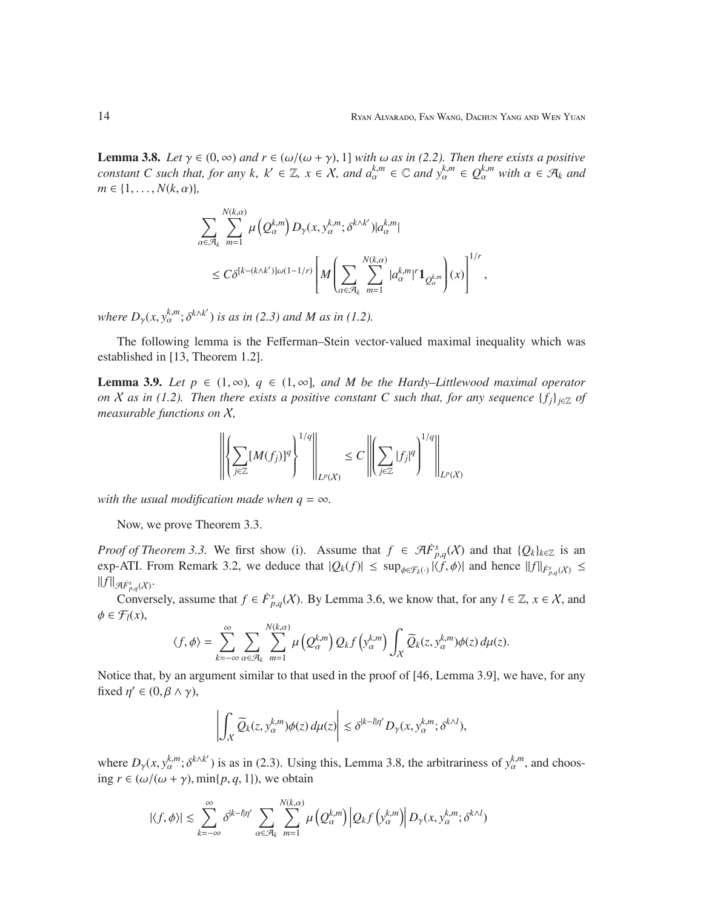**Lemma 3.8.** *Let*  $\gamma \in (0, \infty)$  *and*  $r \in (\omega/(\omega + \gamma), 1]$  *with*  $\omega$  *as in* (2.2). *Then there exists a positive constant* C such that, for any k,  $k' \in \mathbb{Z}$ ,  $x \in \mathcal{X}$ , and  $a_{\alpha}^{k,m} \in \mathbb{C}$  and  $y_{\alpha}^{k,m} \in Q_{\alpha}^{k,m}$  with  $\alpha \in \mathcal{A}_k$  and  $m \in \{1, \ldots, N(k, \alpha)\},\$ 

$$
\sum_{\alpha \in \mathcal{A}_k} \sum_{m=1}^{N(k,\alpha)} \mu\left(Q_\alpha^{k,m}\right) D_\gamma(x, y_\alpha^{k,m}; \delta^{k \wedge k'}) |a_\alpha^{k,m}|
$$
\n
$$
\leq C \delta^{[k-(k \wedge k')] \omega (1-1/r)} \left[ M \left( \sum_{\alpha \in \mathcal{A}_k} \sum_{m=1}^{N(k,\alpha)} |a_\alpha^{k,m}|^r \mathbf{1}_{Q_\alpha^{k,m}} \right) (x) \right]^{1/r},
$$

*where*  $D_{\gamma}(x, y_{\alpha}^{k,m}; \delta^{k \wedge k'})$  *is as in* (2.3) and *M as in* (1.2).

The following lemma is the Fefferman–Stein vector-valued maximal inequality which was established in [13, Theorem 1.2].

**Lemma 3.9.** *Let*  $p \in (1, \infty)$ *,*  $q \in (1, \infty)$ *, and M be the Hardy–Littlewood maximal operator on X* as in (1.2). Then there exists a positive constant C such that, for any sequence  $\{f_i\}_{i\in\mathbb{Z}}$  of *measurable functions on* X*,*

$$
\left\| \left\{ \sum_{j \in \mathbb{Z}} [M(f_j)]^q \right\}^{1/q} \right\|_{L^p(X)} \leq C \left\| \left( \sum_{j \in \mathbb{Z}} |f_j|^q \right)^{1/q} \right\|_{L^p(X)}
$$

*with the usual modification made when*  $q = \infty$ *.* 

Now, we prove Theorem 3.3.

*Proof of Theorem 3.3.* We first show (i). Assume that  $f \in \mathcal{A}F^s_{p,q}(X)$  and that  $\{Q_k\}_{k\in\mathbb{Z}}$  is an exp-ATI. From Remark 3.2, we deduce that  $|Q_k(f)| \leq \sup_{\phi \in \mathcal{F}_k(\cdot)} |\langle f, \phi \rangle|$  and hence  $||f||_{\dot{F}^s_{p,q}(\mathcal{X})} \leq$  $||f||_{\mathcal{A}\dot{F}^s_{p,q}(\mathcal{X})}.$ 

Conversely, assume that  $f \in \dot{F}_{p,q}^s(\mathcal{X})$ . By Lemma 3.6, we know that, for any  $l \in \mathbb{Z}, x \in \mathcal{X}$ , and  $\phi \in \mathcal{F}_l(x)$ ,

$$
\langle f, \phi \rangle = \sum_{k=-\infty}^{\infty} \sum_{\alpha \in \mathcal{A}_k} \sum_{m=1}^{N(k,\alpha)} \mu\left(Q_{\alpha}^{k,m}\right) Q_k f\left(y_{\alpha}^{k,m}\right) \int_{\mathcal{X}} \widetilde{Q}_k(z, y_{\alpha}^{k,m}) \phi(z) \, d\mu(z).
$$

Notice that, by an argument similar to that used in the proof of [46, Lemma 3.9], we have, for any fixed  $\eta' \in (0, \beta \wedge \gamma)$ ,

$$
\left|\int_X \widetilde{Q}_k(z,y_\alpha^{k,m})\phi(z)\,d\mu(z)\right|\lesssim \delta^{|k-l|\eta'}D_\gamma(x,y_\alpha^{k,m};\delta^{k\wedge l}),
$$

where  $D_{\gamma}(x, y_{\alpha}^{k,m}; \delta^{k \wedge k'})$  is as in (2.3). Using this, Lemma 3.8, the arbitrariness of  $y_{\alpha}^{k,m}$ , and choosing  $r \in (\omega/(\omega + \gamma), \min\{p, q, 1\})$ , we obtain

$$
|\langle f, \phi \rangle| \leq \sum_{k=-\infty}^{\infty} \delta^{|k-l|\eta'} \sum_{\alpha \in \mathcal{A}_k} \sum_{m=1}^{N(k,\alpha)} \mu\left(Q_{\alpha}^{k,m}\right) \left|Q_k f\left(y_{\alpha}^{k,m}\right)\right| D_{\gamma}(x, y_{\alpha}^{k,m}; \delta^{k\wedge l})
$$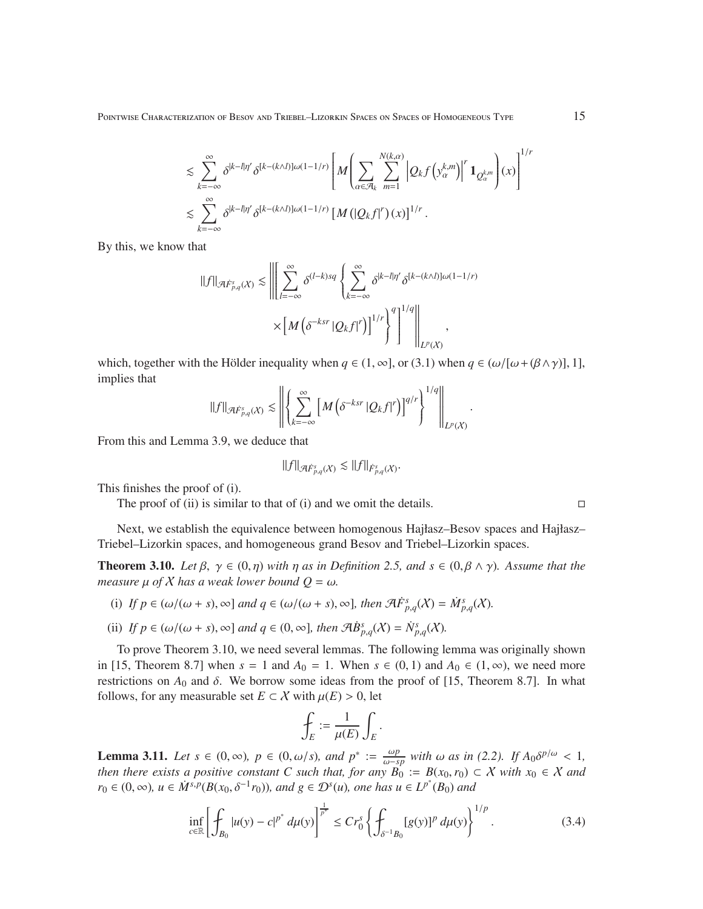Pointwise Characterization of Besov and Triebel–Lizorkin Spaces on Spaces of Homogeneous Type 15

$$
\leq \sum_{k=-\infty}^{\infty} \delta^{|k-l|\eta'} \delta^{[k-(k\wedge l)]\omega(1-1/r)} \left[ M \left( \sum_{\alpha \in \mathcal{A}_k} \sum_{m=1}^{N(k,\alpha)} \left| Q_k f \left( y_{\alpha}^{k,m} \right) \right|^r \mathbf{1}_{Q_{\alpha}^{k,m}} \right) (x) \right]^{1/2}
$$
  

$$
\leq \sum_{k=-\infty}^{\infty} \delta^{|k-l|\eta'} \delta^{[k-(k\wedge l)]\omega(1-1/r)} \left[ M \left( |Q_k f|^r \right) (x) \right]^{1/r} .
$$

By this, we know that

$$
||f||_{\mathcal{A}\dot{F}_{p,q}^{s}(X)} \lesssim \left\| \left[ \sum_{l=-\infty}^{\infty} \delta^{(l-k)sq} \left\{ \sum_{k=-\infty}^{\infty} \delta^{|k-l|\eta'} \delta^{[k-(k\wedge l)]\omega(1-1/r)} \right. \right. \times \left. \left[ M \left( \delta^{-ksr} |Q_k f|^r \right) \right]^{1/r} \right\}^{q} \right\|_{L^{p}(X)}.
$$

which, together with the Hölder inequality when  $q \in (1, \infty]$ , or (3.1) when  $q \in (\omega/[\omega + (\beta \wedge \gamma)]$ , 1], implies that

$$
\|f\|_{\mathcal{A}\dot{F}^{s}_{p,q}(\mathcal{X})}\lesssim\left\|\left\{\sum\limits_{k=-\infty}^{\infty}\left[M\left(\delta^{-ksr}\left|Q_{k}f\right|^{r}\right)\right]^{q/r}\right\}^{1/q}\right\|_{L^{p}(\mathcal{X})}.
$$

From this and Lemma 3.9, we deduce that

$$
||f||_{\mathcal{A}\dot{F}^s_{p,q}(\mathcal{X})} \lesssim ||f||_{\dot{F}^s_{p,q}(\mathcal{X})}.
$$

This finishes the proof of (i).

The proof of (ii) is similar to that of (i) and we omit the details.  $\square$ 

Next, we establish the equivalence between homogenous Hajłasz–Besov spaces and Hajłasz– Triebel–Lizorkin spaces, and homogeneous grand Besov and Triebel–Lizorkin spaces.

**Theorem 3.10.** *Let*  $\beta$ ,  $\gamma \in (0, \eta)$  *with*  $\eta$  *as in Definition 2.5, and*  $s \in (0, \beta \wedge \gamma)$ *. Assume that the measure*  $\mu$  *of*  $X$  *has a weak lower bound*  $Q = \omega$ *.* 

- (i) If  $p \in (\omega/(\omega + s), \infty]$  and  $q \in (\omega/(\omega + s), \infty]$ , then  $\mathcal{A}F_{p,q}^{s}(X) = \dot{M}_{p,q}^{s}(X)$ .
- (ii) *If*  $p \in (\omega/(\omega + s), \infty]$  *and*  $q \in (0, \infty]$ *, then*  $\mathcal{A}\dot{B}^s_{p,q}(X) = \dot{N}^s_{p,q}(X)$ *.*

To prove Theorem 3.10, we need several lemmas. The following lemma was originally shown in [15, Theorem 8.7] when  $s = 1$  and  $A_0 = 1$ . When  $s \in (0, 1)$  and  $A_0 \in (1, \infty)$ , we need more restrictions on  $A_0$  and  $\delta$ . We borrow some ideas from the proof of [15, Theorem 8.7]. In what follows, for any measurable set  $E \subset \mathcal{X}$  with  $\mu(E) > 0$ , let

$$
\oint_E := \frac{1}{\mu(E)} \int_E.
$$

**Lemma 3.11.** *Let s* ∈ (0, ∞)*, p* ∈ (0, ω/*s), and p*<sup>∗</sup> :=  $\frac{\omega p}{\omega - s}$  $\frac{\omega p}{\omega - sp}$  with  $\omega$  *as in (2.2).* If  $A_0 \delta^{p/\omega}$  < 1*, then there exists a positive constant C such that, for any*  $B_0 := B(x_0, r_0) \subset X$  *with*  $x_0 \in X$  *and r*<sub>0</sub> ∈ (0, ∞), *u* ∈  $\dot{M}^{s,p}(B(x_0, \delta^{-1}r_0))$ *, and g* ∈  $\mathcal{D}^s(u)$ *, one has u* ∈  $L^{p^*}(B_0)$  *and* 

$$
\inf_{c \in \mathbb{R}} \left[ \int_{B_0} |u(y) - c|^{p^*} d\mu(y) \right]^{\frac{1}{p^*}} \leq C r_0^s \left\{ \int_{\delta^{-1} B_0} [g(y)]^p d\mu(y) \right\}^{1/p} . \tag{3.4}
$$

1/*r*

|  | _ |  |
|--|---|--|
|  |   |  |
|  |   |  |
|  |   |  |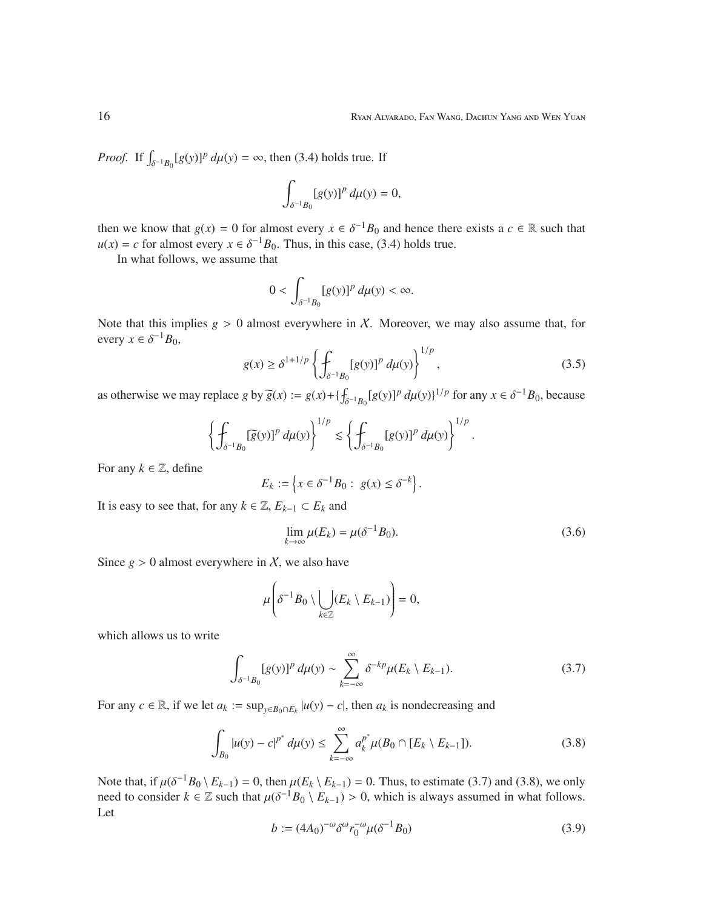*Proof.* If  $\int_{\delta^{-1}B_0} [g(y)]^p d\mu(y) = \infty$ , then (3.4) holds true. If

$$
\int_{\delta^{-1}B_0}[g(y)]^p\,d\mu(y)=0,
$$

then we know that  $g(x) = 0$  for almost every  $x \in \delta^{-1}B_0$  and hence there exists a  $c \in \mathbb{R}$  such that  $u(x) = c$  for almost every  $x \in \delta^{-1}B_0$ . Thus, in this case, (3.4) holds true.

In what follows, we assume that

$$
0<\int_{\delta^{-1}B_0}[g(y)]^p\,d\mu(y)<\infty.
$$

Note that this implies  $g > 0$  almost everywhere in X. Moreover, we may also assume that, for every  $x \in \delta^{-1}B_0$ ,

$$
g(x) \ge \delta^{1+1/p} \left\{ \int_{\delta^{-1}B_0} [g(y)]^p \, d\mu(y) \right\}^{1/p},\tag{3.5}
$$

as otherwise we may replace *g* by  $\widetilde{g}(x) := g(x) + \{\int_{\delta^{-1}B_0} [g(y)]^p d\mu(y)\}^{1/p}$  for any  $x \in \delta^{-1}B_0$ , because

$$
\left\{\int_{\delta^{-1}B_0} [\overline{g}(y)]^p d\mu(y)\right\}^{1/p} \lesssim \left\{\int_{\delta^{-1}B_0} [g(y)]^p d\mu(y)\right\}^{1/p}.
$$

For any  $k \in \mathbb{Z}$ , define

$$
E_k := \left\{ x \in \delta^{-1}B_0 : g(x) \leq \delta^{-k} \right\}.
$$

It is easy to see that, for any  $k \in \mathbb{Z}$ ,  $E_{k-1} \subset E_k$  and

$$
\lim_{k \to \infty} \mu(E_k) = \mu(\delta^{-1} B_0).
$$
\n(3.6)

Since  $g > 0$  almost everywhere in X, we also have

$$
\mu\bigg(\delta^{-1}B_0\setminus\bigcup_{k\in\mathbb{Z}}(E_k\setminus E_{k-1})\bigg)=0,
$$

which allows us to write

$$
\int_{\delta^{-1}B_0} [g(y)]^p d\mu(y) \sim \sum_{k=-\infty}^{\infty} \delta^{-kp} \mu(E_k \setminus E_{k-1}). \tag{3.7}
$$

For any  $c \in \mathbb{R}$ , if we let  $a_k := \sup_{y \in B_0 \cap E_k} |u(y) - c|$ , then  $a_k$  is nondecreasing and

$$
\int_{B_0} |u(y) - c|^{p^*} d\mu(y) \le \sum_{k=-\infty}^{\infty} a_k^{p^*} \mu(B_0 \cap [E_k \setminus E_{k-1}]).
$$
\n(3.8)

Note that, if  $\mu(\delta^{-1}B_0 \setminus E_{k-1}) = 0$ , then  $\mu(E_k \setminus E_{k-1}) = 0$ . Thus, to estimate (3.7) and (3.8), we only need to consider  $k \in \mathbb{Z}$  such that  $\mu(\delta^{-1}B_0 \setminus E_{k-1}) > 0$ , which is always assumed in what follows. Let

$$
b := (4A_0)^{-\omega} \delta^{\omega} r_0^{-\omega} \mu(\delta^{-1} B_0)
$$
\n(3.9)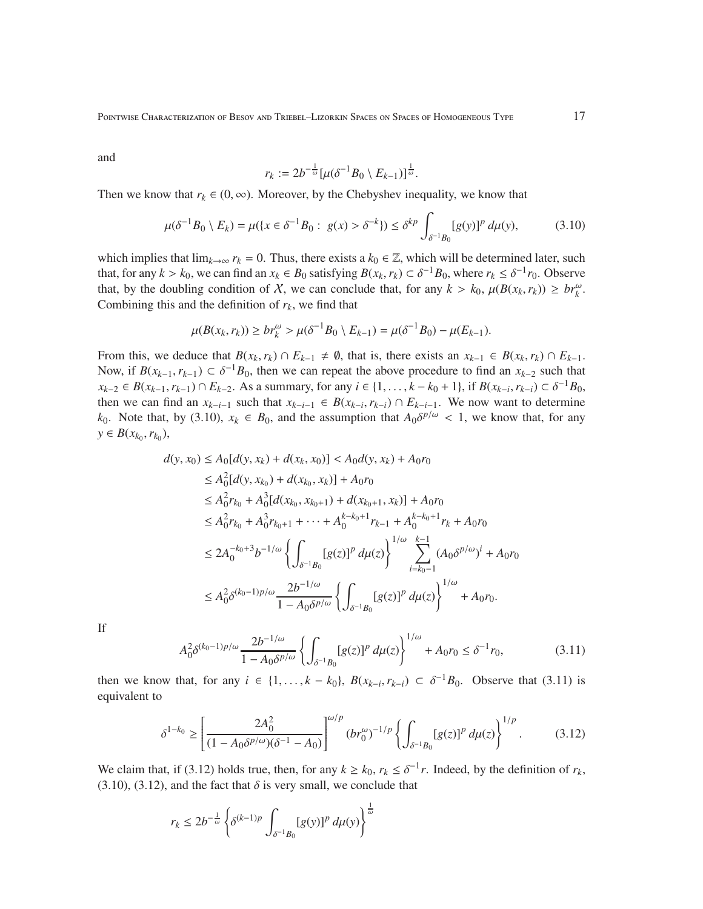Pointwise Characterization of Besov and Triebel–Lizorkin Spaces on Spaces of Homogeneous Type 17

and

$$
r_k := 2b^{-\frac{1}{\omega}}[\mu(\delta^{-1}B_0 \setminus E_{k-1})]^{\frac{1}{\omega}}.
$$

Then we know that  $r_k \in (0, \infty)$ . Moreover, by the Chebyshev inequality, we know that

$$
\mu(\delta^{-1}B_0 \setminus E_k) = \mu(\{x \in \delta^{-1}B_0 : g(x) > \delta^{-k}\}) \le \delta^{kp} \int_{\delta^{-1}B_0} [g(y)]^p \, d\mu(y),\tag{3.10}
$$

which implies that  $\lim_{k\to\infty} r_k = 0$ . Thus, there exists a  $k_0 \in \mathbb{Z}$ , which will be determined later, such that, for any  $k > k_0$ , we can find an  $x_k \in B_0$  satisfying  $B(x_k, r_k) \subset \delta^{-1}B_0$ , where  $r_k \leq \delta^{-1}r_0$ . Observe that, by the doubling condition of X, we can conclude that, for any  $k > k_0$ ,  $\mu(B(x_k, r_k)) \ge br_k^{\omega}$ . Combining this and the definition of  $r_k$ , we find that

$$
\mu(B(x_k, r_k)) \ge br_k^{\omega} > \mu(\delta^{-1}B_0 \setminus E_{k-1}) = \mu(\delta^{-1}B_0) - \mu(E_{k-1}).
$$

From this, we deduce that  $B(x_k, r_k) \cap E_{k-1} \neq \emptyset$ , that is, there exists an  $x_{k-1} \in B(x_k, r_k) \cap E_{k-1}$ . Now, if  $B(x_{k-1}, r_{k-1}) \subset \delta^{-1}B_0$ , then we can repeat the above procedure to find an  $x_{k-2}$  such that  $x_{k-2} \in B(x_{k-1}, r_{k-1}) \cap E_{k-2}$ . As a summary, for any  $i \in \{1, ..., k-k_0+1\}$ , if  $B(x_{k-i}, r_{k-i}) \subset \delta^{-1}B_0$ , then we can find an  $x_{k-i-1}$  such that  $x_{k-i-1} \in B(x_{k-i}, r_{k-i}) \cap E_{k-i-1}$ . We now want to determine *k*<sub>0</sub>. Note that, by (3.10),  $x_k \in B_0$ , and the assumption that  $A_0 \delta^{p/\omega} < 1$ , we know that, for any *y* ∈ *B*( $x_{k_0}, r_{k_0}$ ),

$$
d(y, x_0) \le A_0[d(y, x_k) + d(x_k, x_0)] < A_0d(y, x_k) + A_0r_0
$$
  
\n
$$
\le A_0^2[d(y, x_{k_0}) + d(x_{k_0}, x_k)] + A_0r_0
$$
  
\n
$$
\le A_0^2r_{k_0} + A_0^3[d(x_{k_0}, x_{k_0+1}) + d(x_{k_0+1}, x_k)] + A_0r_0
$$
  
\n
$$
\le A_0^2r_{k_0} + A_0^3r_{k_0+1} + \dots + A_0^{k-k_0+1}r_{k-1} + A_0^{k-k_0+1}r_k + A_0r_0
$$
  
\n
$$
\le 2A_0^{-k_0+3}b^{-1/\omega}\left\{\int_{\delta^{-1}B_0} [g(z)]^p d\mu(z)\right\}^{1/\omega} \sum_{i=k_0-1}^{k-1} (A_0\delta^{p/\omega})^i + A_0r_0
$$
  
\n
$$
\le A_0^2\delta^{(k_0-1)p/\omega} \frac{2b^{-1/\omega}}{1 - A_0\delta^{p/\omega}} \left\{\int_{\delta^{-1}B_0} [g(z)]^p d\mu(z)\right\}^{1/\omega} + A_0r_0.
$$

If

$$
A_0^2 \delta^{(k_0 - 1)p/\omega} \frac{2b^{-1/\omega}}{1 - A_0 \delta^{p/\omega}} \left\{ \int_{\delta^{-1}B_0} [g(z)]^p \, d\mu(z) \right\}^{1/\omega} + A_0 r_0 \le \delta^{-1} r_0,\tag{3.11}
$$

then we know that, for any  $i \in \{1, \ldots, k - k_0\}$ ,  $B(x_{k-i}, r_{k-i}) \subset \delta^{-1}B_0$ . Observe that (3.11) is equivalent to

$$
\delta^{1-k_0} \ge \left[ \frac{2A_0^2}{(1 - A_0 \delta^{p/\omega})(\delta^{-1} - A_0)} \right]^{\omega/p} (br_0^{\omega})^{-1/p} \left\{ \int_{\delta^{-1}B_0} [g(z)]^p \, d\mu(z) \right\}^{1/p} . \tag{3.12}
$$

We claim that, if (3.12) holds true, then, for any  $k \geq k_0$ ,  $r_k \leq \delta^{-1}r$ . Indeed, by the definition of  $r_k$ , (3.10), (3.12), and the fact that  $\delta$  is very small, we conclude that

$$
r_k \le 2b^{-\frac{1}{\omega}} \left\{ \delta^{(k-1)p} \int_{\delta^{-1}B_0} [g(y)]^p \, d\mu(y) \right\}^{\frac{1}{\omega}}
$$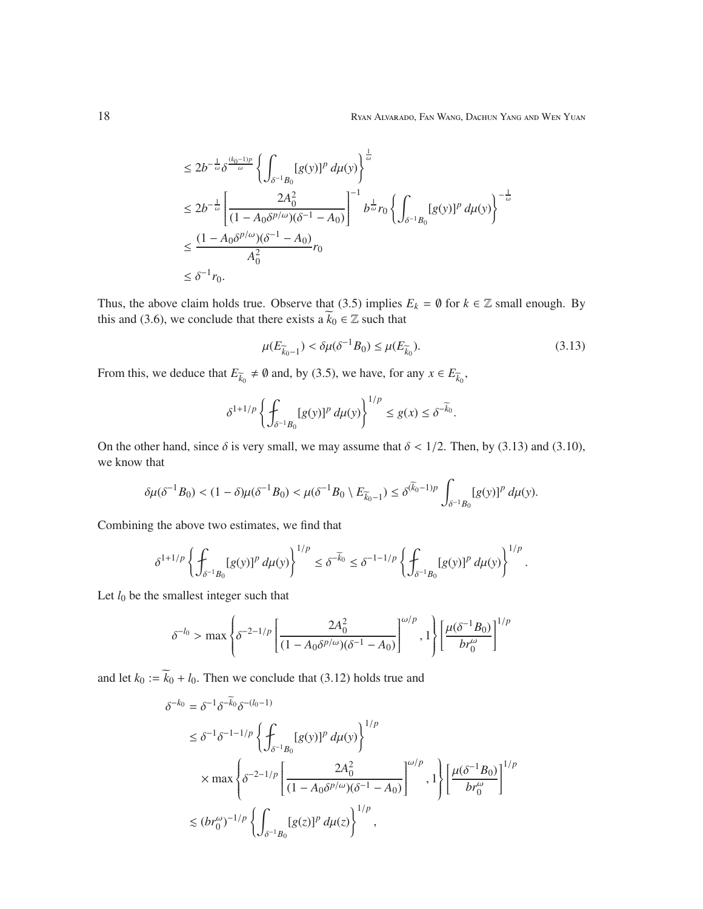$$
\leq 2b^{-\frac{1}{\omega}}\delta^{\frac{(k_0-1)p}{\omega}} \left\{ \int_{\delta^{-1}B_0} [g(y)]^p \, d\mu(y) \right\}^{\frac{1}{\omega}}
$$
\n
$$
\leq 2b^{-\frac{1}{\omega}} \left[ \frac{2A_0^2}{(1 - A_0 \delta^{p/\omega})(\delta^{-1} - A_0)} \right]^{-1} b^{\frac{1}{\omega}} r_0 \left\{ \int_{\delta^{-1}B_0} [g(y)]^p \, d\mu(y) \right\}^{-\frac{1}{\omega}}
$$
\n
$$
\leq \frac{(1 - A_0 \delta^{p/\omega})(\delta^{-1} - A_0)}{A_0^2} r_0
$$
\n
$$
\leq \delta^{-1} r_0.
$$

Thus, the above claim holds true. Observe that (3.5) implies  $E_k = \emptyset$  for  $k \in \mathbb{Z}$  small enough. By this and (3.6), we conclude that there exists a  $\widetilde{k}_0 \in \mathbb{Z}$  such that

$$
\mu(E_{\overline{k}_0 - 1}) < \delta \mu(\delta^{-1} B_0) \le \mu(E_{\overline{k}_0}).\tag{3.13}
$$

From this, we deduce that  $E_{\overline{k}_0} \neq \emptyset$  and, by (3.5), we have, for any  $x \in E_{\overline{k}_0}$ ,

$$
\delta^{1+1/p}\left\{\int_{\delta^{-1}B_0}[g(y)]^p\,d\mu(y)\right\}^{1/p}\leq g(x)\leq \delta^{-\widetilde{k}_0}.
$$

On the other hand, since  $\delta$  is very small, we may assume that  $\delta < 1/2$ . Then, by (3.13) and (3.10), we know that

$$
\delta \mu(\delta^{-1}B_0)<(1-\delta)\mu(\delta^{-1}B_0)<\mu(\delta^{-1}B_0\setminus E_{\widetilde{k}_0-1})\leq \delta^{(\widetilde{k}_0-1)p}\int_{\delta^{-1}B_0}[g(y)]^p\ d\mu(y).
$$

Combining the above two estimates, we find that

$$
\delta^{1+1/p}\left\{\int_{\delta^{-1}B_0}[g(y)]^p\,d\mu(y)\right\}^{1/p}\leq\delta^{-\widetilde k_0}\leq\delta^{-1-1/p}\left\{\int_{\delta^{-1}B_0}[g(y)]^p\,d\mu(y)\right\}^{1/p}.
$$

Let  $l_0$  be the smallest integer such that

$$
\delta^{-l_0} > \max \left\{ \delta^{-2-1/p} \left[ \frac{2A_0^2}{(1 - A_0 \delta^{p/\omega})(\delta^{-1} - A_0)} \right]^{\omega/p}, 1 \right\} \left[ \frac{\mu(\delta^{-1}B_0)}{br_0^{\omega}} \right]^{1/p}
$$

and let  $k_0 := \widetilde{k}_0 + l_0$ . Then we conclude that (3.12) holds true and

$$
\delta^{-k_0} = \delta^{-1} \delta^{-\widetilde{k}_0} \delta^{-(l_0-1)} \n\leq \delta^{-1} \delta^{-1-1/p} \left\{ \int_{\delta^{-1}B_0} [g(y)]^p \, d\mu(y) \right\}^{1/p} \n\times \max \left\{ \delta^{-2-1/p} \left[ \frac{2A_0^2}{(1 - A_0 \delta^{p/\omega})(\delta^{-1} - A_0)} \right]^{\omega/p}, 1 \right\} \left[ \frac{\mu(\delta^{-1}B_0)}{br_0^{\omega}} \right]^{1/p} \n\leq (br_0^{\omega})^{-1/p} \left\{ \int_{\delta^{-1}B_0} [g(z)]^p \, d\mu(z) \right\}^{1/p},
$$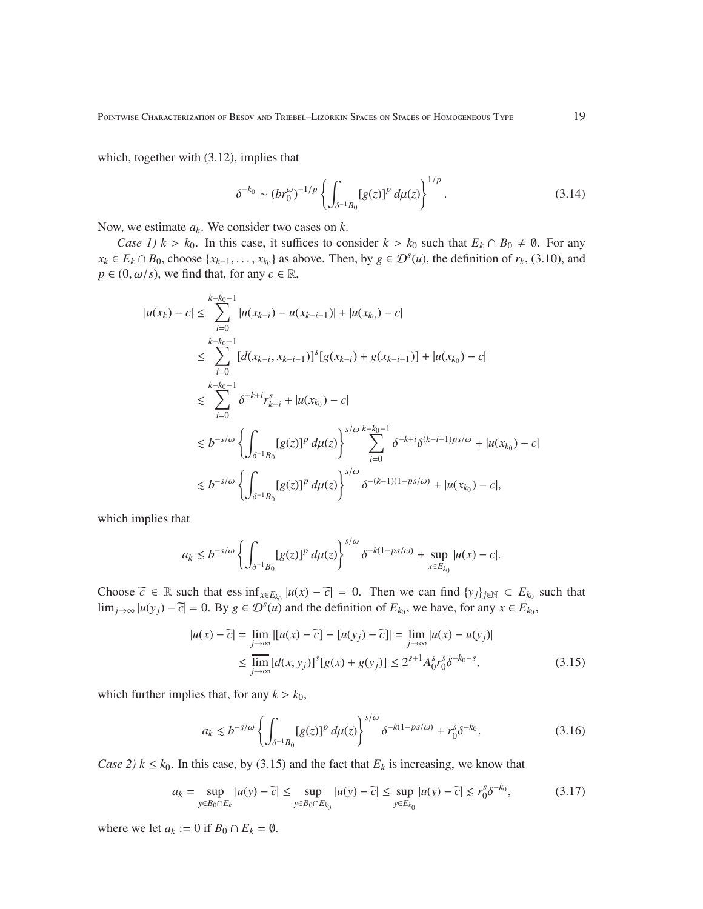which, together with  $(3.12)$ , implies that

$$
\delta^{-k_0} \sim (br_0^{\omega})^{-1/p} \left\{ \int_{\delta^{-1}B_0} [g(z)]^p \, d\mu(z) \right\}^{1/p} . \tag{3.14}
$$

Now, we estimate *ak*. We consider two cases on *k*.

*Case 1)*  $k > k_0$ . In this case, it suffices to consider  $k > k_0$  such that  $E_k \cap B_0 \neq \emptyset$ . For any *x*<sup>*k*</sup> ∈ *E<sub><i>k*</sub></sub> ∩ *B*<sub>0</sub>, choose {*x<sub><i>k*−1</sub>, . . . , *x<sub>k*0</sub></sub>} as above. Then, by *g* ∈  $\mathcal{D}^s(u)$ , the definition of *r<sub>k</sub>*, (3.10), and  $p \in (0, \omega/s)$ , we find that, for any  $c \in \mathbb{R}$ ,

$$
|u(x_k) - c| \leq \sum_{i=0}^{k-k_0-1} |u(x_{k-i}) - u(x_{k-i-1})| + |u(x_{k_0}) - c|
$$
  
\n
$$
\leq \sum_{i=0}^{k-k_0-1} [d(x_{k-i}, x_{k-i-1})]^s [g(x_{k-i}) + g(x_{k-i-1})] + |u(x_{k_0}) - c|
$$
  
\n
$$
\leq \sum_{i=0}^{k-k_0-1} \delta^{-k+i} r_{k-i}^s + |u(x_{k_0}) - c|
$$
  
\n
$$
\leq b^{-s/\omega} \left\{ \int_{\delta^{-1}B_0} [g(z)]^p d\mu(z) \right\}^{s/\omega} \sum_{i=0}^{k-k_0-1} \delta^{-k+i} \delta^{(k-i-1)ps/\omega} + |u(x_{k_0}) - c|
$$
  
\n
$$
\leq b^{-s/\omega} \left\{ \int_{\delta^{-1}B_0} [g(z)]^p d\mu(z) \right\}^{s/\omega} \delta^{-(k-1)(1-ps/\omega)} + |u(x_{k_0}) - c|,
$$

which implies that

$$
a_k\lesssim b^{-s/\omega}\left\{\int_{\delta^{-1}B_0}[g(z)]^p\ d\mu(z)\right\}^{s/\omega}\delta^{-k(1-ps/\omega)}+\sup_{x\in E_{k_0}}|u(x)-c|.
$$

Choose  $\widetilde{c} \in \mathbb{R}$  such that ess  $\inf_{x \in E_{k_0}} |u(x) - \widetilde{c}| = 0$ . Then we can find  $\{y_j\}_{j \in \mathbb{N}} \subset E_{k_0}$  such that  $\lim_{j\to\infty} |u(y_j) - \overline{c}| = 0$ . By *g* ∈  $\mathcal{D}^s(u)$  and the definition of  $E_{k_0}$ , we have, for any  $x \in E_{k_0}$ ,

$$
|u(x) - \overline{c}| = \lim_{j \to \infty} |[u(x) - \overline{c}] - [u(y_j) - \overline{c}]| = \lim_{j \to \infty} |u(x) - u(y_j)|
$$
  
 
$$
\leq \lim_{j \to \infty} [d(x, y_j)]^s [g(x) + g(y_j)] \leq 2^{s+1} A_0^s r_0^s \delta^{-k_0 - s},
$$
 (3.15)

which further implies that, for any  $k > k_0$ ,

$$
a_k \lesssim b^{-s/\omega} \left\{ \int_{\delta^{-1}B_0} [g(z)]^p \, d\mu(z) \right\}^{s/\omega} \delta^{-k(1 - ps/\omega)} + r_0^s \delta^{-k_0}.
$$
 (3.16)

*Case 2)*  $k \leq k_0$ . In this case, by (3.15) and the fact that  $E_k$  is increasing, we know that

$$
a_k = \sup_{y \in B_0 \cap E_k} |u(y) - \overline{c}| \le \sup_{y \in B_0 \cap E_{k_0}} |u(y) - \overline{c}| \le \sup_{y \in E_{k_0}} |u(y) - \overline{c}| \le r_0^s \delta^{-k_0},\tag{3.17}
$$

where we let  $a_k := 0$  if  $B_0 \cap E_k = \emptyset$ .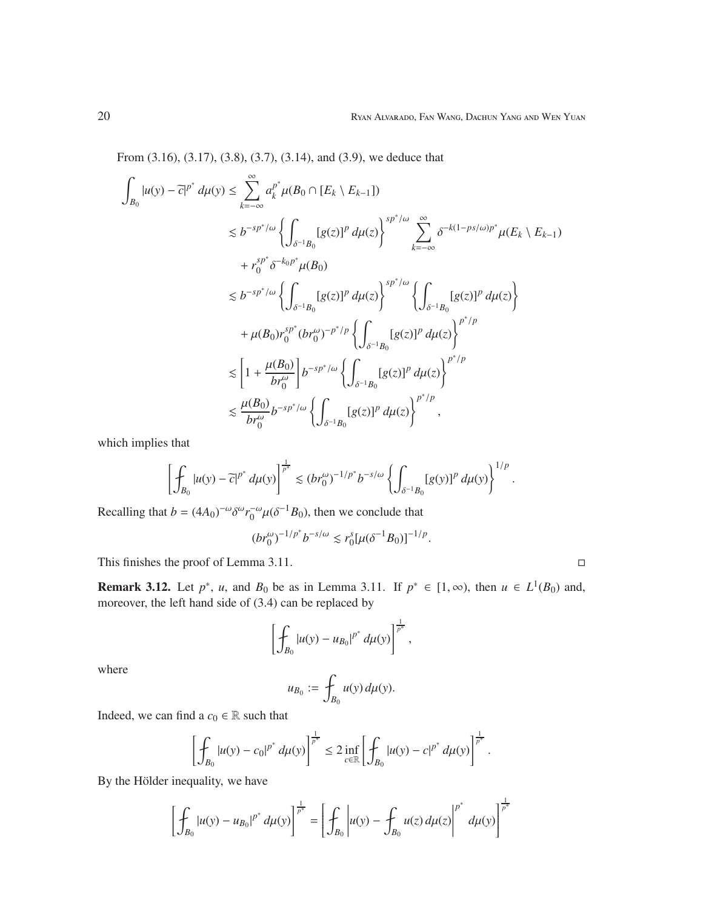From (3.16), (3.17), (3.8), (3.7), (3.14), and (3.9), we deduce that

$$
\int_{B_0} |u(y) - \overline{c}|^{p^*} d\mu(y) \le \sum_{k=-\infty}^{\infty} a_k^{p^*} \mu(B_0 \cap [E_k \setminus E_{k-1}])
$$
\n
$$
\lesssim b^{-sp^*/\omega} \left\{ \int_{\delta^{-1}B_0} [g(z)]^p d\mu(z) \right\}^{sp^*/\omega} \sum_{k=-\infty}^{\infty} \delta^{-k(1-ps/\omega)p^*} \mu(E_k \setminus E_{k-1})
$$
\n
$$
+ r_0^{sp^*} \delta^{-k_0 p^*} \mu(B_0)
$$
\n
$$
\lesssim b^{-sp^*/\omega} \left\{ \int_{\delta^{-1}B_0} [g(z)]^p d\mu(z) \right\}^{sp^*/\omega} \left\{ \int_{\delta^{-1}B_0} [g(z)]^p d\mu(z) \right\}
$$
\n
$$
+ \mu(B_0) r_0^{sp^*} (br_0^{\omega})^{-p^*/p} \left\{ \int_{\delta^{-1}B_0} [g(z)]^p d\mu(z) \right\}^{p^*/p}
$$
\n
$$
\lesssim \left[ 1 + \frac{\mu(B_0)}{br_0^{\omega}} \right] b^{-sp^*/\omega} \left\{ \int_{\delta^{-1}B_0} [g(z)]^p d\mu(z) \right\}^{p^*/p}
$$
\n
$$
\lesssim \frac{\mu(B_0)}{br_0^{\omega}} b^{-sp^*/\omega} \left\{ \int_{\delta^{-1}B_0} [g(z)]^p d\mu(z) \right\}^{p^*/p},
$$

which implies that

$$
\left[\oint_{B_0}|u(y)-\widetilde{c}|^{p^*}\,d\mu(y)\right]^{\frac{1}{p^*}}\lesssim (br_0^\omega)^{-1/p^*}b^{-s/\omega}\left\{\int_{\delta^{-1}B_0}[g(y)]^p\,d\mu(y)\right\}^{1/p}.
$$

Recalling that  $b = (4A_0)^{-\omega} \delta^{\omega} r_0^{-\omega} \mu (\delta^{-1} B_0)$ , then we conclude that

$$
(br_0^{\omega})^{-1/p^*}b^{-s/\omega} \lesssim r_0^s[\mu(\delta^{-1}B_0)]^{-1/p}.
$$

This finishes the proof of Lemma 3.11.  $\Box$ 

**Remark 3.12.** Let  $p^*$ , *u*, and  $B_0$  be as in Lemma 3.11. If  $p^* \in [1, \infty)$ , then  $u \in L^1(B_0)$  and, moreover, the left hand side of (3.4) can be replaced by

$$
\left[\oint_{B_0} |u(y) - u_{B_0}|^{p^*} d\mu(y)\right]^{\frac{1}{p^*}},
$$

where

$$
u_{B_0} := \int_{B_0} u(y) d\mu(y).
$$

Indeed, we can find a  $c_0 \in \mathbb{R}$  such that

$$
\left[\oint_{B_0} |u(y)-c_0|^{p^*} d\mu(y)\right]^{\frac{1}{p^*}} \leq 2 \inf_{c \in \mathbb{R}} \left[\oint_{B_0} |u(y)-c|^{p^*} d\mu(y)\right]^{\frac{1}{p^*}}.
$$

By the Hölder inequality, we have

$$
\left[\oint_{B_0} |u(y) - u_{B_0}|^{p^*} d\mu(y)\right]^{\frac{1}{p^*}} = \left[\oint_{B_0} |u(y) - \oint_{B_0} u(z) d\mu(z)\right]^{p^*} d\mu(y)\right]^{\frac{1}{p^*}}
$$

1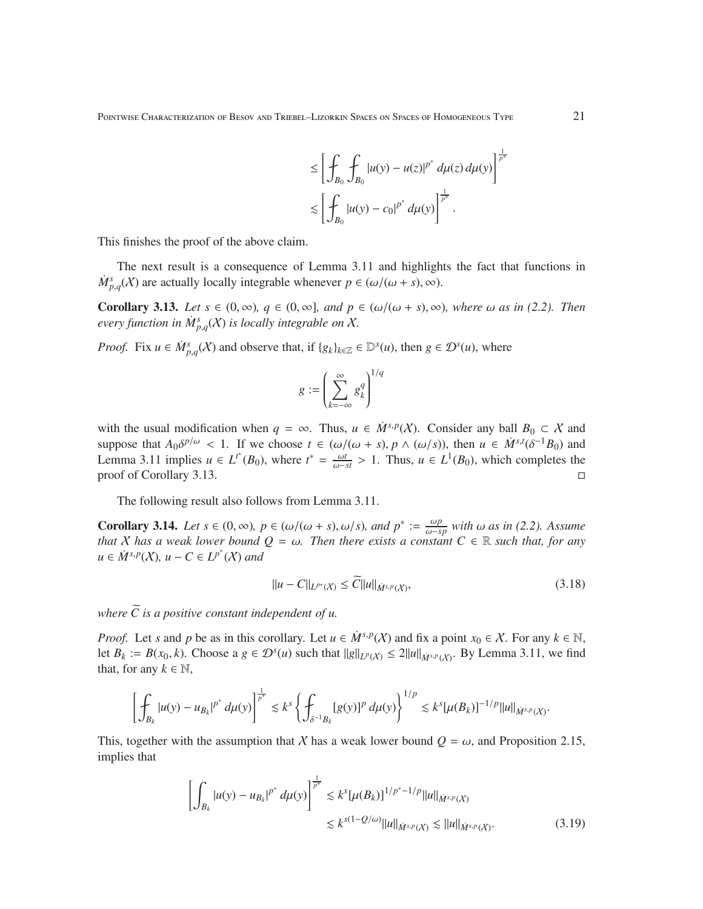$$
\leq \left[ \oint_{B_0} \oint_{B_0} |u(y) - u(z)|^{p^*} d\mu(z) d\mu(y) \right]^{\frac{1}{p^*}} \n\lesssim \left[ \oint_{B_0} |u(y) - c_0|^{p^*} d\mu(y) \right]^{\frac{1}{p^*}}.
$$

This finishes the proof of the above claim.

The next result is a consequence of Lemma 3.11 and highlights the fact that functions in  $\dot{M}_{p,q}^s(\mathcal{X})$  are actually locally integrable whenever  $p \in (\omega/(\omega + s), \infty)$ .

**Corollary 3.13.** *Let*  $s \in (0, \infty)$ *,*  $q \in (0, \infty)$ *, and*  $p \in (\omega/(\omega + s), \infty)$ *, where*  $\omega$  *as in* (2.2). *Then every function in*  $\dot{M}_{p,q}^s(X)$  *is locally integrable on* X.

*Proof.* Fix  $u \in \dot{M}_{p,q}^s(\mathcal{X})$  and observe that, if  $\{g_k\}_{k \in \mathbb{Z}} \in \mathbb{D}^s(u)$ , then  $g \in \mathcal{D}^s(u)$ , where

$$
g := \left(\sum_{k=-\infty}^{\infty} g_k^q\right)^{1/q}
$$

with the usual modification when  $q = \infty$ . Thus,  $u \in \dot{M}^{s,p}(\mathcal{X})$ . Consider any ball  $B_0 \subset \mathcal{X}$  and suppose that  $A_0 \delta^{p/\omega} < 1$ . If we choose  $t \in (\omega/(\omega + s), p \wedge (\omega/s))$ , then  $u \in \dot{M}^{s,t}(\delta^{-1}B_0)$  and Lemma 3.11 implies  $u \in L^{t^*}(B_0)$ , where  $t^* = \frac{\omega t}{\omega - st} > 1$ . Thus,  $u \in L^1(B_0)$ , which completes the proof of Corollary 3.13.

The following result also follows from Lemma 3.11.

**Corollary 3.14.** *Let*  $s \in (0, \infty)$ ,  $p \in (\omega/(\omega + s), \omega/s)$ , and  $p^* := \frac{\omega p}{\omega - s}$ ω−*sp with* ω *as in (2.2). Assume that* X has a weak lower bound  $Q = \omega$ . Then there exists a constant  $C \in \mathbb{R}$  such that, for any  $u \in \dot{M}^{s,p}(X)$ ,  $u - C \in L^{p^*}(X)$  and

$$
||u - C||_{L^{p^*}(X)} \le C||u||_{\dot{M}^{s,p}(X)},
$$
\n(3.18)

*where*  $\tilde{C}$  *is a positive constant independent of u.* 

*Proof.* Let *s* and *p* be as in this corollary. Let  $u \in M^{s,p}(X)$  and fix a point  $x_0 \in X$ . For any  $k \in \mathbb{N}$ , let  $B_k := B(x_0, k)$ . Choose a  $g \in \mathcal{D}^s(u)$  such that  $||g||_{L^p(\mathcal{X})} \le 2||u||_{\dot{M}^{s,p}(\mathcal{X})}$ . By Lemma 3.11, we find that, for any  $k \in \mathbb{N}$ ,

$$
\left[\int_{B_k} |u(y) - u_{B_k}|^{p^*} d\mu(y)\right]^{\frac{1}{p^*}} \lesssim k^s \left\{\int_{\delta^{-1}B_k} [g(y)]^p d\mu(y)\right\}^{1/p} \lesssim k^s [\mu(B_k)]^{-1/p} ||u||_{\dot{M}^{s,p}(X)}.
$$

This, together with the assumption that X has a weak lower bound  $Q = \omega$ , and Proposition 2.15, implies that

$$
\left[\int_{B_k} |u(y) - u_{B_k}|^{p^*} d\mu(y)\right]^{\frac{1}{p^*}} \lesssim k^s [\mu(B_k)]^{1/p^* - 1/p} ||u||_{\dot{M}^{s,p}(X)}
$$
  

$$
\lesssim k^{s(1-Q/\omega)} ||u||_{\dot{M}^{s,p}(X)} \lesssim ||u||_{\dot{M}^{s,p}(X)}.
$$
 (3.19)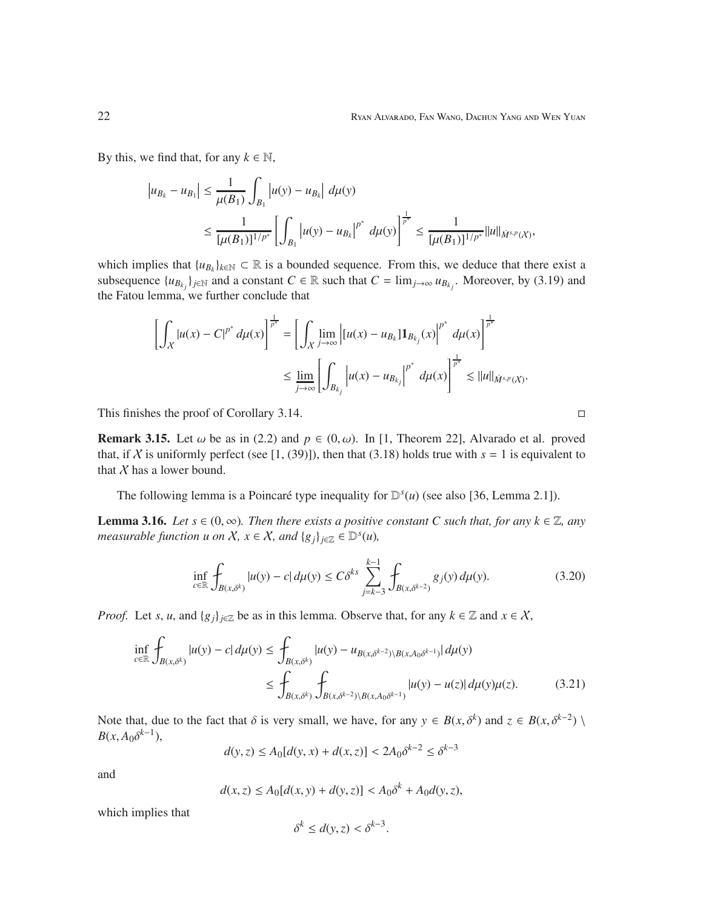By this, we find that, for any  $k \in \mathbb{N}$ ,

$$
\begin{aligned} \left|u_{B_k}-u_{B_1}\right|&\leq \frac{1}{\mu(B_1)}\int_{B_1}\left|u(y)-u_{B_k}\right|\,d\mu(y)\\ &\leq \frac{1}{[\mu(B_1)]^{1/p^*}}\left[\int_{B_1}\left|u(y)-u_{B_k}\right|^{p^*}\,d\mu(y)\right]^{\frac{1}{p^*}}\leq \frac{1}{[\mu(B_1)]^{1/p^*}}\|u\|_{\dot{M}^{s,p}(X)}, \end{aligned}
$$

which implies that  $\{u_{B_k}\}_{k\in\mathbb{N}} \subset \mathbb{R}$  is a bounded sequence. From this, we deduce that there exist a subsequence  $\{u_{B_{k_j}}\}_{j\in\mathbb{N}}$  and a constant  $C \in \mathbb{R}$  such that  $C = \lim_{j\to\infty} u_{B_{k_j}}$ . Moreover, by (3.19) and the Fatou lemma, we further conclude that

$$
\left[ \int_X |u(x) - C|^{p^*} d\mu(x) \right]^{\frac{1}{p^*}} = \left[ \int_X \lim_{j \to \infty} \left| [u(x) - u_{B_k}] \mathbf{1}_{B_{k_j}}(x) \right|^{p^*} d\mu(x) \right]^{\frac{1}{p^*}} \leq \lim_{j \to \infty} \left[ \int_{B_{k_j}} |u(x) - u_{B_{k_j}}|^{p^*} d\mu(x) \right]^{\frac{1}{p^*}} \lesssim ||u||_{\dot{M}^{s,p}(X)}.
$$

This finishes the proof of Corollary 3.14.

**Remark 3.15.** Let  $\omega$  be as in (2.2) and  $p \in (0, \omega)$ . In [1, Theorem 22], Alvarado et al. proved that, if X is uniformly perfect (see [1, (39)]), then that (3.18) holds true with  $s = 1$  is equivalent to that  $X$  has a lower bound.

The following lemma is a Poincaré type inequality for  $\mathbb{D}^s(u)$  (see also [36, Lemma 2.1]).

**Lemma 3.16.** *Let*  $s \in (0, \infty)$ *. Then there exists a positive constant C such that, for any*  $k \in \mathbb{Z}$ *, any measurable function u on*  $X, x \in X$ *, and*  ${g_j}_{j \in \mathbb{Z}} \in \mathbb{D}^s(u)$ *,* 

$$
\inf_{c \in \mathbb{R}} \int_{B(x,\delta^k)} |u(y) - c| \, d\mu(y) \le C\delta^{ks} \sum_{j=k-3}^{k-1} \int_{B(x,\delta^{k-2})} g_j(y) \, d\mu(y). \tag{3.20}
$$

*Proof.* Let *s*, *u*, and { $g_j$ }<sub>*j*∈Z</sub> be as in this lemma. Observe that, for any  $k \in \mathbb{Z}$  and  $x \in \mathcal{X}$ ,

$$
\inf_{c \in \mathbb{R}} \int_{B(x,\delta^k)} |u(y) - c| d\mu(y) \le \int_{B(x,\delta^k)} |u(y) - u_{B(x,\delta^{k-2}) \setminus B(x,A_0\delta^{k-1})}| d\mu(y) \le \int_{B(x,\delta^k)} \int_{B(x,\delta^{k-2}) \setminus B(x,A_0\delta^{k-1})} |u(y) - u(z)| d\mu(y) \mu(z).
$$
\n(3.21)

Note that, due to the fact that  $\delta$  is very small, we have, for any  $y \in B(x, \delta^k)$  and  $z \in B(x, \delta^{k-2})$  $B(x, A_0 \delta^{k-1}),$ 

$$
d(y, z) \le A_0[d(y, x) + d(x, z)] < 2A_0 \delta^{k-2} \le \delta^{k-3}
$$

and

$$
d(x, z) \le A_0[d(x, y) + d(y, z)] < A_0 \delta^k + A_0 d(y, z),
$$

which implies that

$$
\delta^k \le d(y, z) < \delta^{k-3}.
$$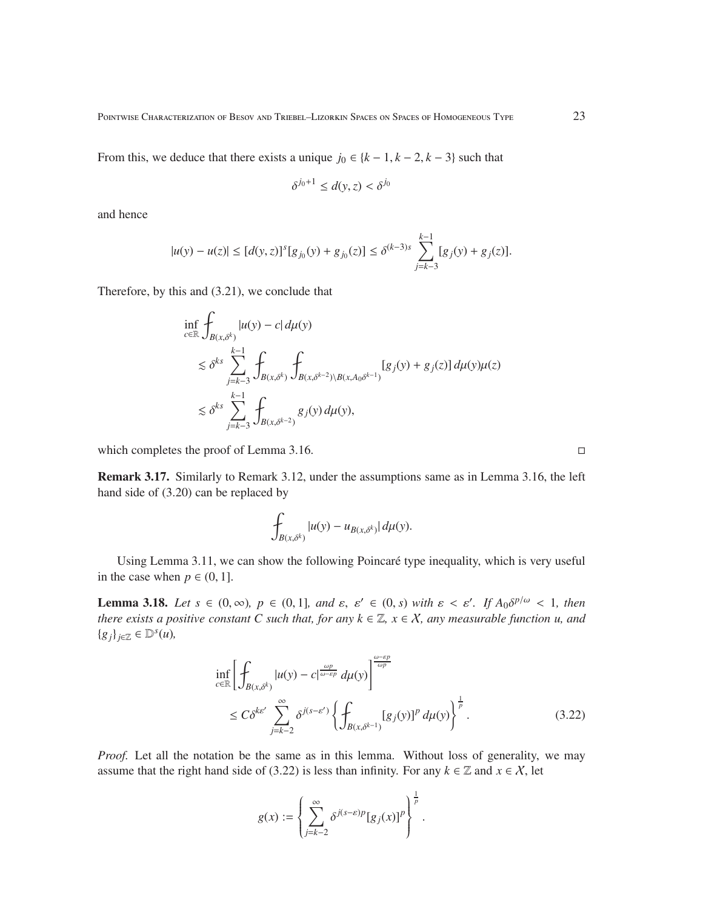From this, we deduce that there exists a unique  $j_0 \in \{k-1, k-2, k-3\}$  such that

$$
\delta^{j_0+1} \le d(y, z) < \delta^{j_0}
$$

and hence

$$
|u(y) - u(z)| \le [d(y, z)]^s [g_{j_0}(y) + g_{j_0}(z)] \le \delta^{(k-3)s} \sum_{j=k-3}^{k-1} [g_j(y) + g_j(z)].
$$

Therefore, by this and (3.21), we conclude that

$$
\inf_{c \in \mathbb{R}} \int_{B(x,\delta^k)} |u(y) - c| d\mu(y) \n\lesssim \delta^{ks} \sum_{j=k-3}^{k-1} \int_{B(x,\delta^k)} \int_{B(x,\delta^{k-2}) \setminus B(x,A_0 \delta^{k-1})} [g_j(y) + g_j(z)] d\mu(y) \mu(z) \n\lesssim \delta^{ks} \sum_{j=k-3}^{k-1} \int_{B(x,\delta^{k-2})} g_j(y) d\mu(y),
$$

which completes the proof of Lemma 3.16.

Remark 3.17. Similarly to Remark 3.12, under the assumptions same as in Lemma 3.16, the left hand side of (3.20) can be replaced by

$$
\int_{B(x,\delta^k)} |u(y) - u_{B(x,\delta^k)}| \, d\mu(y).
$$

Using Lemma 3.11, we can show the following Poincaré type inequality, which is very useful in the case when  $p \in (0, 1]$ .

**Lemma 3.18.** *Let*  $s \in (0, \infty)$ ,  $p \in (0, 1]$ , and  $\varepsilon, \varepsilon' \in (0, s)$  with  $\varepsilon < \varepsilon'$ . If  $A_0 \delta^{p/\omega} < 1$ , then *there exists a positive constant C such that, for any*  $k \in \mathbb{Z}$ *,*  $x \in \mathcal{X}$ *, any measurable function u, and* {*gj*}*j*∈<sup>Z</sup> ∈ D *s* (*u*)*,*

$$
\inf_{c \in \mathbb{R}} \left[ \int_{B(x,\delta^k)} |u(y) - c|^{\frac{\omega p}{\omega - \varepsilon p}} d\mu(y) \right]^{\frac{\omega - \varepsilon p}{\omega p}} \n\leq C\delta^{k\varepsilon'} \sum_{j=k-2}^{\infty} \delta^{j(s-\varepsilon')} \left\{ \int_{B(x,\delta^{k-1})} [g_j(y)]^p d\mu(y) \right\}^{\frac{1}{p}}.
$$
\n(3.22)

*Proof.* Let all the notation be the same as in this lemma. Without loss of generality, we may assume that the right hand side of (3.22) is less than infinity. For any  $k \in \mathbb{Z}$  and  $x \in \mathcal{X}$ , let

$$
g(x) := \left\{ \sum_{j=k-2}^{\infty} \delta^{j(s-\varepsilon)p} [g_j(x)]^p \right\}^{\frac{1}{p}}.
$$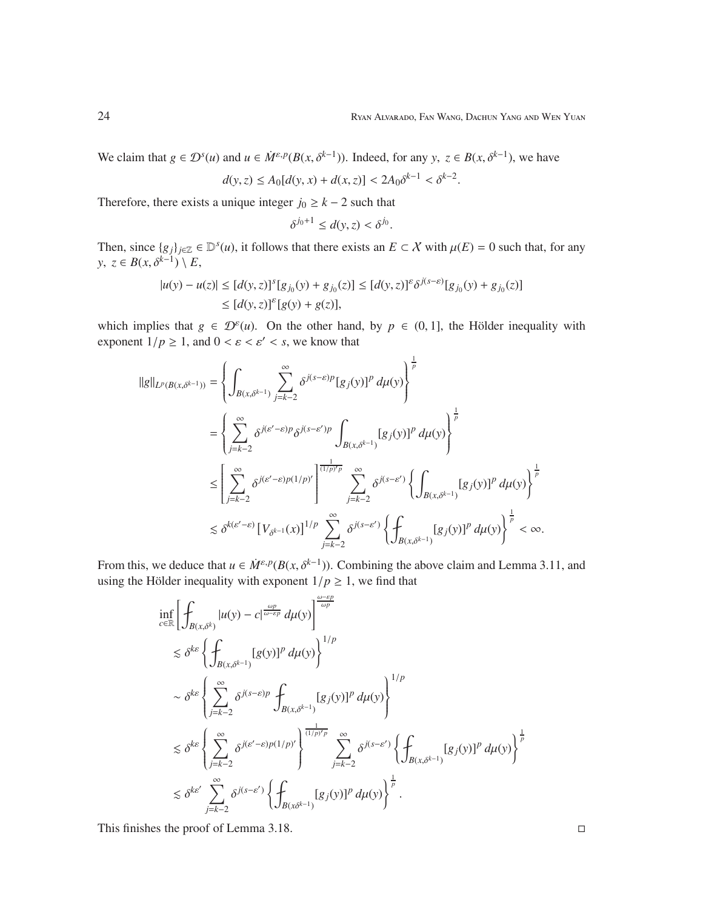We claim that  $g \in \mathcal{D}^s(u)$  and  $u \in \dot{M}^{\varepsilon,p}(B(x,\delta^{k-1}))$ . Indeed, for any  $y, z \in B(x,\delta^{k-1})$ , we have

$$
d(y, z) \le A_0[d(y, x) + d(x, z)] < 2A_0 \delta^{k-1} < \delta^{k-2}.
$$

Therefore, there exists a unique integer  $j_0 \geq k - 2$  such that

$$
\delta^{j_0+1} \le d(y, z) < \delta^{j_0}.
$$

Then, since  $\{g_j\}_{j\in\mathbb{Z}} \in \mathbb{D}^s(u)$ , it follows that there exists an  $E \subset \mathcal{X}$  with  $\mu(E) = 0$  such that, for any *y*, *z* ∈ *B*(*x*,  $\delta^{k-1}$ ) \ *E*,

$$
|u(y) - u(z)| \le [d(y, z)]^s [g_{j_0}(y) + g_{j_0}(z)] \le [d(y, z)]^{\varepsilon} \delta^{j(s-\varepsilon)} [g_{j_0}(y) + g_{j_0}(z)] \le [d(y, z)]^{\varepsilon} [g(y) + g(z)],
$$

which implies that  $g \in \mathcal{D}^{\varepsilon}(u)$ . On the other hand, by  $p \in (0, 1]$ , the Hölder inequality with exponent  $1/p \ge 1$ , and  $0 < \varepsilon < \varepsilon' < s$ , we know that

$$
\begin{split} ||g||_{L^p(B(x,\delta^{k-1}))} &= \left\{ \int_{B(x,\delta^{k-1})} \sum_{j=k-2}^{\infty} \delta^{j(s-\varepsilon)p} [g_j(y)]^p \, d\mu(y) \right\}^{\frac{1}{p}} \\ &= \left\{ \sum_{j=k-2}^{\infty} \delta^{j(\varepsilon'-\varepsilon)p} \delta^{j(s-\varepsilon')p} \int_{B(x,\delta^{k-1})} [g_j(y)]^p \, d\mu(y) \right\}^{\frac{1}{p}} \\ &\leq \left[ \sum_{j=k-2}^{\infty} \delta^{j(\varepsilon'-\varepsilon)p(1/p)'} \right]^{\frac{1}{(1/p)'p}} \sum_{j=k-2}^{\infty} \delta^{j(s-\varepsilon')} \left\{ \int_{B(x,\delta^{k-1})} [g_j(y)]^p \, d\mu(y) \right\}^{\frac{1}{p}} \\ &\lesssim \delta^{k(\varepsilon'-\varepsilon)} \left[ V_{\delta^{k-1}}(x) \right]^{1/p} \sum_{j=k-2}^{\infty} \delta^{j(s-\varepsilon')} \left\{ \int_{B(x,\delta^{k-1})} [g_j(y)]^p \, d\mu(y) \right\}^{\frac{1}{p}} < \infty. \end{split}
$$

From this, we deduce that  $u \in \dot{M}^{\varepsilon,p}(B(x, \delta^{k-1}))$ . Combining the above claim and Lemma 3.11, and using the Hölder inequality with exponent  $1/p \ge 1$ , we find that

$$
\inf_{c \in \mathbb{R}} \left[ \int_{B(x,\delta^k)} |u(y) - c|^{\frac{\omega p}{\omega - \varepsilon p}} d\mu(y) \right]^{\frac{\omega - \varepsilon p}{\omega p}} \n\lesssim \delta^{k\varepsilon} \left\{ \int_{B(x,\delta^{k-1})} [g(y)]^p d\mu(y) \right\}^{1/p} \n\sim \delta^{k\varepsilon} \left\{ \sum_{j=k-2}^{\infty} \delta^{j(s-\varepsilon)p} \int_{B(x,\delta^{k-1})} [g_j(y)]^p d\mu(y) \right\}^{1/p} \n\lesssim \delta^{k\varepsilon} \left\{ \sum_{j=k-2}^{\infty} \delta^{j(\varepsilon'-\varepsilon)p(1/p)'} \right\}^{\frac{1}{(1/p)'p}} \sum_{j=k-2}^{\infty} \delta^{j(s-\varepsilon')} \left\{ \int_{B(x,\delta^{k-1})} [g_j(y)]^p d\mu(y) \right\}^{\frac{1}{p}} \n\lesssim \delta^{k\varepsilon'} \sum_{j=k-2}^{\infty} \delta^{j(s-\varepsilon')} \left\{ \int_{B(x\delta^{k-1})} [g_j(y)]^p d\mu(y) \right\}^{\frac{1}{p}}.
$$

This finishes the proof of Lemma 3.18.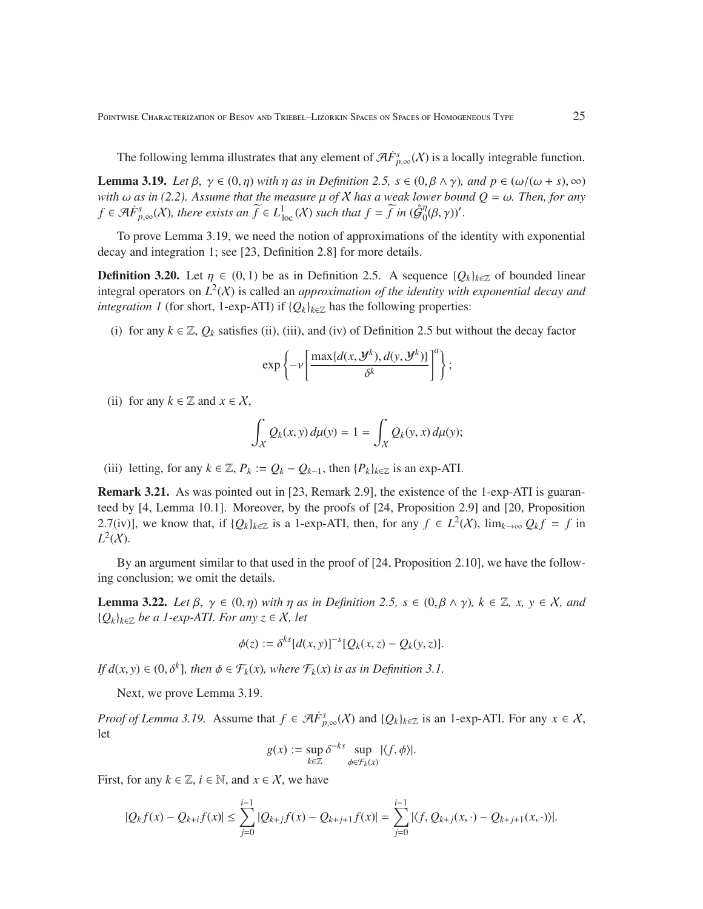The following lemma illustrates that any element of  $\mathcal{A}F^s_{p,\infty}(\mathcal{X})$  is a locally integrable function.

**Lemma 3.19.** *Let*  $\beta$ ,  $\gamma \in (0, \eta)$  *with*  $\eta$  *as in Definition 2.5,*  $s \in (0, \beta \wedge \gamma)$ *, and*  $p \in (\omega/(\omega + s), \infty)$ *with*  $\omega$  *as in (2.2). Assume that the measure*  $\mu$  *of*  $X$  *has a weak lower bound*  $Q = \omega$ *. Then, for any f* ∈ A $\dot{F}^s_{p,\infty}(X)$ , there exists an  $\widetilde{f}$  ∈  $L^1_{\text{loc}}(X)$  such that  $f = \widetilde{f}$  in  $(\mathring{\mathcal{G}}_0^{\eta}$  $_{0}^{\eta}(\beta,\gamma))'.$ 

To prove Lemma 3.19, we need the notion of approximations of the identity with exponential decay and integration 1; see [23, Definition 2.8] for more details.

**Definition 3.20.** Let  $\eta \in (0, 1)$  be as in Definition 2.5. A sequence  $\{Q_k\}_{k \in \mathbb{Z}}$  of bounded linear integral operators on  $L^2(X)$  is called an *approximation of the identity with exponential decay and integration 1* (for short, 1-exp-ATI) if  ${Q_k}_{k \in \mathbb{Z}}$  has the following properties:

(i) for any  $k \in \mathbb{Z}$ ,  $Q_k$  satisfies (ii), (iii), and (iv) of Definition 2.5 but without the decay factor

$$
\exp\left\{-\nu\left[\frac{\max\{d(x,\mathcal{Y}^k),d(y,\mathcal{Y}^k)\}}{\delta^k}\right]^a\right\};
$$

(ii) for any  $k \in \mathbb{Z}$  and  $x \in \mathcal{X}$ ,

$$
\int_X Q_k(x, y) d\mu(y) = 1 = \int_X Q_k(y, x) d\mu(y);
$$

(iii) letting, for any  $k \in \mathbb{Z}$ ,  $P_k := Q_k - Q_{k-1}$ , then  $\{P_k\}_{k \in \mathbb{Z}}$  is an exp-ATI.

Remark 3.21. As was pointed out in [23, Remark 2.9], the existence of the 1-exp-ATI is guaranteed by [4, Lemma 10.1]. Moreover, by the proofs of [24, Proposition 2.9] and [20, Proposition 2.7(iv)], we know that, if  $\{Q_k\}_{k\in\mathbb{Z}}$  is a 1-exp-ATI, then, for any  $f \in L^2(\mathcal{X})$ ,  $\lim_{k\to\infty} Q_k f = f$  in  $L^2(X)$ .

By an argument similar to that used in the proof of [24, Proposition 2.10], we have the following conclusion; we omit the details.

**Lemma 3.22.** *Let*  $\beta$ ,  $\gamma \in (0, \eta)$  *with*  $\eta$  *as in Definition 2.5,*  $s \in (0, \beta \wedge \gamma)$ *,*  $k \in \mathbb{Z}$ *, x,*  $\gamma \in \mathcal{X}$ *, and* {*Qk*}*k*∈<sup>Z</sup> *be a 1-exp-ATI. For any z* ∈ X*, let*

$$
\phi(z) := \delta^{ks} [d(x, y)]^{-s} [Q_k(x, z) - Q_k(y, z)].
$$

*If*  $d(x, y) \in (0, \delta^k]$ , then  $\phi \in \mathcal{F}_k(x)$ , where  $\mathcal{F}_k(x)$  *is as in Definition 3.1.* 

Next, we prove Lemma 3.19.

*Proof of Lemma 3.19.* Assume that  $f \in \mathcal{A}F_{p,\infty}^{s}(\mathcal{X})$  and  $\{Q_k\}_{k\in\mathbb{Z}}$  is an 1-exp-ATI. For any  $x \in \mathcal{X}$ , let

$$
g(x) := \sup_{k \in \mathbb{Z}} \delta^{-ks} \sup_{\phi \in \mathcal{F}_k(x)} |\langle f, \phi \rangle|.
$$

First, for any  $k \in \mathbb{Z}$ ,  $i \in \mathbb{N}$ , and  $x \in \mathcal{X}$ , we have

$$
|Q_k f(x) - Q_{k+j} f(x)| \le \sum_{j=0}^{i-1} |Q_{k+j} f(x) - Q_{k+j+1} f(x)| = \sum_{j=0}^{i-1} |\langle f, Q_{k+j}(x, \cdot) - Q_{k+j+1}(x, \cdot) \rangle|.
$$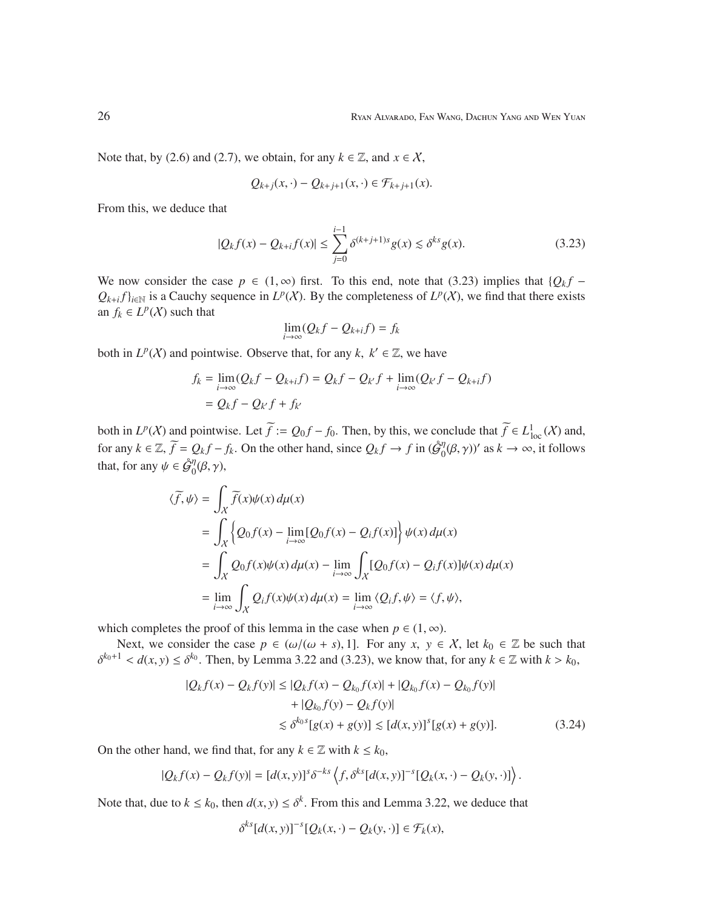Note that, by (2.6) and (2.7), we obtain, for any  $k \in \mathbb{Z}$ , and  $x \in \mathcal{X}$ ,

$$
Q_{k+j}(x,\cdot) - Q_{k+j+1}(x,\cdot) \in \mathcal{F}_{k+j+1}(x).
$$

From this, we deduce that

$$
|Q_k f(x) - Q_{k+i} f(x)| \le \sum_{j=0}^{i-1} \delta^{(k+j+1)s} g(x) \lesssim \delta^{ks} g(x). \tag{3.23}
$$

We now consider the case  $p \in (1, \infty)$  first. To this end, note that (3.23) implies that  $\{Q_k f Q_{k+i} f_{k \in \mathbb{N}}$  is a Cauchy sequence in  $L^p(X)$ . By the completeness of  $L^p(X)$ , we find that there exists an  $f_k \in L^p(X)$  such that

$$
\lim_{i \to \infty} (Q_k f - Q_{k+i} f) = f_k
$$

both in  $L^p(X)$  and pointwise. Observe that, for any  $k, k' \in \mathbb{Z}$ , we have

$$
f_k = \lim_{i \to \infty} (Q_k f - Q_{k+i} f) = Q_k f - Q_{k'} f + \lim_{i \to \infty} (Q_{k'} f - Q_{k+i} f)
$$
  
=  $Q_k f - Q_{k'} f + f_{k'}$ 

both in  $L^p(X)$  and pointwise. Let  $\widetilde{f} := Q_0 f - f_0$ . Then, by this, we conclude that  $\widetilde{f} \in L^1_{loc}(X)$  and, for any  $k \in \mathbb{Z}$ ,  $\widetilde{f} = Q_k f - f_k$ . On the other hand, since  $Q_k f \to f$  in  $(\mathcal{G}_0^{\eta})$  $\psi_0^{\eta}(\beta, \gamma)$ <sup>'</sup> as  $k \to \infty$ , it follows that, for any  $\psi \in \mathring{\mathcal{G}}_0^{\eta}$  $\int_0^{\eta}(\beta,\gamma),$ 

$$
\langle \widetilde{f}, \psi \rangle = \int_X \widetilde{f}(x)\psi(x) d\mu(x)
$$
  
= 
$$
\int_X \left\{ Q_0 f(x) - \lim_{i \to \infty} [Q_0 f(x) - Q_i f(x)] \right\} \psi(x) d\mu(x)
$$
  
= 
$$
\int_X Q_0 f(x) \psi(x) d\mu(x) - \lim_{i \to \infty} \int_X [Q_0 f(x) - Q_i f(x)] \psi(x) d\mu(x)
$$
  
= 
$$
\lim_{i \to \infty} \int_X Q_i f(x) \psi(x) d\mu(x) = \lim_{i \to \infty} \langle Q_i f, \psi \rangle = \langle f, \psi \rangle,
$$

which completes the proof of this lemma in the case when  $p \in (1, \infty)$ .

Next, we consider the case  $p \in (\omega/(\omega + s), 1]$ . For any  $x, y \in X$ , let  $k_0 \in \mathbb{Z}$  be such that  $\delta^{k_0+1} < d(x, y) \leq \delta^{k_0}$ . Then, by Lemma 3.22 and (3.23), we know that, for any  $k \in \mathbb{Z}$  with  $k > k_0$ ,

$$
|Q_k f(x) - Q_k f(y)| \le |Q_k f(x) - Q_{k_0} f(x)| + |Q_{k_0} f(x) - Q_{k_0} f(y)|
$$
  
+ |Q\_{k\_0} f(y) - Q\_k f(y)|  

$$
\lesssim \delta^{k_0 s} [g(x) + g(y)] \lesssim [d(x, y)]^s [g(x) + g(y)].
$$
(3.24)

On the other hand, we find that, for any  $k \in \mathbb{Z}$  with  $k \leq k_0$ ,

$$
|Q_k f(x) - Q_k f(y)| = [d(x, y)]^s \delta^{-ks} \left\langle f, \delta^{ks} [d(x, y)]^{-s} [Q_k(x, \cdot) - Q_k(y, \cdot)] \right\rangle.
$$

Note that, due to  $k \leq k_0$ , then  $d(x, y) \leq \delta^k$ . From this and Lemma 3.22, we deduce that

$$
\delta^{ks}[d(x, y)]^{-s}[Q_k(x, \cdot) - Q_k(y, \cdot)] \in \mathcal{F}_k(x),
$$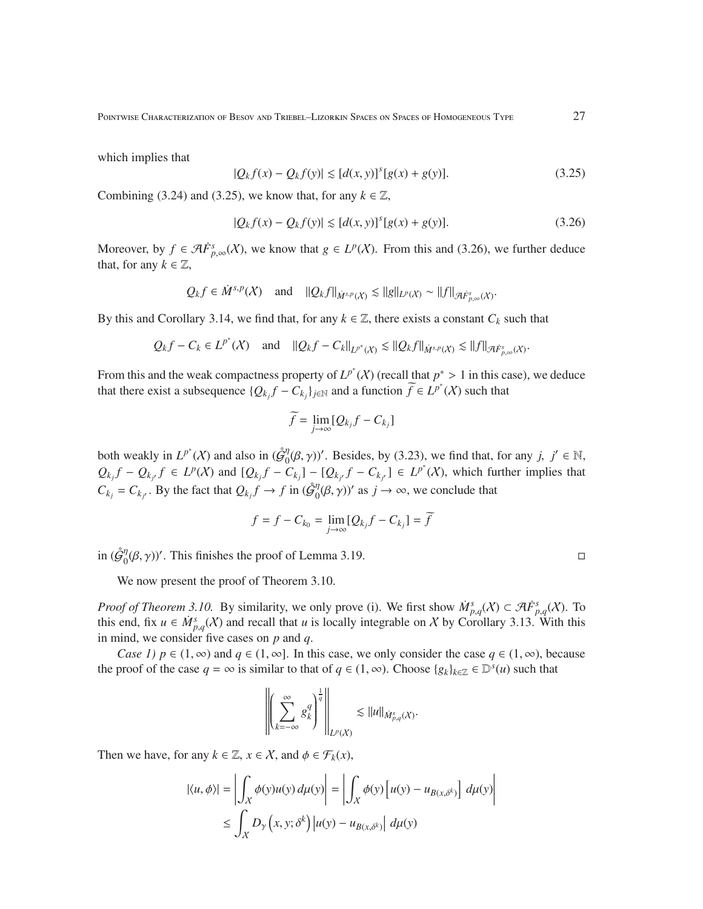which implies that

$$
|Q_k f(x) - Q_k f(y)| \le [d(x, y)]^s [g(x) + g(y)].
$$
\n(3.25)

Combining (3.24) and (3.25), we know that, for any  $k \in \mathbb{Z}$ ,

$$
|Q_k f(x) - Q_k f(y)| \le [d(x, y)]^s [g(x) + g(y)].
$$
\n(3.26)

Moreover, by  $f \in \mathcal{A}F^s_{p,\infty}(\mathcal{X})$ , we know that  $g \in L^p(\mathcal{X})$ . From this and (3.26), we further deduce that, for any  $k \in \mathbb{Z}$ ,

$$
Q_k f \in \dot{M}^{s,p}(X)
$$
 and  $||Q_k f||_{\dot{M}^{s,p}(X)} \lesssim ||g||_{L^p(X)} \sim ||f||_{\mathcal{A}F^s_{p,\infty}(X)}$ .

By this and Corollary 3.14, we find that, for any  $k \in \mathbb{Z}$ , there exists a constant  $C_k$  such that

$$
Q_k f - C_k \in L^{p^*}(X)
$$
 and  $||Q_k f - C_k||_{L^{p^*}(X)} \lesssim ||Q_k f||_{\dot{M}^{s,p}(X)} \lesssim ||f||_{\mathcal{A}^{F^s}_{p,\infty}(X)}.$ 

From this and the weak compactness property of  $L^{p^*}(\mathcal{X})$  (recall that  $p^* > 1$  in this case), we deduce that there exist a subsequence  $\{Q_{k_j}f - C_{k_j}\}_{j \in \mathbb{N}}$  and a function  $\widetilde{f} \in L^{p^*}(\mathcal{X})$  such that

$$
\widetilde{f} = \lim_{j \to \infty} [Q_{k_j} f - C_{k_j}]
$$

both weakly in  $L^{p^*}(X)$  and also in  $(\mathcal{G}_0^n)$  $\int_0^{\eta} (\beta, \gamma)$ '. Besides, by (3.23), we find that, for any *j*,  $j' \in \mathbb{N}$ ,  $Q_{k_j}f - Q_{k_{j'}}f \in L^p(\mathcal{X})$  and  $[Q_{k_j}f - C_{k_j}] - [Q_{k_{j'}}f - C_{k_{j'}}] \in L^{p^*}(\mathcal{X})$ , which further implies that  $C_{k_j} = C_{k_{j'}}$ . By the fact that  $Q_{k_j} f \to f$  in ( $\hat{\mathcal{G}}_0^{\eta}$  $\eta_0^{\eta}(\beta, \gamma)$  as  $j \to \infty$ , we conclude that

$$
f = f - C_{k_0} = \lim_{j \to \infty} [Q_{k_j}f - C_{k_j}] = f
$$

in  $(\hat{\mathcal{G}}_0^{\eta})$  $\int_0^{\eta} (\beta, \gamma)$ '. This finishes the proof of Lemma 3.19.

We now present the proof of Theorem 3.10.

*Proof of Theorem 3.10.* By similarity, we only prove (i). We first show  $\dot{M}^s_{p,q}(X) \subset \mathcal{A}F^s_{p,q}(X)$ . To this end, fix  $u \in \dot{M}_{p,q}^s(\mathcal{X})$  and recall that *u* is locally integrable on X by Corollary 3.13. With this in mind, we consider five cases on *p* and *q*.

*Case 1)*  $p \in (1, \infty)$  and  $q \in (1, \infty)$ . In this case, we only consider the case  $q \in (1, \infty)$ , because the proof of the case  $q = \infty$  is similar to that of  $q \in (1, \infty)$ . Choose  $\{g_k\}_{k \in \mathbb{Z}} \in \mathbb{D}^s(u)$  such that

$$
\left\|\left(\sum_{k=-\infty}^\infty g_k^q\right)^{\frac{1}{q}}\right\|_{L^p(X)}\lesssim \|u\|_{\dot{M}^s_{p,q}(X)}.
$$

Then we have, for any  $k \in \mathbb{Z}$ ,  $x \in \mathcal{X}$ , and  $\phi \in \mathcal{F}_k(x)$ ,

$$
|\langle u, \phi \rangle| = \left| \int_X \phi(y) u(y) \, d\mu(y) \right| = \left| \int_X \phi(y) \left[ u(y) - u_{B(x, \delta^k)} \right] \, d\mu(y) \right|
$$
  

$$
\leq \int_X D_\gamma \left( x, y; \delta^k \right) \left| u(y) - u_{B(x, \delta^k)} \right| \, d\mu(y)
$$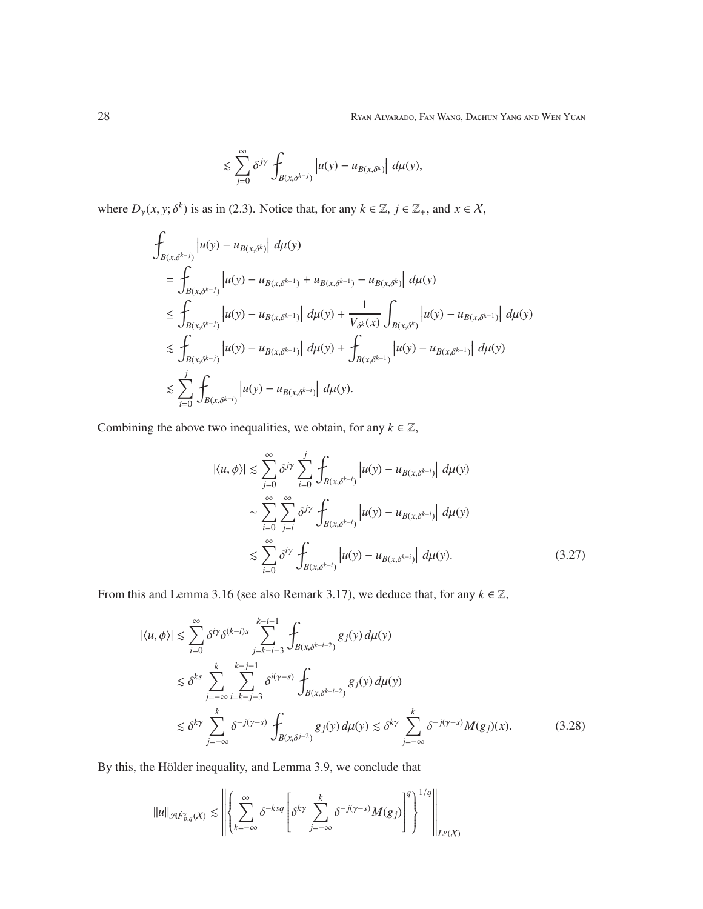$$
\lesssim \sum_{j=0}^{\infty} \delta^{j\gamma} \int_{B(x,\delta^{k-j})} \left| u(y) - u_{B(x,\delta^k)} \right| \, d\mu(y),
$$

where  $D_{\gamma}(x, y; \delta^k)$  is as in (2.3). Notice that, for any  $k \in \mathbb{Z}$ ,  $j \in \mathbb{Z}_+$ , and  $x \in \mathcal{X}$ ,

$$
\int_{B(x,\delta^{k-j})} |u(y) - u_{B(x,\delta^{k})}| d\mu(y) \n= \int_{B(x,\delta^{k-j})} |u(y) - u_{B(x,\delta^{k-1})} + u_{B(x,\delta^{k-1})} - u_{B(x,\delta^{k})}| d\mu(y) \n\leq \int_{B(x,\delta^{k-j})} |u(y) - u_{B(x,\delta^{k-1})}| d\mu(y) + \frac{1}{V_{\delta^{k}}(x)} \int_{B(x,\delta^{k})} |u(y) - u_{B(x,\delta^{k-1})}| d\mu(y) \n\leq \int_{B(x,\delta^{k-j})} |u(y) - u_{B(x,\delta^{k-1})}| d\mu(y) + \int_{B(x,\delta^{k-1})} |u(y) - u_{B(x,\delta^{k-1})}| d\mu(y) \n\leq \sum_{i=0}^{j} \int_{B(x,\delta^{k-i})} |u(y) - u_{B(x,\delta^{k-i})}| d\mu(y).
$$

Combining the above two inequalities, we obtain, for any  $k \in \mathbb{Z}$ ,

$$
|\langle u, \phi \rangle| \leq \sum_{j=0}^{\infty} \delta^{j\gamma} \sum_{i=0}^{j} \int_{B(x, \delta^{k-i})} |u(y) - u_{B(x, \delta^{k-i})}| d\mu(y)
$$
  

$$
\sim \sum_{i=0}^{\infty} \sum_{j=i}^{\infty} \delta^{j\gamma} \int_{B(x, \delta^{k-i})} |u(y) - u_{B(x, \delta^{k-i})}| d\mu(y)
$$
  

$$
\leq \sum_{i=0}^{\infty} \delta^{i\gamma} \int_{B(x, \delta^{k-i})} |u(y) - u_{B(x, \delta^{k-i})}| d\mu(y).
$$
 (3.27)

From this and Lemma 3.16 (see also Remark 3.17), we deduce that, for any  $k \in \mathbb{Z}$ ,

$$
|\langle u, \phi \rangle| \lesssim \sum_{i=0}^{\infty} \delta^{i\gamma} \delta^{(k-i)s} \sum_{j=k-i-3}^{k-i-1} \int_{B(x,\delta^{k-i-2})} g_j(y) d\mu(y)
$$
  

$$
\lesssim \delta^{ks} \sum_{j=-\infty}^{k} \sum_{i=k-j-3}^{k-j-1} \delta^{i(\gamma-s)} \int_{B(x,\delta^{k-i-2})} g_j(y) d\mu(y)
$$
  

$$
\lesssim \delta^{k\gamma} \sum_{j=-\infty}^{k} \delta^{-j(\gamma-s)} \int_{B(x,\delta^{j-2})} g_j(y) d\mu(y) \lesssim \delta^{k\gamma} \sum_{j=-\infty}^{k} \delta^{-j(\gamma-s)} M(g_j)(x).
$$
 (3.28)

By this, the Hölder inequality, and Lemma 3.9, we conclude that

$$
\|u\|_{\mathcal{A}\dot{F}^{s}_{p,q}(X)}\lesssim\left\|\left\{\sum_{k=-\infty}^{\infty}\delta^{-ksq}\left[\delta^{k\gamma}\sum_{j=-\infty}^{k}\delta^{-j(\gamma-s)}M(g_{j})\right]^{q}\right\}^{1/q}\right\|_{L^{p}(X)}
$$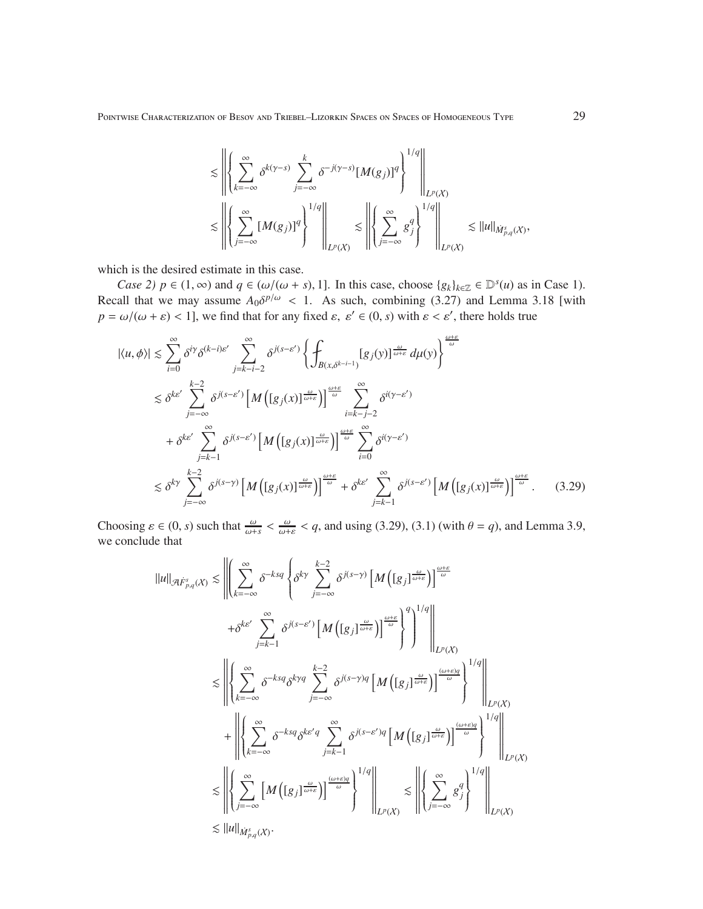Pointwise Characterization of Besov and Triebel–Lizorkin Spaces on Spaces of Homogeneous Type 29

$$
\lesssim \left\| \left\{ \sum_{k=-\infty}^{\infty} \delta^{k(\gamma-s)} \sum_{j=-\infty}^{k} \delta^{-j(\gamma-s)} [M(g_j)]^q \right\}^{1/q} \right\|_{L^p(X)} \lesssim \left\| \left\{ \sum_{j=-\infty}^{\infty} [M(g_j)]^q \right\}^{1/q} \right\|_{L^p(X)} \lesssim \left\| \left\{ \sum_{j=-\infty}^{\infty} g_j^q \right\}^{1/q} \right\|_{L^p(X)} \lesssim \|u\|_{\dot{M}_{p,q}^s(X)},
$$

which is the desired estimate in this case.

*Case 2)*  $p \in (1, \infty)$  and  $q \in (\omega/(\omega + s), 1]$ . In this case, choose  $\{g_k\}_{k \in \mathbb{Z}} \in \mathbb{D}^s(u)$  as in Case 1). Recall that we may assume  $A_0 \delta^{p/\omega} < 1$ . As such, combining (3.27) and Lemma 3.18 [with  $p = \omega/(\omega + \varepsilon) < 1$ , we find that for any fixed  $\varepsilon$ ,  $\varepsilon' \in (0, s)$  with  $\varepsilon < \varepsilon'$ , there holds true

$$
|\langle u, \phi \rangle| \leq \sum_{i=0}^{\infty} \delta^{i\gamma} \delta^{(k-i)\varepsilon'} \sum_{j=k-i-2}^{\infty} \delta^{j(s-\varepsilon')} \left\{ \int_{B(x,\delta^{k-i-1})} [g_j(y)]^{\frac{\omega}{\omega+\varepsilon}} d\mu(y) \right\}^{\frac{\omega+\varepsilon}{\omega}} \n\leq \delta^{k\varepsilon'} \sum_{j=-\infty}^{k-2} \delta^{j(s-\varepsilon')} \left[ M \left( [g_j(x)]^{\frac{\omega}{\omega+\varepsilon}} \right] \right]^{\frac{\omega}{\omega}} \sum_{i=k-j-2}^{\infty} \delta^{i(y-\varepsilon')} \n+ \delta^{k\varepsilon'} \sum_{j=k-1}^{\infty} \delta^{j(s-\varepsilon')} \left[ M \left( [g_j(x)]^{\frac{\omega}{\omega+\varepsilon}} \right] \right]^{\frac{\omega+\varepsilon}{\omega}} \sum_{i=0}^{\infty} \delta^{i(y-\varepsilon')} \n\leq \delta^{k\gamma} \sum_{j=-\infty}^{k-2} \delta^{j(s-\gamma)} \left[ M \left( [g_j(x)]^{\frac{\omega}{\omega+\varepsilon}} \right] \right]^{\frac{\omega+\varepsilon}{\omega}} + \delta^{k\varepsilon'} \sum_{j=k-1}^{\infty} \delta^{j(s-\varepsilon')} \left[ M \left( [g_j(x)]^{\frac{\omega}{\omega+\varepsilon}} \right] \right]^{\frac{\omega+\varepsilon}{\omega}}.
$$
\n(3.29)

Choosing  $\varepsilon \in (0, s)$  such that  $\frac{\omega}{\omega+s} < \frac{\omega}{\omega+\varepsilon} < q$ , and using (3.29), (3.1) (with  $\theta = q$ ), and Lemma 3.9, we conclude that

$$
||u||_{\mathcal{A}\dot{F}_{p,q}^{s}(X)} \lesssim \left\| \left( \sum_{k=-\infty}^{\infty} \delta^{-ksq} \left\{ \delta^{ky} \sum_{j=-\infty}^{k-2} \delta^{j(s-\gamma)} \left[ M \left( [g_j]_{\frac{\omega}{\omega+\varepsilon}} \right] \right]^{\frac{\omega}{\omega}} \right\}^{\frac{\omega}{\omega+\varepsilon}} \right\|_{L^{p}(X)}^{q} \right\|_{L^{p}(X)}^{q}
$$
  

$$
\lesssim \left\| \left\{ \sum_{k=-\infty}^{\infty} \delta^{-ksq} \delta^{kyq} \sum_{j=-\infty}^{k-2} \delta^{j(s-\gamma)q} \left[ M \left( [g_j]_{\frac{\omega}{\omega+\varepsilon}} \right] \right]^{\frac{\omega}{\omega}} \right\}^{1/q} \right\|_{L^{p}(X)}^{1/q}
$$
  

$$
+ \left\| \left\{ \sum_{k=-\infty}^{\infty} \delta^{-ksq} \delta^{k\gamma q} \sum_{j=k-1}^{\infty} \delta^{j(s-\gamma)q} \left[ M \left( [g_j]_{\frac{\omega}{\omega+\varepsilon}} \right] \right]^{\frac{(\omega+\varepsilon)q}{\omega}} \right\}^{1/q} \right\|_{L^{p}(X)}^{1/q}
$$
  

$$
\lesssim \left\| \left\{ \sum_{j=-\infty}^{\infty} \left[ M \left( [g_j]_{\frac{\omega}{\omega+\varepsilon}} \right] \right]^{\frac{(\omega+\varepsilon)q}{\omega}} \right\}^{1/q} \right\|_{L^{p}(X)} \lesssim \left\| \left\{ \sum_{j=-\infty}^{\infty} g_j^q \right\}^{1/q} \right\|_{L^{p}(X)}
$$
  

$$
\lesssim ||u||_{\dot{M}_{p,q}^{s}(X)}.
$$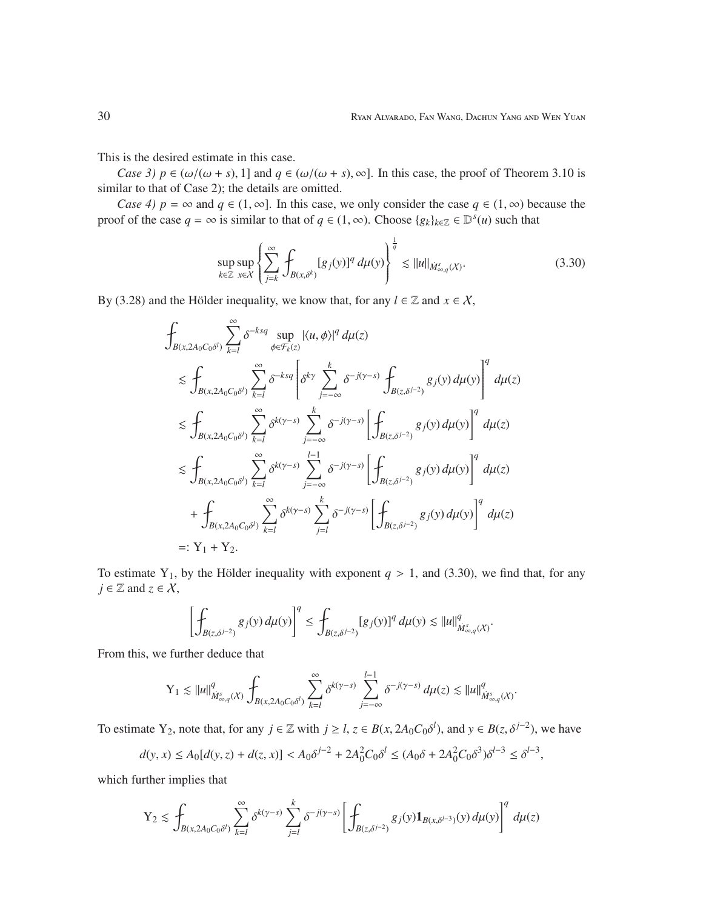This is the desired estimate in this case.

*Case 3)*  $p \in (\omega/(\omega + s), 1]$  and  $q \in (\omega/(\omega + s), \infty]$ . In this case, the proof of Theorem 3.10 is similar to that of Case 2); the details are omitted.

*Case 4)*  $p = \infty$  and  $q \in (1, \infty]$ . In this case, we only consider the case  $q \in (1, \infty)$  because the proof of the case  $q = \infty$  is similar to that of  $q \in (1, \infty)$ . Choose  $\{g_k\}_{k \in \mathbb{Z}} \in \mathbb{D}^s(u)$  such that

$$
\sup_{k \in \mathbb{Z}} \sup_{x \in \mathcal{X}} \left\{ \sum_{j=k}^{\infty} \int_{B(x,\delta^k)} [g_j(y)]^q \, d\mu(y) \right\}^{\frac{1}{q}} \lesssim ||u||_{\dot{M}^s_{\infty,q}(\mathcal{X})}.
$$
\n(3.30)

By (3.28) and the Hölder inequality, we know that, for any  $l \in \mathbb{Z}$  and  $x \in \mathcal{X}$ ,

$$
\int_{B(x,2A_0C_0\delta^I)} \sum_{k=1}^{\infty} \delta^{-ksq} \sup_{\phi \in \mathcal{F}_k(z)} |\langle u, \phi \rangle|^q d\mu(z)
$$
\n
$$
\lesssim \int_{B(x,2A_0C_0\delta^I)} \sum_{k=1}^{\infty} \delta^{-ksq} \left[ \delta^{k\gamma} \sum_{j=-\infty}^k \delta^{-j(\gamma-s)} \int_{B(z,\delta^{j-2})} g_j(y) d\mu(y) \right]^q d\mu(z)
$$
\n
$$
\lesssim \int_{B(x,2A_0C_0\delta^I)} \sum_{k=1}^{\infty} \delta^{k(\gamma-s)} \sum_{j=-\infty}^k \delta^{-j(\gamma-s)} \left[ \int_{B(z,\delta^{j-2})} g_j(y) d\mu(y) \right]^q d\mu(z)
$$
\n
$$
\lesssim \int_{B(x,2A_0C_0\delta^I)} \sum_{k=1}^{\infty} \delta^{k(\gamma-s)} \sum_{j=-\infty}^{l-1} \delta^{-j(\gamma-s)} \left[ \int_{B(z,\delta^{j-2})} g_j(y) d\mu(y) \right]^q d\mu(z)
$$
\n
$$
+ \int_{B(x,2A_0C_0\delta^I)} \sum_{k=1}^{\infty} \delta^{k(\gamma-s)} \sum_{j=l}^k \delta^{-j(\gamma-s)} \left[ \int_{B(z,\delta^{j-2})} g_j(y) d\mu(y) \right]^q d\mu(z)
$$
\n=: Y<sub>1</sub> + Y<sub>2</sub>.

To estimate Y<sub>1</sub>, by the Hölder inequality with exponent  $q > 1$ , and (3.30), we find that, for any  $j \in \mathbb{Z}$  and  $z \in \mathcal{X}$ ,

$$
\left[\oint_{B(z,\delta^{j-2})}g_j(y)\,d\mu(y)\right]^q\leq \int_{B(z,\delta^{j-2})}[g_j(y)]^q\,d\mu(y)\lesssim \|u\|_{\dot{M}^s_{\infty,q}(X)}^q.
$$

From this, we further deduce that

$$
\mathrm{Y}_1 \lesssim \|u\|_{\dot{M}^s_{\infty,q}(X)}^q \int_{B(x,2A_0C_0\delta^l)} \sum_{k=l}^\infty \delta^{k(\gamma-s)} \sum_{j=-\infty}^{l-1} \delta^{-j(\gamma-s)} \, d\mu(z) \lesssim \|u\|_{\dot{M}^s_{\infty,q}(X)}^q.
$$

To estimate Y<sub>2</sub>, note that, for any  $j \in \mathbb{Z}$  with  $j \ge l$ ,  $z \in B(x, 2A_0C_0\delta^l)$ , and  $y \in B(z, \delta^{j-2})$ , we have

$$
d(y, x) \le A_0[d(y, z) + d(z, x)] < A_0 \delta^{j-2} + 2A_0^2 C_0 \delta^l \le (A_0 \delta + 2A_0^2 C_0 \delta^3) \delta^{l-3} \le \delta^{l-3},
$$

which further implies that

$$
\mathbf{Y}_2 \lesssim \int_{B(x,2A_0C_0\delta^l)} \sum_{k=l}^{\infty} \delta^{k(\gamma-s)} \sum_{j=l}^k \delta^{-j(\gamma-s)} \left[ \int_{B(z,\delta^{j-2})} g_j(y) \mathbf{1}_{B(x,\delta^{l-3})}(y) \, d\mu(y) \right]^q \, d\mu(z)
$$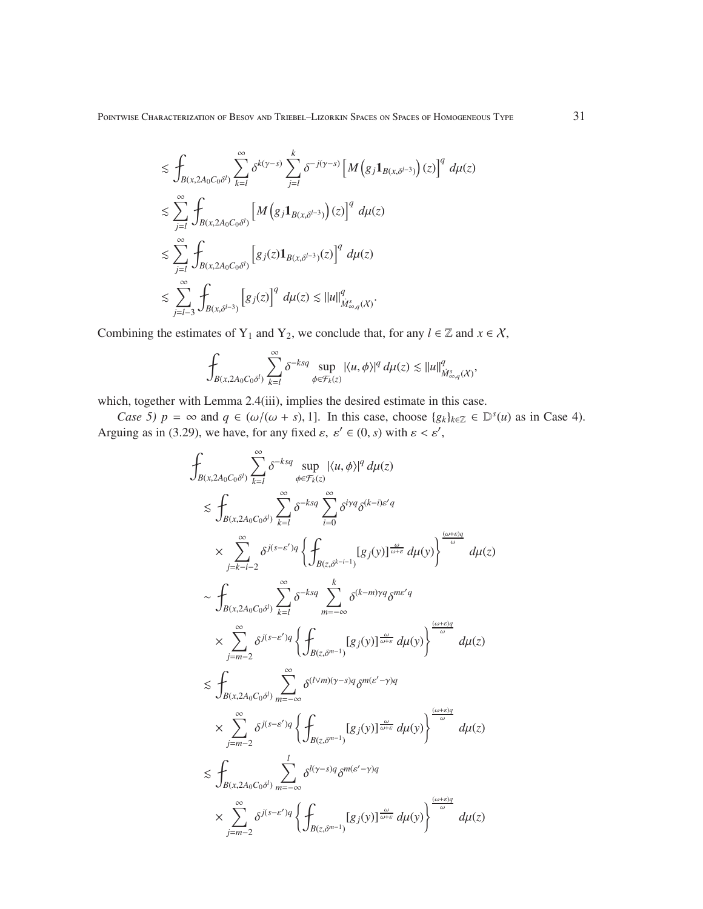POINTWISE CHARACTERIZATION OF BESOV AND TRIEBEL–LIZORKIN SPACES ON SPACES OF HOMOGENEOUS TYPE  $31$ 

$$
\begin{split} &\lesssim \int_{B(x,2A_0C_0\delta^l)}\sum_{k=l}^{\infty}\delta^{k(\gamma-s)}\sum_{j=l}^k\delta^{-j(\gamma-s)}\left[M\left(g_j\mathbf{1}_{B(x,\delta^{l-3})}\right)(z)\right]^q\,d\mu(z)\\ &\lesssim \sum_{j=l}^{\infty}\int_{B(x,2A_0C_0\delta^l)}\left[M\left(g_j\mathbf{1}_{B(x,\delta^{l-3})}\right)(z)\right]^q\,d\mu(z)\\ &\lesssim \sum_{j=l}^{\infty}\int_{B(x,2A_0C_0\delta^l)}\left[g_j(z)\mathbf{1}_{B(x,\delta^{l-3})}(z)\right]^q\,d\mu(z)\\ &\lesssim \sum_{j=l-3}^{\infty}\int_{B(x,\delta^{l-3})}\left[g_j(z)\right]^q\,d\mu(z)\lesssim \|u\|_{\dot{M}_{\infty,q}^s(X)}^q. \end{split}
$$

Combining the estimates of Y<sub>1</sub> and Y<sub>2</sub>, we conclude that, for any  $l \in \mathbb{Z}$  and  $x \in \mathcal{X}$ ,

$$
\int_{B(x,2A_0C_0\delta^l)} \sum_{k=l}^{\infty} \delta^{-ksq} \sup_{\phi\in \mathcal{F}_k(z)} |\langle u,\phi\rangle|^q\, d\mu(z)\lesssim \|u\|_{\dot{M}^s_{\infty,q}(X)}^q,
$$

which, together with Lemma 2.4(iii), implies the desired estimate in this case.

*Case 5)*  $p = \infty$  and  $q \in (\omega/(\omega + s), 1]$ . In this case, choose  $\{g_k\}_{k \in \mathbb{Z}} \in \mathbb{D}^s(u)$  as in Case 4). Arguing as in (3.29), we have, for any fixed  $\varepsilon$ ,  $\varepsilon' \in (0, s)$  with  $\varepsilon < \varepsilon'$ ,

$$
\int_{B(x,2A_0C_0\delta^l)} \sum_{k=l}^{\infty} \delta^{-ksq} \sup_{\phi \in \mathcal{F}_k(z)} |\langle u, \phi \rangle|^q d\mu(z) \n\lesssim \int_{B(x,2A_0C_0\delta^l)} \sum_{k=l}^{\infty} \delta^{-ksq} \sum_{i=0}^{\infty} \delta^{iyq} \delta^{(k-i)\epsilon^l q} \n\times \sum_{j=k-i-2}^{\infty} \delta^{j(s-\epsilon^{\prime})q} \left\{ \int_{B(z,\delta^{k-i-1})} [g_j(y)]^{\frac{\omega}{\omega+\epsilon}} d\mu(y) \right\}^{\frac{(\omega+\epsilon)q}{\omega}} d\mu(z) \n\sim \int_{B(x,2A_0C_0\delta^l)} \sum_{k=l}^{\infty} \delta^{-ksq} \sum_{m=-\infty}^k \delta^{(k-m)\gamma q} \delta^{m\epsilon^{\prime}q} \n\times \sum_{j=m-2}^{\infty} \delta^{j(s-\epsilon^{\prime})q} \left\{ \int_{B(z,\delta^{m-1})} [g_j(y)]^{\frac{\omega}{\omega+\epsilon}} d\mu(y) \right\}^{\frac{(\omega+\epsilon)q}{\omega}} d\mu(z) \n\lesssim \int_{B(x,2A_0C_0\delta^l)} \sum_{m=-\infty}^{\infty} \delta^{(l \vee m)(\gamma-s)q} \delta^{m(\epsilon^{\prime}-\gamma)q} \n\times \sum_{j=m-2}^{\infty} \delta^{j(s-\epsilon^{\prime})q} \left\{ \int_{B(z,\delta^{m-1})} [g_j(y)]^{\frac{\omega}{\omega+\epsilon}} d\mu(y) \right\}^{\frac{(\omega+\epsilon)q}{\omega}} d\mu(z) \n\times \sum_{j=m-2}^{\infty} \delta^{j(s-\epsilon^{\prime})q} \left\{ \int_{B(z,\delta^{m-1})} [g_j(y)]^{\frac{\omega}{\omega+\epsilon}} d\mu(y) \right\}^{\frac{(\omega+\epsilon)q}{\omega}} d\mu(z) \n\times \sum_{j=m-2}^{\infty} \delta^{j(s-\epsilon^{\prime})q} \left\{ \int_{B(z,\delta^{m-1})} [g_j(y)]^{\frac{\omega}{\omega+\epsilon}} d\mu(y) \right\}^{\frac{(\omega+\epsilon)q}{\omega}} d\mu(z)
$$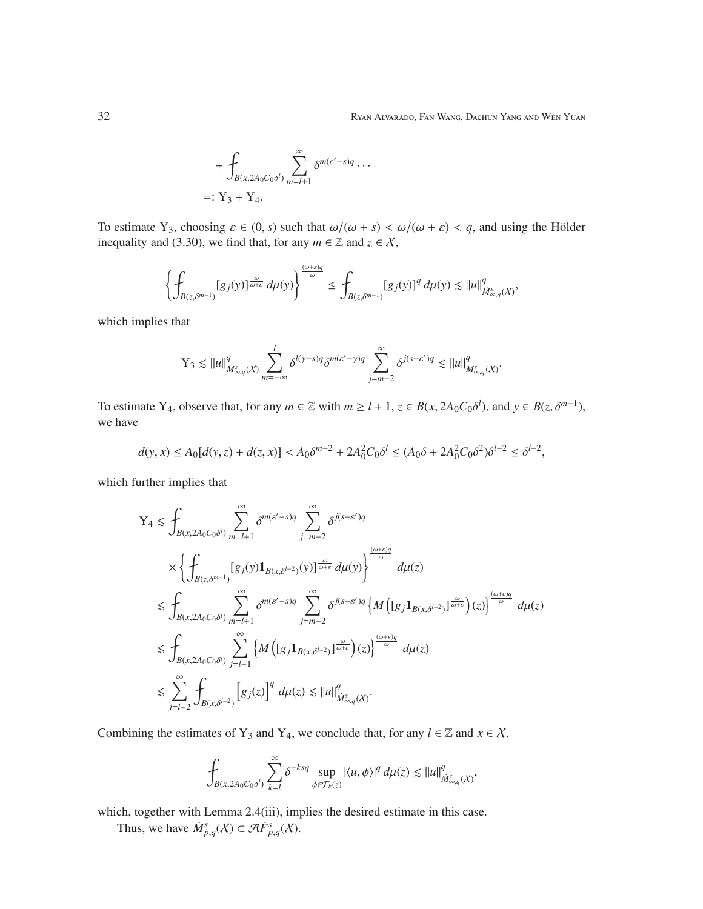+ 
$$
\oint_{B(x, 2A_0C_0\delta^l)} \sum_{m=l+1}^{\infty} \delta^{m(\varepsilon'-s)q} \cdots
$$
  
=: Y<sub>3</sub> + Y<sub>4</sub>.

To estimate Y<sub>3</sub>, choosing  $\varepsilon \in (0, s)$  such that  $\omega/(\omega + s) < \omega/(\omega + \varepsilon) < q$ , and using the Hölder inequality and (3.30), we find that, for any  $m \in \mathbb{Z}$  and  $z \in \mathcal{X}$ ,

$$
\left\{\int_{B(z,\delta^{m-1})}[g_j(y)]^{\frac{\omega}{\omega+\varepsilon}}\,d\mu(y)\right\}^{\frac{(\omega+\varepsilon)q}{\omega}}\leq \int_{B(z,\delta^{m-1})}[g_j(y)]^q\,d\mu(y)\lesssim \|u\|_{\dot{M}^s_{\infty,q}(X)}^q,
$$

which implies that

$$
Y_3 \lesssim \|u\|_{\dot{M}^s_{\infty,q}(X)}^q \sum_{m=-\infty}^l \delta^{l(\gamma-s)q} \delta^{m(\varepsilon'-\gamma)q} \sum_{j=m-2}^\infty \delta^{j(s-\varepsilon')q} \lesssim \|u\|_{\dot{M}^s_{\infty,q}(X)}^q.
$$

To estimate Y<sub>4</sub>, observe that, for any  $m \in \mathbb{Z}$  with  $m \geq l + 1$ ,  $z \in B(x, 2A_0C_0\delta^l)$ , and  $y \in B(z, \delta^{m-1})$ , we have

$$
d(y, x) \le A_0[d(y, z) + d(z, x)] < A_0 \delta^{m-2} + 2A_0^2 C_0 \delta^l \le (A_0 \delta + 2A_0^2 C_0 \delta^2) \delta^{l-2} \le \delta^{l-2},
$$

which further implies that

$$
\begin{split} \mathbf{Y}_{4} &\lesssim \int_{B(x,2A_{0}C_{0}\delta^{l})}\sum_{m=l+1}^{\infty}\delta^{m(\epsilon'-s)q}\sum_{j=m-2}^{\infty}\delta^{j(s-\epsilon')q}\\ &\times\left\{\int_{B(z,\delta^{m-1})}[g_{j}(y)\mathbf{1}_{B(x,\delta^{l-2})}(y)]^{\frac{\omega}{\omega+\epsilon}}d\mu(y)\right\}^{\frac{(\omega+\epsilon)q}{\omega}}d\mu(z)\\ &\lesssim \int_{B(x,2A_{0}C_{0}\delta^{l})}\sum_{m=l+1}^{\infty}\delta^{m(\epsilon'-s)q}\sum_{j=m-2}^{\infty}\delta^{j(s-\epsilon')q}\left\{M\left([g_{j}\mathbf{1}_{B(x,\delta^{l-2})}]^{\frac{\omega}{\omega+\epsilon}}\right)(z)\right\}^{\frac{(\omega+\epsilon)q}{\omega}}d\mu(z)\\ &\lesssim \int_{B(x,2A_{0}C_{0}\delta^{l})}\sum_{j=l-1}^{\infty}\left\{M\left([g_{j}\mathbf{1}_{B(x,\delta^{l-2})}]^{\frac{\omega}{\omega+\epsilon}}\right)(z)\right\}^{\frac{(\omega+\epsilon)q}{\omega}}d\mu(z)\\ &\lesssim \sum_{j=l-2}^{\infty}\int_{B(x,\delta^{l-2})}\left[g_{j}(z)\right]^{q}d\mu(z)\lesssim \|u\|_{M_{\infty,q}^{s}(\mathcal{X})}^{q}.\end{split}
$$

Combining the estimates of Y<sub>3</sub> and Y<sub>4</sub>, we conclude that, for any  $l \in \mathbb{Z}$  and  $x \in \mathcal{X}$ ,

$$
\int_{B(x,2A_0C_0\delta^l)} \sum_{k=l}^\infty \delta^{-ksq} \sup_{\phi\in\mathcal{F}_k(z)} |\langle u,\phi\rangle|^q\, d\mu(z)\lesssim \|u\|_{\dot{M}_{\infty,q}^s(X)}^q,
$$

which, together with Lemma 2.4(iii), implies the desired estimate in this case.

Thus, we have  $\dot{M}_{p,q}^s(X) \subset \mathcal{A}F_{p,q}^s(X)$ .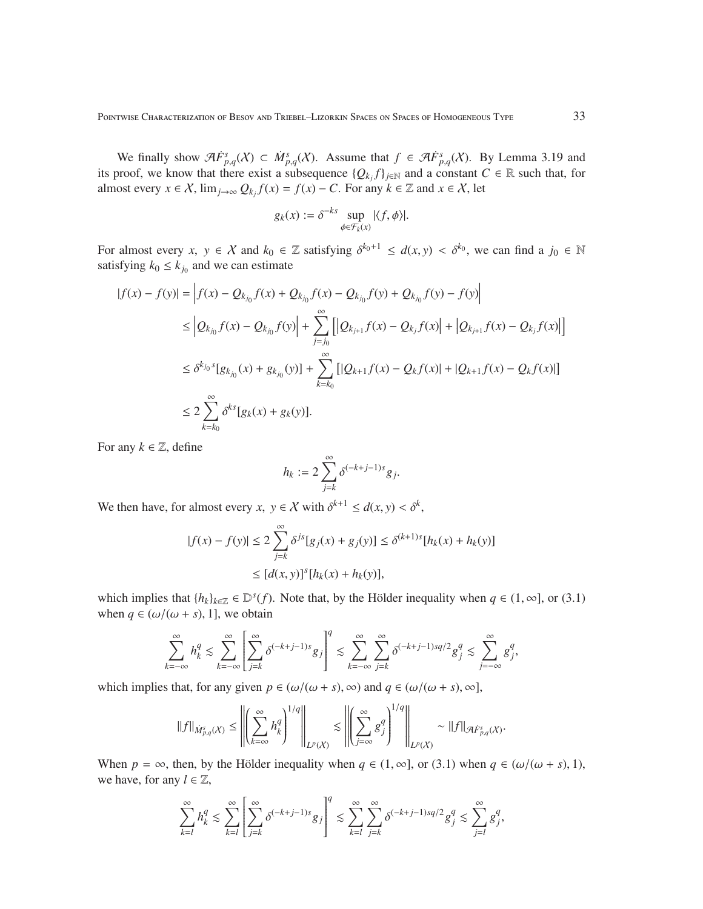We finally show  $\mathcal{A}F_{p,q}^{s}(\mathcal{X}) \subset \dot{M}_{p,q}^{s}(\mathcal{X})$ . Assume that  $f \in \mathcal{A}F_{p,q}^{s}(\mathcal{X})$ . By Lemma 3.19 and its proof, we know that there exist a subsequence  $\{Q_{k_j}f\}_{j\in\mathbb{N}}$  and a constant  $C \in \mathbb{R}$  such that, for almost every  $x \in \mathcal{X}$ ,  $\lim_{j \to \infty} Q_{k_j} f(x) = f(x) - C$ . For any  $k \in \mathbb{Z}$  and  $x \in \mathcal{X}$ , let

$$
g_k(x) := \delta^{-ks} \sup_{\phi \in \mathcal{F}_k(x)} |\langle f, \phi \rangle|.
$$

For almost every  $x, y \in \mathcal{X}$  and  $k_0 \in \mathbb{Z}$  satisfying  $\delta^{k_0+1} \leq d(x, y) < \delta^{k_0}$ , we can find a  $j_0 \in \mathbb{N}$ satisfying  $k_0 \leq k_{j_0}$  and we can estimate

$$
|f(x) - f(y)| = |f(x) - Q_{k_{j_0}}f(x) + Q_{k_{j_0}}f(x) - Q_{k_{j_0}}f(y) + Q_{k_{j_0}}f(y) - f(y)|
$$
  
\n
$$
\leq |Q_{k_{j_0}}f(x) - Q_{k_{j_0}}f(y)| + \sum_{j=j_0}^{\infty} [|Q_{k_{j+1}}f(x) - Q_{k_j}f(x)| + |Q_{k_{j+1}}f(x) - Q_{k_j}f(x)|]
$$
  
\n
$$
\leq \delta^{k_{j_0}}[g_{k_{j_0}}(x) + g_{k_{j_0}}(y)] + \sum_{k=k_0}^{\infty} [|Q_{k+1}f(x) - Q_{k}f(x)| + |Q_{k+1}f(x) - Q_{k}f(x)|]
$$
  
\n
$$
\leq 2 \sum_{k=k_0}^{\infty} \delta^{k_{j}}[g_{k}(x) + g_{k}(y)].
$$

For any  $k \in \mathbb{Z}$ , define

$$
h_k := 2 \sum_{j=k}^{\infty} \delta^{(-k+j-1)s} g_j.
$$

We then have, for almost every  $x, y \in \mathcal{X}$  with  $\delta^{k+1} \leq d(x, y) < \delta^k$ ,

$$
|f(x) - f(y)| \le 2 \sum_{j=k}^{\infty} \delta^{js} [g_j(x) + g_j(y)] \le \delta^{(k+1)s} [h_k(x) + h_k(y)]
$$
  

$$
\le [d(x, y)]^s [h_k(x) + h_k(y)],
$$

which implies that  $\{h_k\}_{k\in\mathbb{Z}} \in \mathbb{D}^s(f)$ . Note that, by the Hölder inequality when  $q \in (1, \infty]$ , or (3.1) when  $q \in (\omega/(\omega + s), 1]$ , we obtain

$$
\sum_{k=-\infty}^{\infty}h_k^q \lesssim \sum_{k=-\infty}^{\infty}\left[\sum_{j=k}^{\infty}\delta^{(-k+j-1)s}g_j\right]^q \lesssim \sum_{k=-\infty}^{\infty}\sum_{j=k}^{\infty}\delta^{(-k+j-1)sq/2}g_j^q \lesssim \sum_{j=-\infty}^{\infty}g_j^q,
$$

which implies that, for any given  $p \in (\omega/(\omega + s), \infty)$  and  $q \in (\omega/(\omega + s), \infty]$ ,

$$
\|f\|_{\dot{M}^s_{p,q}(X)}\leq \left\|\left(\sum_{k=\infty}^\infty h_k^q\right)^{1/q}\right\|_{L^p(X)}\lesssim \left\|\left(\sum_{j=\infty}^\infty g_j^q\right)^{1/q}\right\|_{L^p(X)}\sim \|f\|_{\mathcal{A}\dot{F}^s_{p,q}(X)}.
$$

When  $p = \infty$ , then, by the Hölder inequality when  $q \in (1, \infty]$ , or (3.1) when  $q \in (\omega/(\omega + s), 1)$ , we have, for any  $l \in \mathbb{Z}$ ,

$$
\sum_{k=l}^{\infty} h_k^q \lesssim \sum_{k=l}^{\infty} \left[ \sum_{j=k}^{\infty} \delta^{(-k+j-1)s} g_j \right]^q \lesssim \sum_{k=l}^{\infty} \sum_{j=k}^{\infty} \delta^{(-k+j-1)sq/2} g_j^q \lesssim \sum_{j=l}^{\infty} g_j^q,
$$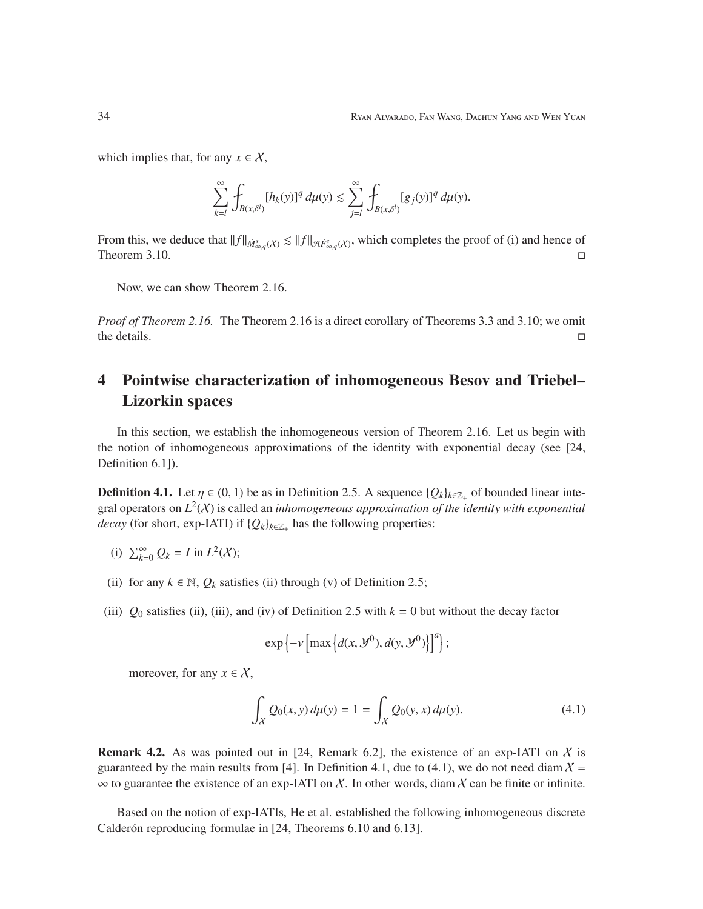which implies that, for any  $x \in \mathcal{X}$ ,

$$
\sum_{k=l}^{\infty}\int_{B(x,\delta^{l})}[h_{k}(y)]^{q}\,d\mu(y)\lesssim \sum_{j=l}^{\infty}\int_{B(x,\delta^{l})}[g_{j}(y)]^{q}\,d\mu(y).
$$

From this, we deduce that  $||f||_{\dot{M}^s_{\infty,q}(X)} \lesssim ||f||_{\dot{\mathcal{A}}\dot{F}^s_{\infty,q}(X)}$ , which completes the proof of (i) and hence of Theorem 3.10.

Now, we can show Theorem 2.16.

*Proof of Theorem 2.16.* The Theorem 2.16 is a direct corollary of Theorems 3.3 and 3.10; we omit the details.  $\square$ 

## 4 Pointwise characterization of inhomogeneous Besov and Triebel– Lizorkin spaces

In this section, we establish the inhomogeneous version of Theorem 2.16. Let us begin with the notion of inhomogeneous approximations of the identity with exponential decay (see [24, Definition 6.1]).

**Definition 4.1.** Let  $\eta \in (0, 1)$  be as in Definition 2.5. A sequence  $\{Q_k\}_{k \in \mathbb{Z}_+}$  of bounded linear integral operators on  $L^2(X)$  is called an *inhomogeneous approximation of the identity with exponential decay* (for short, exp-IATI) if  ${Q_k}_{k \in \mathbb{Z}_+}$  has the following properties:

- (i)  $\sum_{k=0}^{\infty} Q_k = I$  in  $L^2(X)$ ;
- (ii) for any  $k \in \mathbb{N}$ ,  $Q_k$  satisfies (ii) through (v) of Definition 2.5;
- (iii)  $Q_0$  satisfies (ii), (iii), and (iv) of Definition 2.5 with  $k = 0$  but without the decay factor

$$
\exp\left\{-\nu\left[\max\left\{d(x,\mathcal{Y}^0),d(y,\mathcal{Y}^0)\right\}\right]^a\right\};
$$

moreover, for any  $x \in \mathcal{X}$ ,

$$
\int_{X} Q_0(x, y) d\mu(y) = 1 = \int_{X} Q_0(y, x) d\mu(y).
$$
\n(4.1)

**Remark 4.2.** As was pointed out in [24, Remark 6.2], the existence of an exp-IATI on  $\chi$  is guaranteed by the main results from [4]. In Definition 4.1, due to (4.1), we do not need diam  $X =$  $\infty$  to guarantee the existence of an exp-IATI on X. In other words, diam X can be finite or infinite.

Based on the notion of exp-IATIs, He et al. established the following inhomogeneous discrete Calderón reproducing formulae in [24, Theorems 6.10 and 6.13].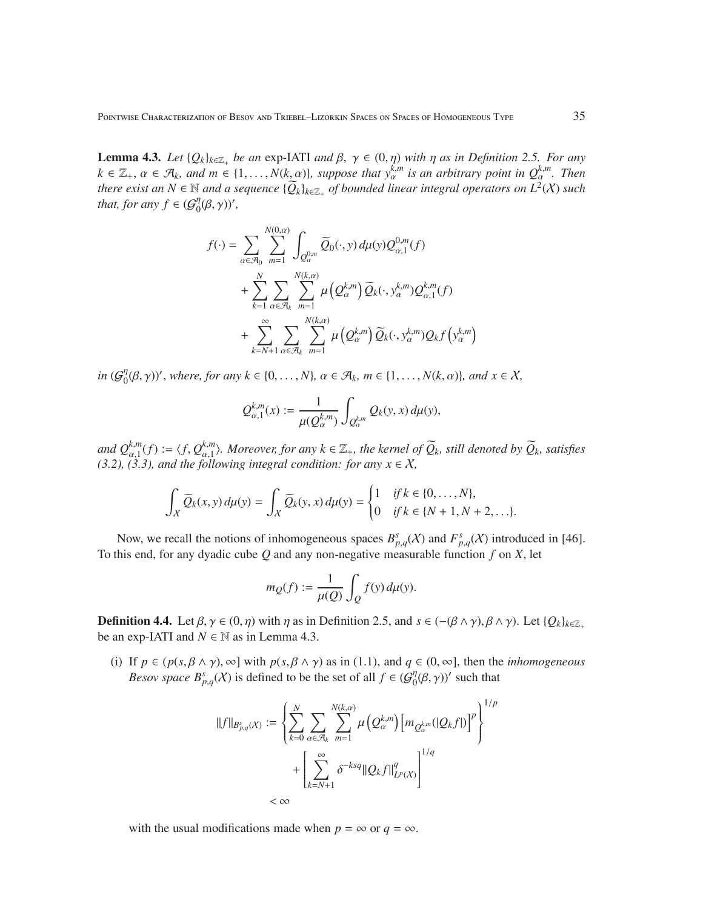**Lemma 4.3.** *Let*  $\{Q_k\}_{k\in\mathbb{Z}_+}$  *be an* exp-IATI *and*  $\beta$ ,  $\gamma \in (0, \eta)$  *with*  $\eta$  *as in Definition 2.5. For any*  $k \in \mathbb{Z}_+$ ,  $\alpha \in \mathcal{A}_k$ , and  $m \in \{1,\ldots,N(k,\alpha)\}$ , suppose that  $y_\alpha^{k,m}$  is an arbitrary point in  $Q_\alpha^{k,m}$ . Then *there exist an*  $N \in \mathbb{N}$  *and a sequence*  $\{\widetilde{Q}_k\}_{k \in \mathbb{Z}_+}$  *of bounded linear integral operators on*  $L^2(X)$  *such that, for any*  $f \in {\mathcal{G}}_{0}^{\eta}$  $_{0}^{\eta}(\beta,\gamma)$ ',

$$
f(\cdot) = \sum_{\alpha \in \mathcal{A}_0} \sum_{m=1}^{N(0,\alpha)} \int_{Q_{\alpha}^{0,m}} \widetilde{Q}_0(\cdot, y) d\mu(y) Q_{\alpha,1}^{0,m}(f)
$$
  
+ 
$$
\sum_{k=1}^{N} \sum_{\alpha \in \mathcal{A}_k} \sum_{m=1}^{N(k,\alpha)} \mu(Q_{\alpha}^{k,m}) \widetilde{Q}_k(\cdot, y_{\alpha}^{k,m}) Q_{\alpha,1}^{k,m}(f)
$$
  
+ 
$$
\sum_{k=N+1}^{\infty} \sum_{\alpha \in \mathcal{A}_k} \sum_{m=1}^{N(k,\alpha)} \mu(Q_{\alpha}^{k,m}) \widetilde{Q}_k(\cdot, y_{\alpha}^{k,m}) Q_k f(y_{\alpha}^{k,m})
$$

 $in \left( \mathcal{G}^\eta_0 \right)$  $\mathcal{O}_0(\beta, \gamma)$ ', where, for any  $k \in \{0, \ldots, N\}$ ,  $\alpha \in \mathcal{A}_k$ ,  $m \in \{1, \ldots, N(k, \alpha)\}$ , and  $x \in \mathcal{X}$ ,

$$
Q_{\alpha,1}^{k,m}(x):=\frac{1}{\mu(Q_\alpha^{k,m})}\int_{Q_\alpha^{k,m}}Q_k(y,x)\,d\mu(y),
$$

*and*  $Q_{\alpha,1}^{k,m}(f) := \langle f, Q_{\alpha,1}^{k,m} \rangle$  $\alpha_{\alpha,1}^{k,m}$ ). Moreover, for any  $k \in \mathbb{Z}_+$ , the kernel of  $\widetilde{Q}_k$ , still denoted by  $\widetilde{Q}_k$ , satisfies *(3.2), (3.3), and the following integral condition: for any*  $x \in X$ ,

$$
\int_X \widetilde{Q}_k(x, y) d\mu(y) = \int_X \widetilde{Q}_k(y, x) d\mu(y) = \begin{cases} 1 & \text{if } k \in \{0, \dots, N\}, \\ 0 & \text{if } k \in \{N+1, N+2, \dots\}. \end{cases}
$$

Now, we recall the notions of inhomogeneous spaces  $B_{p,q}^s(X)$  and  $F_{p,q}^s(X)$  introduced in [46]. To this end, for any dyadic cube *Q* and any non-negative measurable function *f* on *X*, let

$$
m_Q(f):=\frac{1}{\mu(Q)}\int_Q f(y)\,d\mu(y).
$$

**Definition 4.4.** Let  $\beta, \gamma \in (0, \eta)$  with  $\eta$  as in Definition 2.5, and  $s \in (-(\beta \wedge \gamma), \beta \wedge \gamma)$ . Let  $\{Q_k\}_{k \in \mathbb{Z}_+}$ be an exp-IATI and  $N \in \mathbb{N}$  as in Lemma 4.3.

(i) If  $p \in (p(s, \beta \wedge \gamma), \infty]$  with  $p(s, \beta \wedge \gamma)$  as in (1.1), and  $q \in (0, \infty]$ , then the *inhomogeneous Besov space*  $B_{p,q}^s(X)$  is defined to be the set of all  $f \in (G_0^{\eta})$  $\binom{n}{0}(\beta, \gamma)$ ' such that

$$
\label{eq:3} \begin{aligned} \|f\|_{B^s_{p,q}(\mathcal{X})} &:= \left\{ \sum_{k=0}^N \sum_{\alpha \in \mathcal{A}_k} \sum_{m=1}^{N(k,\alpha)} \mu\left(Q^{k,m}_{\alpha}\right) \left[m_{Q^{k,m}_{\alpha}}(|Q_k f|)\right]^p \right\}^{1/p} \\ &\quad + \left[\sum_{k=N+1}^{\infty} \delta^{-ksq} \|Q_k f\|_{L^p(\mathcal{X})}^q \right]^{1/q} \\ &< \infty \end{aligned}
$$

with the usual modifications made when  $p = \infty$  or  $q = \infty$ .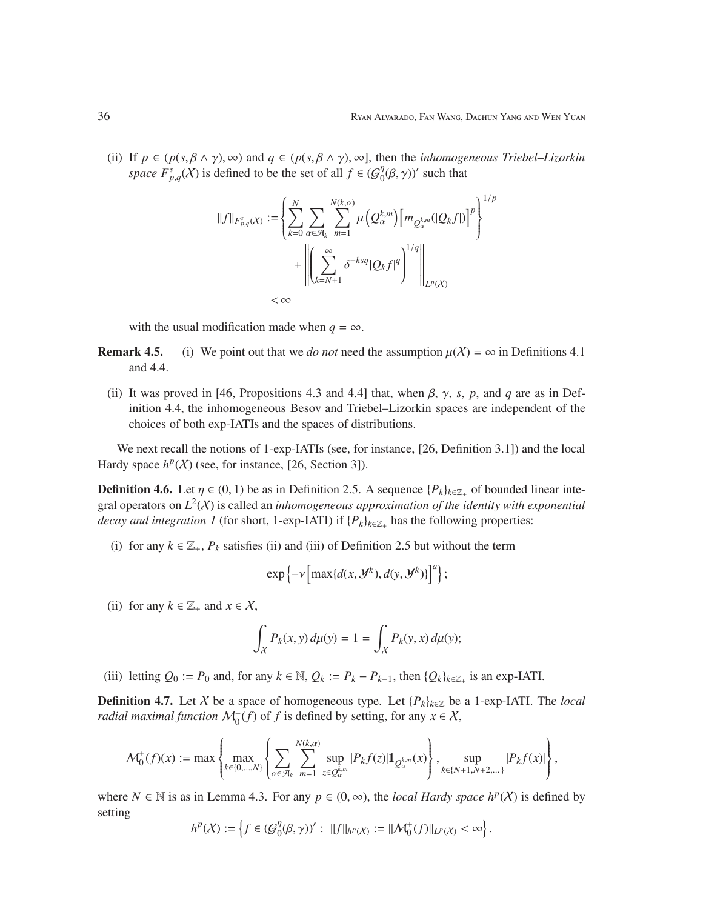(ii) If  $p \in (p(s, \beta \wedge \gamma), \infty)$  and  $q \in (p(s, \beta \wedge \gamma), \infty)$ , then the *inhomogeneous Triebel–Lizorkin space*  $F_{p,q}^s(X)$  is defined to be the set of all  $f \in (G_0^{\eta})$  $\binom{n}{0}(\beta,\gamma)$ ' such that

$$
\label{eq:3} \begin{split} \|f\|_{F^s_{p,q}(X)}&:=\left\{\sum_{k=0}^N\sum_{\alpha\in\mathcal{A}_k}\sum_{m=1}^{N(k,\alpha)}\mu\left(Q^{k,m}_{\alpha}\right)\left[m_{Q^{k,m}_{\alpha}}(|Q_kf|)\right]^p\right\}^{1/p}\\ &+\left\|\left(\sum_{k=N+1}^\infty\delta^{-ksq}|Q_kf|^q\right)^{1/q}\right\|_{L^p(X)}\\ &<\infty \end{split}
$$

with the usual modification made when  $q = \infty$ .

- **Remark 4.5.** (i) We point out that we *do not* need the assumption  $\mu(X) = \infty$  in Definitions 4.1 and 4.4.
	- (ii) It was proved in [46, Propositions 4.3 and 4.4] that, when  $\beta$ ,  $\gamma$ , *s*, *p*, and *q* are as in Definition 4.4, the inhomogeneous Besov and Triebel–Lizorkin spaces are independent of the choices of both exp-IATIs and the spaces of distributions.

We next recall the notions of 1-exp-IATIs (see, for instance, [26, Definition 3.1]) and the local Hardy space  $h^p(X)$  (see, for instance, [26, Section 3]).

**Definition 4.6.** Let  $\eta \in (0, 1)$  be as in Definition 2.5. A sequence  $\{P_k\}_{k \in \mathbb{Z}_+}$  of bounded linear integral operators on  $L^2(X)$  is called an *inhomogeneous approximation of the identity with exponential decay and integration 1* (for short, 1-exp-IATI) if  $\{P_k\}_{k \in \mathbb{Z}_+}$  has the following properties:

(i) for any  $k \in \mathbb{Z}_+$ ,  $P_k$  satisfies (ii) and (iii) of Definition 2.5 but without the term

$$
\exp\left\{-\nu\left[\max\{d(x, \mathcal{Y}^k), d(y, \mathcal{Y}^k)\}\right]^a\right\};
$$

(ii) for any  $k \in \mathbb{Z}_+$  and  $x \in \mathcal{X}$ ,

$$
\int_X P_k(x, y) d\mu(y) = 1 = \int_X P_k(y, x) d\mu(y);
$$

(iii) letting  $Q_0 := P_0$  and, for any  $k \in \mathbb{N}$ ,  $Q_k := P_k - P_{k-1}$ , then  $\{Q_k\}_{k \in \mathbb{Z}_+}$  is an exp-IATI.

**Definition 4.7.** Let X be a space of homogeneous type. Let  ${P_k}_{k \in \mathbb{Z}}$  be a 1-exp-IATI. The *local radial maximal function*  $\mathcal{M}_0^+(f)$  of *f* is defined by setting, for any  $x \in \mathcal{X}$ ,

$$
\mathcal{M}_0^+(f)(x) := \max \left\{ \max_{k \in \{0, \ldots, N\}} \left\{ \sum_{\alpha \in \mathcal{A}_k} \sum_{m=1}^{N(k, \alpha)} \sup_{z \in Q_{\alpha}^{km}} |P_k f(z)| \mathbf{1}_{Q_{\alpha}^{km}}(x) \right\}, \sup_{k \in \{N+1, N+2, \ldots\}} |P_k f(x)| \right\},
$$

where  $N \in \mathbb{N}$  is as in Lemma 4.3. For any  $p \in (0, \infty)$ , the *local Hardy space*  $h^p(X)$  is defined by setting

$$
h^p(X) := \left\{ f \in (\mathcal{G}_0^{\eta}(\beta, \gamma))': ||f||_{h^p(X)} := ||\mathcal{M}_0^+(f)||_{L^p(X)} < \infty \right\}.
$$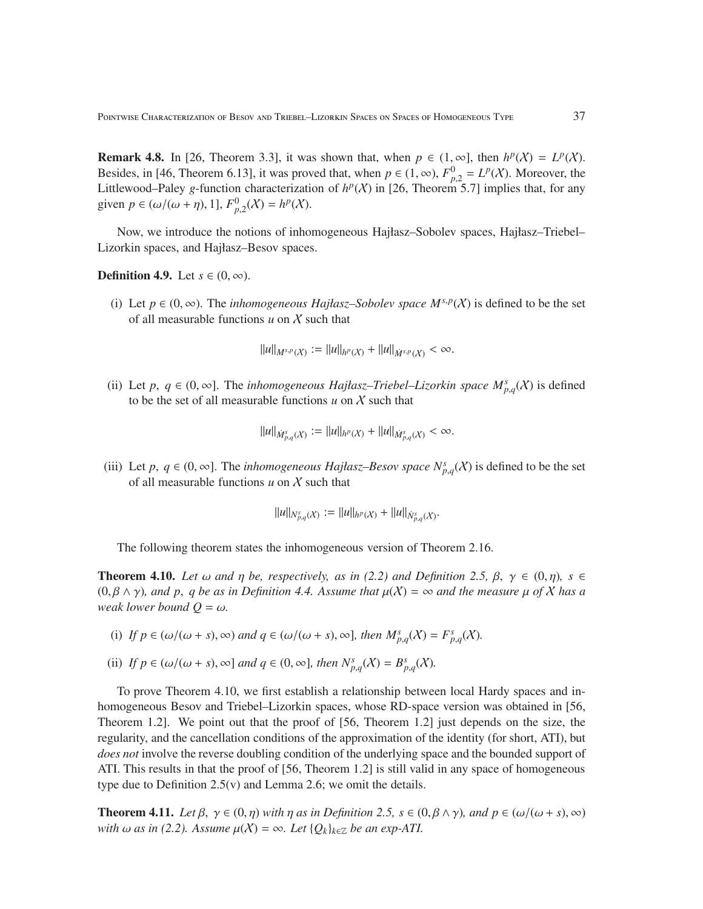**Remark 4.8.** In [26, Theorem 3.3], it was shown that, when  $p \in (1, \infty]$ , then  $h^p(X) = L^p(X)$ . Besides, in [46, Theorem 6.13], it was proved that, when  $p \in (1, \infty)$ ,  $F_{p,2}^0 = L^p(\mathcal{X})$ . Moreover, the Littlewood–Paley *g*-function characterization of  $h^p(X)$  in [26, Theorem 5.7] implies that, for any given  $p \in (\omega/(\omega + \eta), 1], F^0_{p,2}(\mathcal{X}) = h^p(\mathcal{X}).$ 

Now, we introduce the notions of inhomogeneous Hajłasz–Sobolev spaces, Hajłasz–Triebel– Lizorkin spaces, and Hajłasz–Besov spaces.

**Definition 4.9.** Let  $s \in (0, \infty)$ .

(i) Let  $p \in (0, \infty)$ . The *inhomogeneous Hajłasz–Sobolev space*  $M^{s,p}(\mathcal{X})$  is defined to be the set of all measurable functions *u* on X such that

 $||u||_{M^{s,p}(X)} := ||u||_{h^p(X)} + ||u||_{\dot{M}^{s,p}(X)} < \infty.$ 

(ii) Let p,  $q \in (0, \infty]$ . The *inhomogeneous Hajłasz–Triebel–Lizorkin space*  $M_{p,q}^s(X)$  is defined to be the set of all measurable functions  $u$  on  $\chi$  such that

$$
||u||_{\dot{M}_{p,q}^s(X)} := ||u||_{h^p(X)} + ||u||_{\dot{M}_{p,q}^s(X)} < \infty.
$$

(iii) Let *p*,  $q \in (0, \infty]$ . The *inhomogeneous Hajłasz–Besov space*  $N_{p,q}^s(X)$  is defined to be the set of all measurable functions *u* on X such that

$$
||u||_{N^s_{p,q}(\mathcal{X})} := ||u||_{h^p(\mathcal{X})} + ||u||_{N^s_{p,q}(\mathcal{X})}.
$$

The following theorem states the inhomogeneous version of Theorem 2.16.

**Theorem 4.10.** Let  $\omega$  and  $\eta$  be, respectively, as in (2.2) and Definition 2.5,  $\beta$ ,  $\gamma \in (0, \eta)$ ,  $s \in$  $(0, \beta \wedge \gamma)$ *, and p, q be as in Definition 4.4. Assume that*  $\mu(X) = \infty$  *and the measure*  $\mu$  *of* X *has a weak lower bound*  $Q = \omega$ *.* 

- (i) If  $p \in (\omega/(\omega + s), \infty)$  and  $q \in (\omega/(\omega + s), \infty)$ , then  $M_{p,q}^s(\mathcal{X}) = F_{p,q}^s(\mathcal{X})$ .
- (ii) *If*  $p \in (\omega/(\omega + s), \infty]$  *and*  $q \in (0, \infty]$ *, then*  $N_{p,q}^s(X) = B_{p,q}^s(X)$ *.*

To prove Theorem 4.10, we first establish a relationship between local Hardy spaces and inhomogeneous Besov and Triebel–Lizorkin spaces, whose RD-space version was obtained in [56, Theorem 1.2]. We point out that the proof of [56, Theorem 1.2] just depends on the size, the regularity, and the cancellation conditions of the approximation of the identity (for short, ATI), but *does not* involve the reverse doubling condition of the underlying space and the bounded support of ATI. This results in that the proof of [56, Theorem 1.2] is still valid in any space of homogeneous type due to Definition 2.5(v) and Lemma 2.6; we omit the details.

**Theorem 4.11.** *Let*  $\beta$ ,  $\gamma \in (0, \eta)$  *with*  $\eta$  *as in Definition 2.5,*  $s \in (0, \beta \land \gamma)$ *, and*  $p \in (\omega/(\omega + s), \infty)$ *with*  $\omega$  *as in (2.2).* Assume  $\mu(X) = \infty$ . Let  $\{Q_k\}_{k \in \mathbb{Z}}$  be an exp-ATI.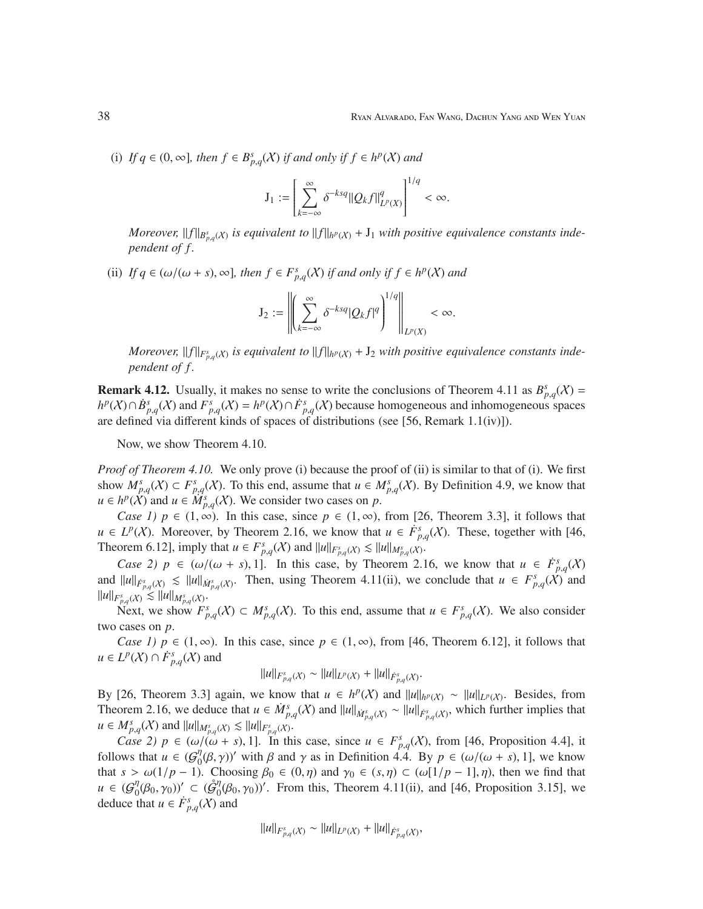(i) *If*  $q \in (0, \infty]$ *, then*  $f \in B_{p,q}^s(X)$  *if and only if*  $f \in h^p(X)$  *and* 

$$
\mathbf{J}_1 := \left[ \sum_{k=-\infty}^{\infty} \delta^{-ksq} ||Q_k f||_{L^p(X)}^q \right]^{1/q} < \infty.
$$

*Moreover,*  $||f||_{B_{p,q}^s(X)}$  is equivalent to  $||f||_{h^p(X)} + J_1$  with positive equivalence constants inde*pendent of f .*

(ii) *If*  $q \in (\omega/(\omega + s), \infty]$ *, then*  $f \in F_{p,q}^s(X)$  *if and only if*  $f \in h^p(X)$  *and* 

$$
\mathrm{J}_2:=\left\|\left(\sum_{k=-\infty}^\infty \delta^{-ksq}|Q_kf|^q\right)^{1/q}\right\|_{L^p(X)}<\infty.
$$

*Moreover,*  $||f||_{F_{p,q}^{s}(X)}$  is equivalent to  $||f||_{h^p(X)} + J_2$  with positive equivalence constants inde*pendent of f .*

**Remark 4.12.** Usually, it makes no sense to write the conclusions of Theorem 4.11 as  $B_{p,q}^s(X) =$ *h*<sup>*p*</sup>(*X*)∩*B*<sup>*s*</sup><sub>*p*,*q*</sub>(*X*) and *F*<sup>*s*</sup><sub>*p*,*q*</sub>(*X*)  $\cap$  *F*<sup>*s*</sup><sub>*p*,*q*</sub>(*X*) because homogeneous and inhomogeneous spaces are defined via different kinds of spaces of distributions (see [56, Remark 1.1(iv)]).

Now, we show Theorem 4.10.

*Proof of Theorem 4.10.* We only prove (i) because the proof of (ii) is similar to that of (i). We first show  $M_{p,q}^s(\mathcal{X}) \subset F_{p,q}^s(\mathcal{X})$ . To this end, assume that  $u \in M_{p,q}^s(\mathcal{X})$ . By Definition 4.9, we know that *u* ∈ *h*<sup>*p*</sup>( $\hat{X}$ ) and *u* ∈  $\hat{M}_{p,q}^s(X)$ . We consider two cases on *p*.

*Case 1)*  $p \in (1, \infty)$ . In this case, since  $p \in (1, \infty)$ , from [26, Theorem 3.3], it follows that *u* ∈ *L*<sup>*p*</sup>(*X*). Moreover, by Theorem 2.16, we know that *u* ∈  $\dot{F}_{p,q}^s(X)$ . These, together with [46, Theorem 6.12], imply that  $u \in F^s_{p,q}(X)$  and  $||u||_{F^s_{p,q}(X)} \lesssim ||u||_{M^s_{p,q}(X)}$ .

*Case 2)*  $p \in (\omega/(\omega + s), 1]$ . In this case, by Theorem 2.16, we know that  $u \in \dot{F}^s_{p,q}(X)$ and  $||u||_{\dot{F}^s_{p,q}(X)} \le ||u||_{\dot{M}^s_{p,q}(X)}$ . Then, using Theorem 4.11(ii), we conclude that  $u \in F^s_{p,q}(X)$  and  $||u||_{F_{p,q}^{s}(X)} \lesssim ||u||_{M_{p,q}^{s}(X)}.$ 

Next, we show  $F_{p,q}^s(X) \subset M_{p,q}^s(X)$ . To this end, assume that  $u \in F_{p,q}^s(X)$ . We also consider two cases on *p*.

*Case 1)*  $p \in (1, \infty)$ . In this case, since  $p \in (1, \infty)$ , from [46, Theorem 6.12], it follows that *u* ∈ *L*<sup>*p*</sup>( $X$ ) ∩  $\dot{F}^s_{p,q}$ ( $X$ ) and

$$
||u||_{F_{p,q}^s(X)} \sim ||u||_{L^p(X)} + ||u||_{\dot{F}_{p,q}^s(X)}.
$$

By [26, Theorem 3.3] again, we know that  $u \in h^p(X)$  and  $||u||_{h^p(X)} \sim ||u||_{L^p(X)}$ . Besides, from Theorem 2.16, we deduce that  $u \in \dot{M}_{p,q}^s(\mathcal{X})$  and  $||u||_{\dot{M}_{p,q}^s(\mathcal{X})} \sim ||u||_{\dot{F}_{p,q}^s(\mathcal{X})}$ , which further implies that  $u \in M_{p,q}^{s}(X)$  and  $||u||_{M_{p,q}^{s}(X)} \lesssim ||u||_{F_{p,q}^{s}(X)}$ .

*Case 2)*  $p \in (\omega/(\omega + s), 1]$ . In this case, since  $u \in F_{p,q}^{s}(\mathcal{X})$ , from [46, Proposition 4.4], it follows that  $u \in {\mathcal{G}}_{0}^{\eta}$  $\int_0^{\eta} (\beta, \gamma)$ ' with  $\beta$  and  $\gamma$  as in Definition 4.4. By  $p \in (\omega/(\omega + s), 1]$ , we know that  $s > \omega(1/p - 1)$ . Choosing  $\beta_0 \in (0, \eta)$  and  $\gamma_0 \in (s, \eta) \subset (\omega[1/p - 1], \eta)$ , then we find that  $u \in (\mathcal{G}_0^{\eta})$  $\big(\begin{smallmatrix} \eta & \beta_0, \gamma_0 \end{smallmatrix}\big) \big)$ '  $\subset$   $(\mathring{\mathcal{G}}_0^{\eta})$  $\eta_0^{\eta}(\beta_0, \gamma_0)$ '. From this, Theorem 4.11(ii), and [46, Proposition 3.15], we deduce that  $u \in \dot{F}^s_{p,q}(X)$  and

$$
||u||_{F_{p,q}^s(X)} \sim ||u||_{L^p(X)} + ||u||_{\dot{F}_{p,q}^s(X)},
$$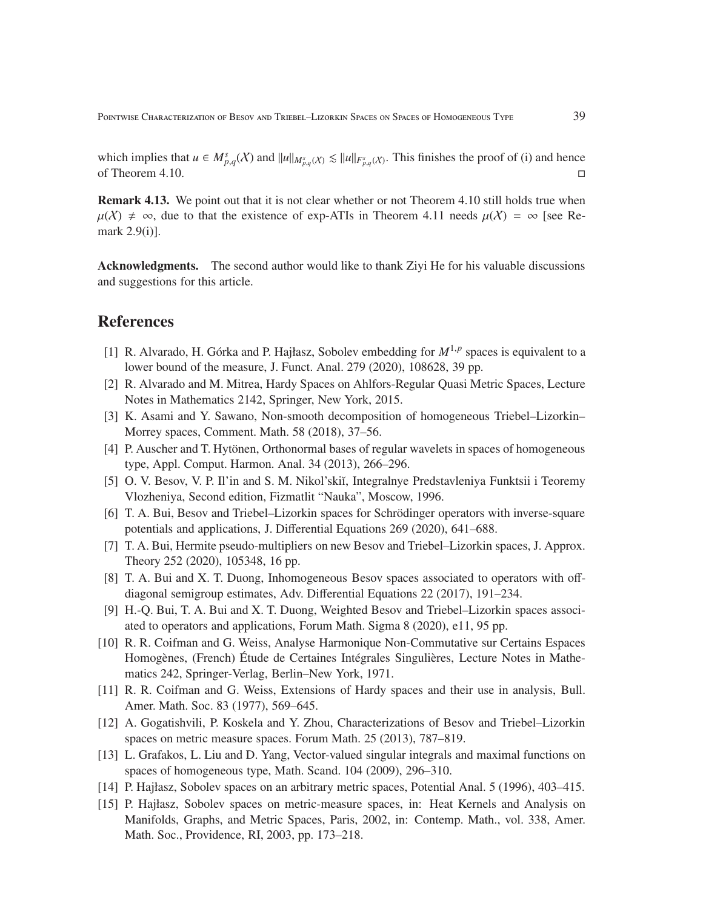which implies that  $u \in M_{p,q}^s(X)$  and  $||u||_{M_{p,q}^s(X)} \le ||u||_{F_{p,q}^s(X)}$ . This finishes the proof of (i) and hence of Theorem 4.10.

Remark 4.13. We point out that it is not clear whether or not Theorem 4.10 still holds true when  $\mu(X) \neq \infty$ , due to that the existence of exp-ATIs in Theorem 4.11 needs  $\mu(X) = \infty$  [see Remark 2.9(i)].

Acknowledgments. The second author would like to thank Ziyi He for his valuable discussions and suggestions for this article.

### References

- [1] R. Alvarado, H. Górka and P. Hajłasz, Sobolev embedding for  $M^{1,p}$  spaces is equivalent to a lower bound of the measure, J. Funct. Anal. 279 (2020), 108628, 39 pp.
- [2] R. Alvarado and M. Mitrea, Hardy Spaces on Ahlfors-Regular Quasi Metric Spaces, Lecture Notes in Mathematics 2142, Springer, New York, 2015.
- [3] K. Asami and Y. Sawano, Non-smooth decomposition of homogeneous Triebel–Lizorkin– Morrey spaces, Comment. Math. 58 (2018), 37–56.
- [4] P. Auscher and T. Hytönen, Orthonormal bases of regular wavelets in spaces of homogeneous type, Appl. Comput. Harmon. Anal. 34 (2013), 266–296.
- [5] O. V. Besov, V. P. Il'in and S. M. Nikol'skiı̆, Integralnye Predstavleniya Funktsii i Teoremy Vlozheniya, Second edition, Fizmatlit "Nauka", Moscow, 1996.
- [6] T. A. Bui, Besov and Triebel–Lizorkin spaces for Schrödinger operators with inverse-square potentials and applications, J. Differential Equations 269 (2020), 641–688.
- [7] T. A. Bui, Hermite pseudo-multipliers on new Besov and Triebel–Lizorkin spaces, J. Approx. Theory 252 (2020), 105348, 16 pp.
- [8] T. A. Bui and X. T. Duong, Inhomogeneous Besov spaces associated to operators with offdiagonal semigroup estimates, Adv. Differential Equations 22 (2017), 191–234.
- [9] H.-Q. Bui, T. A. Bui and X. T. Duong, Weighted Besov and Triebel–Lizorkin spaces associated to operators and applications, Forum Math. Sigma 8 (2020), e11, 95 pp.
- [10] R. R. Coifman and G. Weiss, Analyse Harmonique Non-Commutative sur Certains Espaces Homogènes, (French) Étude de Certaines Intégrales Singulières, Lecture Notes in Mathematics 242, Springer-Verlag, Berlin–New York, 1971.
- [11] R. R. Coifman and G. Weiss, Extensions of Hardy spaces and their use in analysis, Bull. Amer. Math. Soc. 83 (1977), 569–645.
- [12] A. Gogatishvili, P. Koskela and Y. Zhou, Characterizations of Besov and Triebel–Lizorkin spaces on metric measure spaces. Forum Math. 25 (2013), 787–819.
- [13] L. Grafakos, L. Liu and D. Yang, Vector-valued singular integrals and maximal functions on spaces of homogeneous type, Math. Scand. 104 (2009), 296–310.
- [14] P. Hajłasz, Sobolev spaces on an arbitrary metric spaces, Potential Anal. 5 (1996), 403–415.
- [15] P. Hajłasz, Sobolev spaces on metric-measure spaces, in: Heat Kernels and Analysis on Manifolds, Graphs, and Metric Spaces, Paris, 2002, in: Contemp. Math., vol. 338, Amer. Math. Soc., Providence, RI, 2003, pp. 173–218.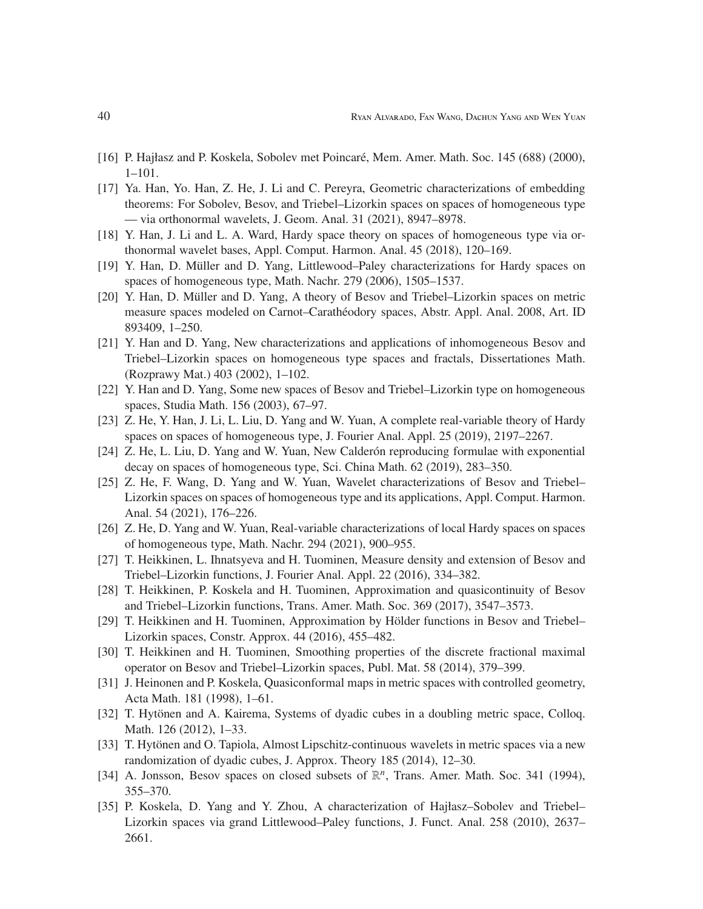- [16] P. Hajłasz and P. Koskela, Sobolev met Poincaré, Mem. Amer. Math. Soc. 145 (688) (2000), 1–101.
- [17] Ya. Han, Yo. Han, Z. He, J. Li and C. Pereyra, Geometric characterizations of embedding theorems: For Sobolev, Besov, and Triebel–Lizorkin spaces on spaces of homogeneous type — via orthonormal wavelets, J. Geom. Anal. 31 (2021), 8947–8978.
- [18] Y. Han, J. Li and L. A. Ward, Hardy space theory on spaces of homogeneous type via orthonormal wavelet bases, Appl. Comput. Harmon. Anal. 45 (2018), 120–169.
- [19] Y. Han, D. Müller and D. Yang, Littlewood–Paley characterizations for Hardy spaces on spaces of homogeneous type, Math. Nachr. 279 (2006), 1505–1537.
- [20] Y. Han, D. Müller and D. Yang, A theory of Besov and Triebel–Lizorkin spaces on metric measure spaces modeled on Carnot–Carathéodory spaces, Abstr. Appl. Anal. 2008, Art. ID 893409, 1–250.
- [21] Y. Han and D. Yang, New characterizations and applications of inhomogeneous Besov and Triebel–Lizorkin spaces on homogeneous type spaces and fractals, Dissertationes Math. (Rozprawy Mat.) 403 (2002), 1–102.
- [22] Y. Han and D. Yang, Some new spaces of Besov and Triebel–Lizorkin type on homogeneous spaces, Studia Math. 156 (2003), 67–97.
- [23] Z. He, Y. Han, J. Li, L. Liu, D. Yang and W. Yuan, A complete real-variable theory of Hardy spaces on spaces of homogeneous type, J. Fourier Anal. Appl. 25 (2019), 2197–2267.
- [24] Z. He, L. Liu, D. Yang and W. Yuan, New Calder on reproducing formulae with exponential decay on spaces of homogeneous type, Sci. China Math. 62 (2019), 283–350.
- [25] Z. He, F. Wang, D. Yang and W. Yuan, Wavelet characterizations of Besov and Triebel– Lizorkin spaces on spaces of homogeneous type and its applications, Appl. Comput. Harmon. Anal. 54 (2021), 176–226.
- [26] Z. He, D. Yang and W. Yuan, Real-variable characterizations of local Hardy spaces on spaces of homogeneous type, Math. Nachr. 294 (2021), 900–955.
- [27] T. Heikkinen, L. Ihnatsyeva and H. Tuominen, Measure density and extension of Besov and Triebel–Lizorkin functions, J. Fourier Anal. Appl. 22 (2016), 334–382.
- [28] T. Heikkinen, P. Koskela and H. Tuominen, Approximation and quasicontinuity of Besov and Triebel–Lizorkin functions, Trans. Amer. Math. Soc. 369 (2017), 3547–3573.
- [29] T. Heikkinen and H. Tuominen, Approximation by Hölder functions in Besov and Triebel– Lizorkin spaces, Constr. Approx. 44 (2016), 455–482.
- [30] T. Heikkinen and H. Tuominen, Smoothing properties of the discrete fractional maximal operator on Besov and Triebel–Lizorkin spaces, Publ. Mat. 58 (2014), 379–399.
- [31] J. Heinonen and P. Koskela, Quasiconformal maps in metric spaces with controlled geometry, Acta Math. 181 (1998), 1–61.
- [32] T. Hytönen and A. Kairema, Systems of dyadic cubes in a doubling metric space, Colloq. Math. 126 (2012), 1–33.
- [33] T. Hytönen and O. Tapiola, Almost Lipschitz-continuous wavelets in metric spaces via a new randomization of dyadic cubes, J. Approx. Theory 185 (2014), 12–30.
- [34] A. Jonsson, Besov spaces on closed subsets of  $\mathbb{R}^n$ , Trans. Amer. Math. Soc. 341 (1994), 355–370.
- [35] P. Koskela, D. Yang and Y. Zhou, A characterization of Hajłasz–Sobolev and Triebel– Lizorkin spaces via grand Littlewood–Paley functions, J. Funct. Anal. 258 (2010), 2637– 2661.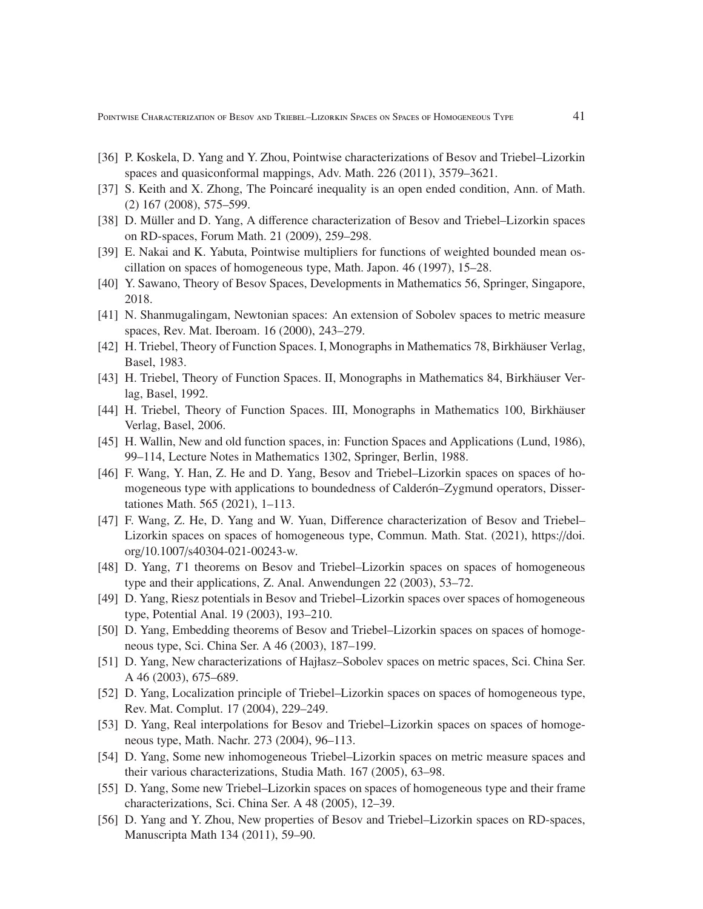Pointwise Characterization of Besov and Triebel–Lizorkin Spaces on Spaces of Homogeneous Type 41

- [36] P. Koskela, D. Yang and Y. Zhou, Pointwise characterizations of Besov and Triebel–Lizorkin spaces and quasiconformal mappings, Adv. Math. 226 (2011), 3579–3621.
- [37] S. Keith and X. Zhong, The Poincaré inequality is an open ended condition, Ann. of Math. (2) 167 (2008), 575–599.
- [38] D. Müller and D. Yang, A difference characterization of Besov and Triebel–Lizorkin spaces on RD-spaces, Forum Math. 21 (2009), 259–298.
- [39] E. Nakai and K. Yabuta, Pointwise multipliers for functions of weighted bounded mean oscillation on spaces of homogeneous type, Math. Japon. 46 (1997), 15–28.
- [40] Y. Sawano, Theory of Besov Spaces, Developments in Mathematics 56, Springer, Singapore, 2018.
- [41] N. Shanmugalingam, Newtonian spaces: An extension of Sobolev spaces to metric measure spaces, Rev. Mat. Iberoam. 16 (2000), 243–279.
- [42] H. Triebel, Theory of Function Spaces. I, Monographs in Mathematics 78, Birkhäuser Verlag, Basel, 1983.
- [43] H. Triebel, Theory of Function Spaces. II, Monographs in Mathematics 84, Birkhäuser Verlag, Basel, 1992.
- [44] H. Triebel, Theory of Function Spaces. III, Monographs in Mathematics 100, Birkhäuser Verlag, Basel, 2006.
- [45] H. Wallin, New and old function spaces, in: Function Spaces and Applications (Lund, 1986), 99–114, Lecture Notes in Mathematics 1302, Springer, Berlin, 1988.
- [46] F. Wang, Y. Han, Z. He and D. Yang, Besov and Triebel–Lizorkin spaces on spaces of homogeneous type with applications to boundedness of Calderón–Zygmund operators, Dissertationes Math. 565 (2021), 1–113.
- [47] F. Wang, Z. He, D. Yang and W. Yuan, Difference characterization of Besov and Triebel– Lizorkin spaces on spaces of homogeneous type, Commun. Math. Stat. (2021), https://doi. org/10.1007/s40304-021-00243-w.
- [48] D. Yang, *T*1 theorems on Besov and Triebel–Lizorkin spaces on spaces of homogeneous type and their applications, Z. Anal. Anwendungen 22 (2003), 53–72.
- [49] D. Yang, Riesz potentials in Besov and Triebel–Lizorkin spaces over spaces of homogeneous type, Potential Anal. 19 (2003), 193–210.
- [50] D. Yang, Embedding theorems of Besov and Triebel–Lizorkin spaces on spaces of homogeneous type, Sci. China Ser. A 46 (2003), 187–199.
- [51] D. Yang, New characterizations of Hajłasz–Sobolev spaces on metric spaces, Sci. China Ser. A 46 (2003), 675–689.
- [52] D. Yang, Localization principle of Triebel–Lizorkin spaces on spaces of homogeneous type, Rev. Mat. Complut. 17 (2004), 229–249.
- [53] D. Yang, Real interpolations for Besov and Triebel–Lizorkin spaces on spaces of homogeneous type, Math. Nachr. 273 (2004), 96–113.
- [54] D. Yang, Some new inhomogeneous Triebel–Lizorkin spaces on metric measure spaces and their various characterizations, Studia Math. 167 (2005), 63–98.
- [55] D. Yang, Some new Triebel–Lizorkin spaces on spaces of homogeneous type and their frame characterizations, Sci. China Ser. A 48 (2005), 12–39.
- [56] D. Yang and Y. Zhou, New properties of Besov and Triebel–Lizorkin spaces on RD-spaces, Manuscripta Math 134 (2011), 59–90.